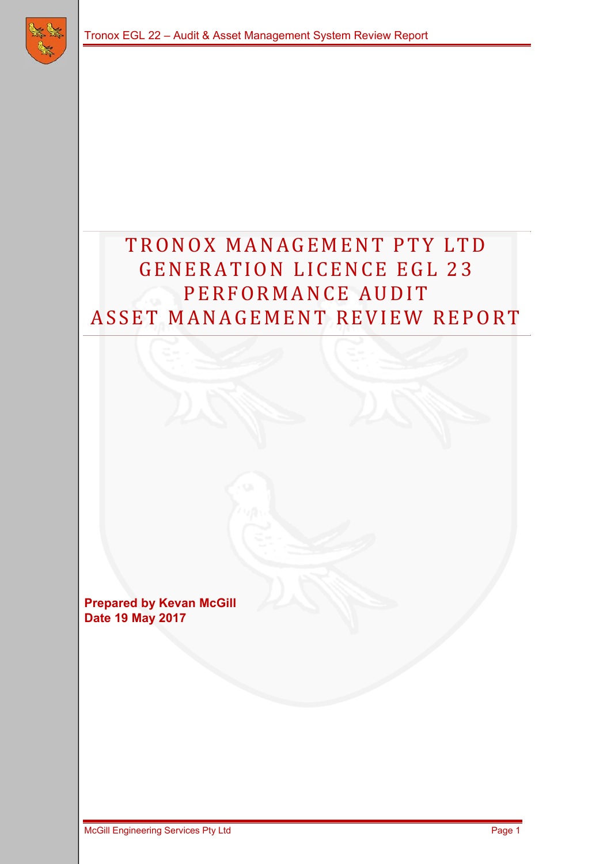

# TRONOX MANAGEMENT PTY LTD GENERATION LICENCE EGL 23 PERFORMANCE AUDIT ASSET MANAGEMENT REVIEW REPORT

**Prepared by Kevan McGill Date 19 May 2017**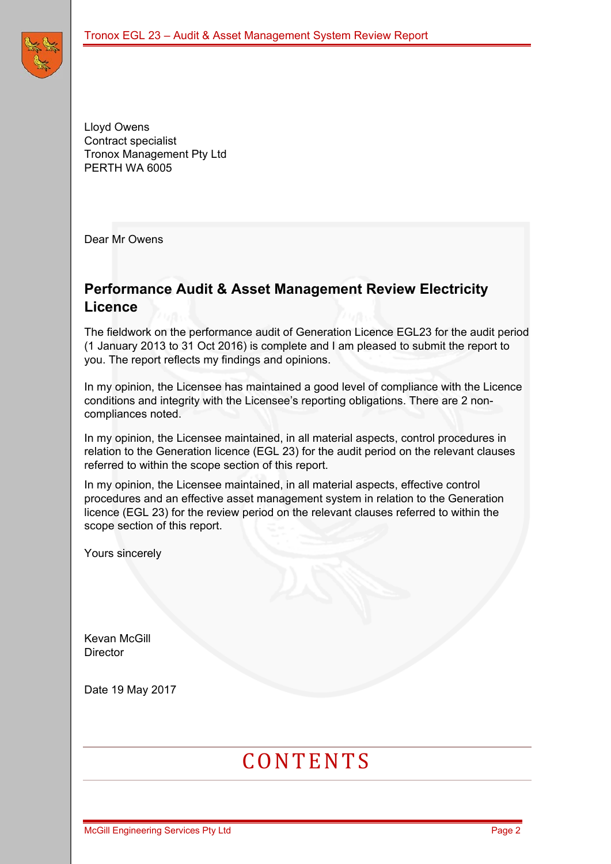Lloyd Owens Contract specialist Tronox Management Pty Ltd PERTH WA 6005

Dear Mr Owens

### **Performance Audit & Asset Management Review Electricity Licence**

The fieldwork on the performance audit of Generation Licence EGL23 for the audit period (1 January 2013 to 31 Oct 2016) is complete and I am pleased to submit the report to you. The report reflects my findings and opinions.

In my opinion, the Licensee has maintained a good level of compliance with the Licence conditions and integrity with the Licensee's reporting obligations. There are 2 noncompliances noted.

In my opinion, the Licensee maintained, in all material aspects, control procedures in relation to the Generation licence (EGL 23) for the audit period on the relevant clauses referred to within the scope section of this report.

In my opinion, the Licensee maintained, in all material aspects, effective control procedures and an effective asset management system in relation to the Generation licence (EGL 23) for the review period on the relevant clauses referred to within the scope section of this report.

Yours sincerely

Kevan McGill **Director** 

Date 19 May 2017

# **CONTENTS**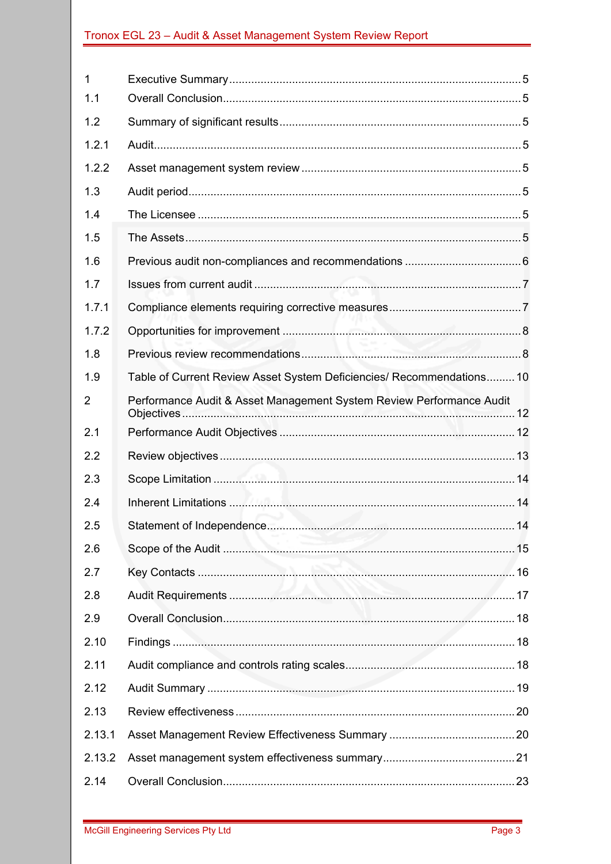| 1      |                                                                       |  |
|--------|-----------------------------------------------------------------------|--|
| 1.1    |                                                                       |  |
| 1.2    |                                                                       |  |
| 1.2.1  |                                                                       |  |
| 1.2.2  |                                                                       |  |
| 1.3    |                                                                       |  |
| 1.4    |                                                                       |  |
| 1.5    |                                                                       |  |
| 1.6    |                                                                       |  |
| 1.7    |                                                                       |  |
| 1.7.1  |                                                                       |  |
| 1.7.2  |                                                                       |  |
| 1.8    |                                                                       |  |
| 1.9    | Table of Current Review Asset System Deficiencies/ Recommendations 10 |  |
| 2      | Performance Audit & Asset Management System Review Performance Audit  |  |
| 2.1    |                                                                       |  |
| 2.2    |                                                                       |  |
| 2.3    |                                                                       |  |
| 2.4    |                                                                       |  |
| 2.5    |                                                                       |  |
| 2.6    |                                                                       |  |
| 2.7    |                                                                       |  |
| 2.8    |                                                                       |  |
| 2.9    |                                                                       |  |
| 2.10   |                                                                       |  |
| 2.11   |                                                                       |  |
| 2.12   |                                                                       |  |
| 2.13   |                                                                       |  |
| 2.13.1 |                                                                       |  |
| 2.13.2 |                                                                       |  |
| 2.14   |                                                                       |  |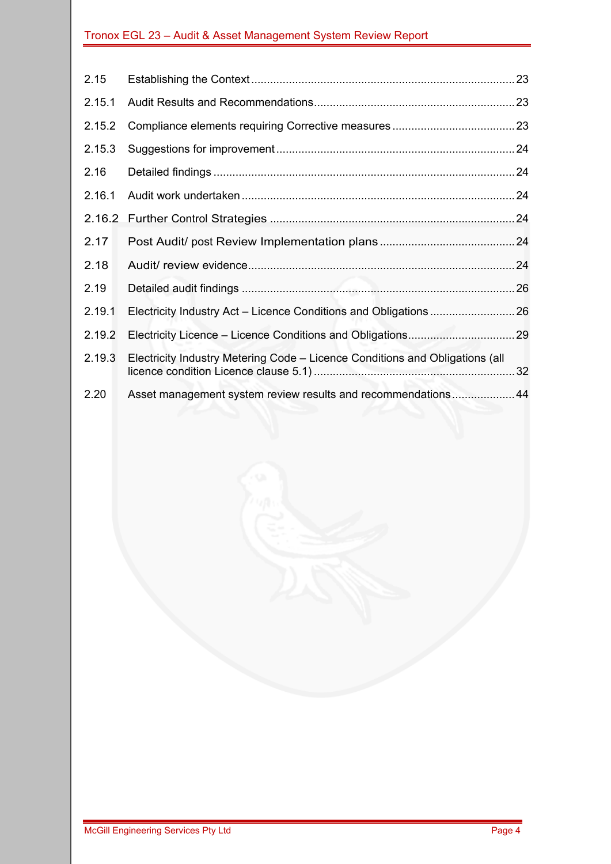| 2.15   |                                                                              |  |  |  |
|--------|------------------------------------------------------------------------------|--|--|--|
| 2.15.1 |                                                                              |  |  |  |
| 2.15.2 |                                                                              |  |  |  |
| 2.15.3 |                                                                              |  |  |  |
| 2.16   |                                                                              |  |  |  |
| 2.16.1 |                                                                              |  |  |  |
| 2.16.2 |                                                                              |  |  |  |
| 2.17   |                                                                              |  |  |  |
| 2.18   |                                                                              |  |  |  |
| 2.19   |                                                                              |  |  |  |
| 2.19.1 |                                                                              |  |  |  |
| 2.19.2 |                                                                              |  |  |  |
| 2.19.3 | Electricity Industry Metering Code - Licence Conditions and Obligations (all |  |  |  |
| 2.20   | Asset management system review results and recommendations44                 |  |  |  |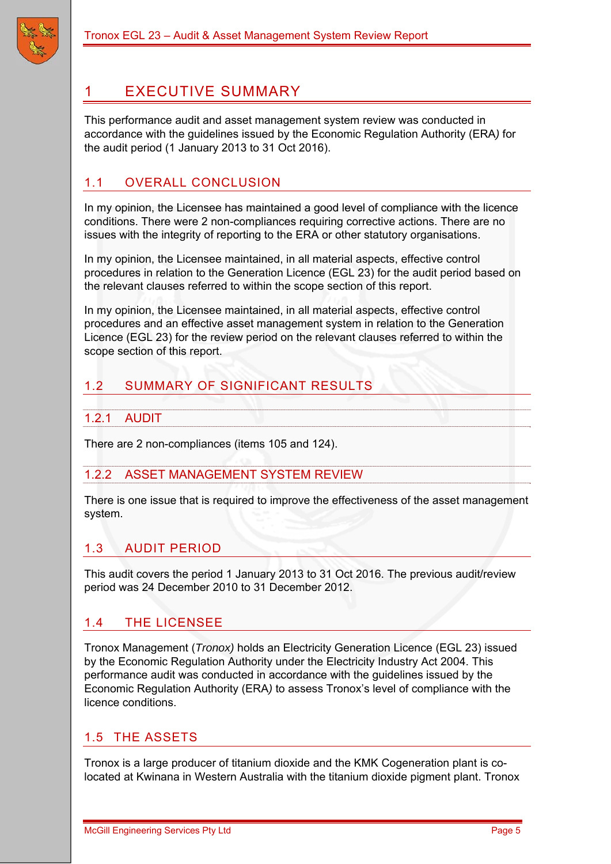

# 1 EXECUTIVE SUMMARY

This performance audit and asset management system review was conducted in accordance with the guidelines issued by the Economic Regulation Authority (ERA*)* for the audit period (1 January 2013 to 31 Oct 2016).

### 1.1 OVERALL CONCLUSION

In my opinion, the Licensee has maintained a good level of compliance with the licence conditions. There were 2 non-compliances requiring corrective actions. There are no issues with the integrity of reporting to the ERA or other statutory organisations.

In my opinion, the Licensee maintained, in all material aspects, effective control procedures in relation to the Generation Licence (EGL 23) for the audit period based on the relevant clauses referred to within the scope section of this report.

In my opinion, the Licensee maintained, in all material aspects, effective control procedures and an effective asset management system in relation to the Generation Licence (EGL 23) for the review period on the relevant clauses referred to within the scope section of this report.

### 1.2 SUMMARY OF SIGNIFICANT RESULTS

#### 1.2.1 AUDIT

There are 2 non-compliances (items 105 and 124).

#### 1.2.2 ASSET MANAGEMENT SYSTEM REVIEW

There is one issue that is required to improve the effectiveness of the asset management system.

### 1.3 AUDIT PERIOD

This audit covers the period 1 January 2013 to 31 Oct 2016. The previous audit/review period was 24 December 2010 to 31 December 2012.

#### 1.4 THE LICENSEE

Tronox Management (*Tronox)* holds an Electricity Generation Licence (EGL 23) issued by the Economic Regulation Authority under the Electricity Industry Act 2004. This performance audit was conducted in accordance with the guidelines issued by the Economic Regulation Authority (ERA*)* to assess Tronox's level of compliance with the licence conditions.

#### 1.5 THE ASSETS

Tronox is a large producer of titanium dioxide and the KMK Cogeneration plant is colocated at Kwinana in Western Australia with the titanium dioxide pigment plant. Tronox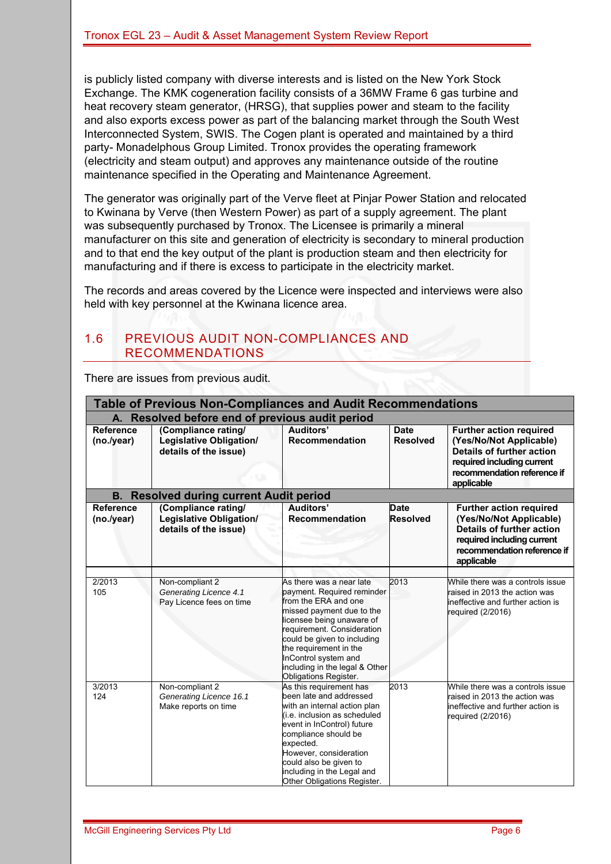is publicly listed company with diverse interests and is listed on the New York Stock Exchange. The KMK cogeneration facility consists of a 36MW Frame 6 gas turbine and heat recovery steam generator, (HRSG), that supplies power and steam to the facility and also exports excess power as part of the balancing market through the South West Interconnected System, SWIS. The Cogen plant is operated and maintained by a third party- Monadelphous Group Limited. Tronox provides the operating framework (electricity and steam output) and approves any maintenance outside of the routine maintenance specified in the Operating and Maintenance Agreement.

The generator was originally part of the Verve fleet at Pinjar Power Station and relocated to Kwinana by Verve (then Western Power) as part of a supply agreement. The plant was subsequently purchased by Tronox. The Licensee is primarily a mineral manufacturer on this site and generation of electricity is secondary to mineral production and to that end the key output of the plant is production steam and then electricity for manufacturing and if there is excess to participate in the electricity market.

The records and areas covered by the Licence were inspected and interviews were also held with key personnel at the Kwinana licence area.

### 1.6 PREVIOUS AUDIT NON-COMPLIANCES AND RECOMMENDATIONS

There are issues from previous audit.

| <b>Table of Previous Non-Compliances and Audit Recommendations</b> |                                                                                |                                                                                                                                                                                                                                                                                                                    |                                |                                                                                                                                                                          |  |  |  |
|--------------------------------------------------------------------|--------------------------------------------------------------------------------|--------------------------------------------------------------------------------------------------------------------------------------------------------------------------------------------------------------------------------------------------------------------------------------------------------------------|--------------------------------|--------------------------------------------------------------------------------------------------------------------------------------------------------------------------|--|--|--|
| A. Resolved before end of previous audit period                    |                                                                                |                                                                                                                                                                                                                                                                                                                    |                                |                                                                                                                                                                          |  |  |  |
| <b>Reference</b><br>(no./year)                                     | (Compliance rating/<br><b>Legislative Obligation/</b><br>details of the issue) | Auditors'<br><b>Recommendation</b>                                                                                                                                                                                                                                                                                 | <b>Date</b><br><b>Resolved</b> | <b>Further action required</b><br>(Yes/No/Not Applicable)<br><b>Details of further action</b><br>required including current<br>recommendation reference if<br>applicable |  |  |  |
|                                                                    | <b>B. Resolved during current Audit period</b>                                 |                                                                                                                                                                                                                                                                                                                    |                                |                                                                                                                                                                          |  |  |  |
| <b>Reference</b><br>(no./year)                                     | (Compliance rating/<br><b>Legislative Obligation/</b><br>details of the issue) | Auditors'<br>Recommendation                                                                                                                                                                                                                                                                                        | <b>Date</b><br><b>Resolved</b> | <b>Further action required</b><br>(Yes/No/Not Applicable)<br><b>Details of further action</b><br>required including current<br>recommendation reference if<br>applicable |  |  |  |
| 2/2013<br>105                                                      | Non-compliant 2<br>Generating Licence 4.1<br>Pay Licence fees on time          | As there was a near late<br>payment. Required reminder<br>from the ERA and one<br>missed payment due to the<br>licensee being unaware of<br>requirement. Consideration<br>could be given to including<br>the requirement in the<br>InControl system and<br>including in the legal & Other<br>Obligations Register. | 2013                           | While there was a controls issue<br>raised in 2013 the action was<br>lineffective and further action is<br>required (2/2016)                                             |  |  |  |
| 3/2013<br>124                                                      | Non-compliant 2<br>Generating Licence 16.1<br>Make reports on time             | As this requirement has<br>been late and addressed<br>with an internal action plan<br>(i.e. inclusion as scheduled<br>event in InControl) future<br>compliance should be<br>expected.<br>However, consideration<br>could also be given to<br>including in the Legal and<br>Other Obligations Register.             | 2013                           | While there was a controls issue<br>raised in 2013 the action was<br>lineffective and further action is<br>required (2/2016)                                             |  |  |  |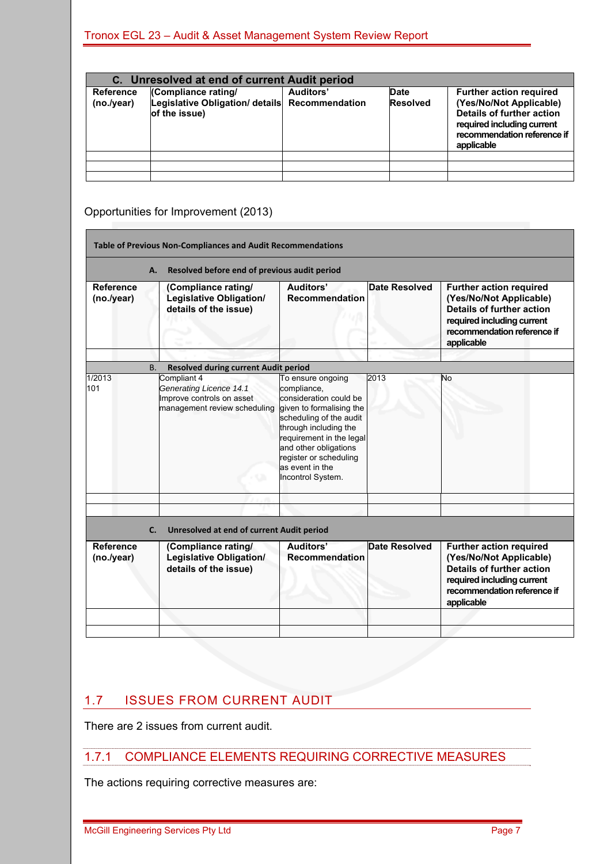| C. Unresolved at end of current Audit period |                                                                                        |                  |                                |                                                                                                                                                                          |  |  |
|----------------------------------------------|----------------------------------------------------------------------------------------|------------------|--------------------------------|--------------------------------------------------------------------------------------------------------------------------------------------------------------------------|--|--|
| <b>Reference</b><br>(no./year)               | (Compliance rating/<br>Legislative Obligation/ details Recommendation<br>of the issue) | <b>Auditors'</b> | <b>Date</b><br><b>Resolved</b> | <b>Further action required</b><br>(Yes/No/Not Applicable)<br><b>Details of further action</b><br>required including current<br>recommendation reference if<br>applicable |  |  |
|                                              |                                                                                        |                  |                                |                                                                                                                                                                          |  |  |
|                                              |                                                                                        |                  |                                |                                                                                                                                                                          |  |  |
|                                              |                                                                                        |                  |                                |                                                                                                                                                                          |  |  |

### Opportunities for Improvement (2013)

|                                | <b>Table of Previous Non-Compliances and Audit Recommendations</b>                                                                                                     |                                                                                                                                                                                                                                                                   |                      |                                                                                                                                                                          |
|--------------------------------|------------------------------------------------------------------------------------------------------------------------------------------------------------------------|-------------------------------------------------------------------------------------------------------------------------------------------------------------------------------------------------------------------------------------------------------------------|----------------------|--------------------------------------------------------------------------------------------------------------------------------------------------------------------------|
|                                | Resolved before end of previous audit period<br>А.                                                                                                                     |                                                                                                                                                                                                                                                                   |                      |                                                                                                                                                                          |
| <b>Reference</b><br>(no./year) | (Compliance rating/<br><b>Legislative Obligation/</b><br>details of the issue)                                                                                         | Auditors'<br><b>Recommendation</b>                                                                                                                                                                                                                                | <b>Date Resolved</b> | <b>Further action required</b><br>(Yes/No/Not Applicable)<br><b>Details of further action</b><br>required including current<br>recommendation reference if<br>applicable |
|                                |                                                                                                                                                                        |                                                                                                                                                                                                                                                                   |                      |                                                                                                                                                                          |
| 1/2013<br>101                  | <b>Resolved during current Audit period</b><br><b>B.</b><br>Compliant 4<br><b>Generating Licence 14.1</b><br>Improve controls on asset<br>management review scheduling | To ensure ongoing<br>compliance,<br>consideration could be<br>given to formalising the<br>scheduling of the audit<br>through including the<br>requirement in the legal<br>and other obligations<br>register or scheduling<br>as event in the<br>Incontrol System. | 2013                 | No                                                                                                                                                                       |
| C.                             | Unresolved at end of current Audit period                                                                                                                              |                                                                                                                                                                                                                                                                   |                      |                                                                                                                                                                          |
| <b>Reference</b><br>(no./year) | (Compliance rating/<br>Legislative Obligation/<br>details of the issue)                                                                                                | Auditors'<br><b>Recommendation</b>                                                                                                                                                                                                                                | Date Resolved        | <b>Further action required</b><br>(Yes/No/Not Applicable)<br><b>Details of further action</b><br>required including current<br>recommendation reference if<br>applicable |
|                                |                                                                                                                                                                        |                                                                                                                                                                                                                                                                   |                      |                                                                                                                                                                          |

### 1.7 ISSUES FROM CURRENT AUDIT

There are 2 issues from current audit.

#### 1.7.1 COMPLIANCE ELEMENTS REQUIRING CORRECTIVE MEASURES

The actions requiring corrective measures are: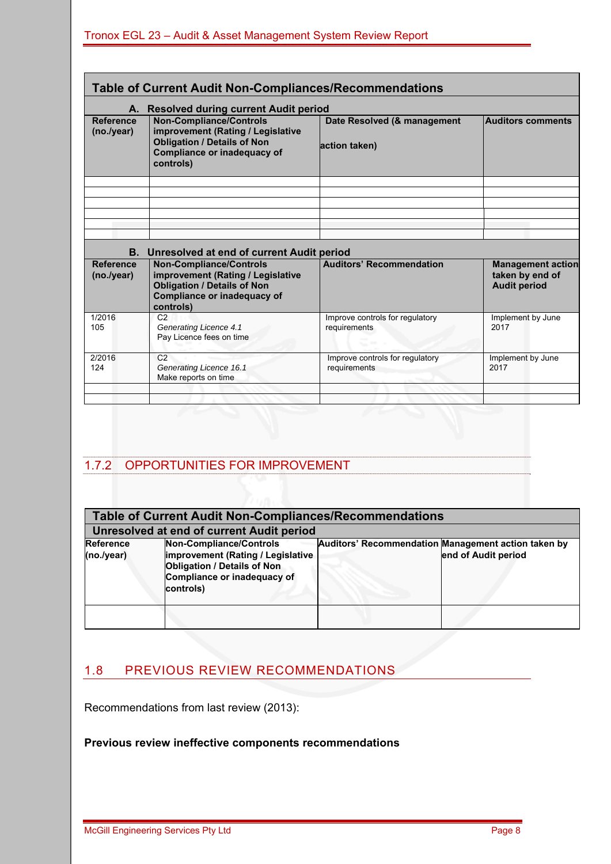|                                | Table of Current Audit Non-Compliances/Recommendations                                                                                                |                                                 |                                                                    |
|--------------------------------|-------------------------------------------------------------------------------------------------------------------------------------------------------|-------------------------------------------------|--------------------------------------------------------------------|
|                                | A. Resolved during current Audit period                                                                                                               |                                                 |                                                                    |
| <b>Reference</b><br>(no./year) | <b>Non-Compliance/Controls</b><br>improvement (Rating / Legislative<br><b>Obligation / Details of Non</b><br>Compliance or inadequacy of<br>controls) | Date Resolved (& management<br>action taken)    | <b>Auditors comments</b>                                           |
|                                |                                                                                                                                                       |                                                 |                                                                    |
|                                | B. Unresolved at end of current Audit period                                                                                                          |                                                 |                                                                    |
| <b>Reference</b><br>(no./year) | <b>Non-Compliance/Controls</b><br>improvement (Rating / Legislative<br><b>Obligation / Details of Non</b><br>Compliance or inadequacy of<br>controls) | <b>Auditors' Recommendation</b>                 | <b>Management action</b><br>taken by end of<br><b>Audit period</b> |
| 1/2016<br>105                  | C <sub>2</sub><br>Generating Licence 4.1<br>Pay Licence fees on time                                                                                  | Improve controls for regulatory<br>requirements | Implement by June<br>2017                                          |
| 2/2016<br>124                  | C <sub>2</sub><br>Generating Licence 16.1<br>Make reports on time                                                                                     | Improve controls for regulatory<br>requirements | Implement by June<br>2017                                          |

### 1.7.2 OPPORTUNITIES FOR IMPROVEMENT

|                                | <b>Table of Current Audit Non-Compliances/Recommendations</b>                                                                                  |  |                                                                            |  |  |  |
|--------------------------------|------------------------------------------------------------------------------------------------------------------------------------------------|--|----------------------------------------------------------------------------|--|--|--|
|                                | Unresolved at end of current Audit period                                                                                                      |  |                                                                            |  |  |  |
| <b>Reference</b><br>(no./year) | Non-Compliance/Controls<br>improvement (Rating / Legislative<br><b>Obligation / Details of Non</b><br>Compliance or inadequacy of<br>controls) |  | Auditors' Recommendation Management action taken by<br>end of Audit period |  |  |  |
|                                |                                                                                                                                                |  |                                                                            |  |  |  |

### 1.8 PREVIOUS REVIEW RECOMMENDATIONS

Recommendations from last review (2013):

# **Previous review ineffective components recommendations**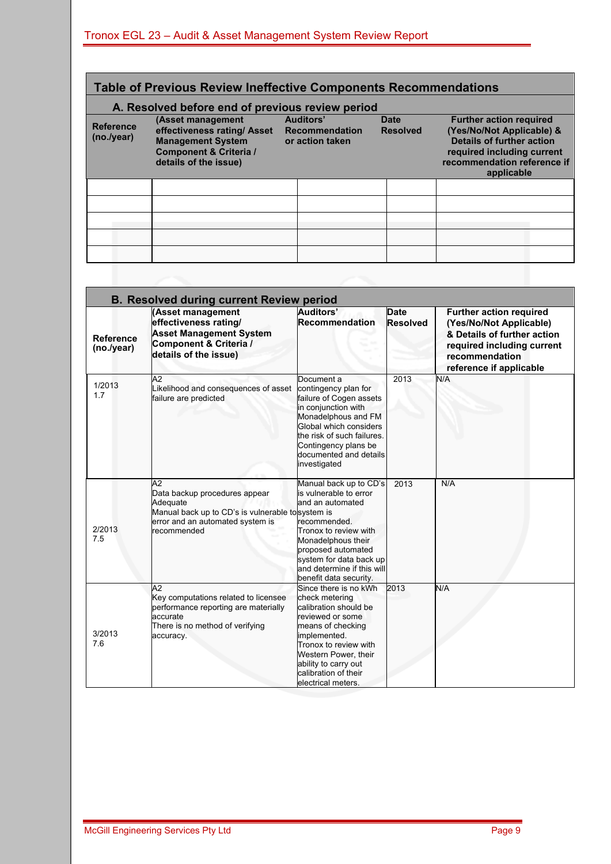### **Table of Previous Review Ineffective Components Recommendations**

### **A. Resolved before end of previous review period**

| $199.9$ $19.1$                 |                                                                                                                                            |  |                                                       |  |                                |                                                                                                                                                                            |  |
|--------------------------------|--------------------------------------------------------------------------------------------------------------------------------------------|--|-------------------------------------------------------|--|--------------------------------|----------------------------------------------------------------------------------------------------------------------------------------------------------------------------|--|
| <b>Reference</b><br>(no./year) | (Asset management<br>effectiveness rating/ Asset<br><b>Management System</b><br><b>Component &amp; Criteria /</b><br>details of the issue) |  | Auditors'<br><b>Recommendation</b><br>or action taken |  | <b>Date</b><br><b>Resolved</b> | <b>Further action required</b><br>(Yes/No/Not Applicable) &<br><b>Details of further action</b><br>required including current<br>recommendation reference if<br>applicable |  |
|                                |                                                                                                                                            |  |                                                       |  |                                |                                                                                                                                                                            |  |
|                                |                                                                                                                                            |  |                                                       |  |                                |                                                                                                                                                                            |  |
|                                |                                                                                                                                            |  |                                                       |  |                                |                                                                                                                                                                            |  |
|                                |                                                                                                                                            |  |                                                       |  |                                |                                                                                                                                                                            |  |
|                                |                                                                                                                                            |  |                                                       |  |                                |                                                                                                                                                                            |  |

|                                | <b>B. Resolved during current Review period</b>                                                                                                        | Auditors'                                                                                                                                                                                                                                        |                                |                                                                                                                                                                     |
|--------------------------------|--------------------------------------------------------------------------------------------------------------------------------------------------------|--------------------------------------------------------------------------------------------------------------------------------------------------------------------------------------------------------------------------------------------------|--------------------------------|---------------------------------------------------------------------------------------------------------------------------------------------------------------------|
| <b>Reference</b><br>(no./year) | (Asset management<br>effectiveness rating/<br><b>Asset Management System</b><br>Component & Criteria /<br>details of the issue)                        | <b>Recommendation</b>                                                                                                                                                                                                                            | <b>Date</b><br><b>Resolved</b> | <b>Further action required</b><br>(Yes/No/Not Applicable)<br>& Details of further action<br>required including current<br>recommendation<br>reference if applicable |
| 1/2013<br>1.7                  | A2<br>Likelihood and consequences of asset<br>failure are predicted                                                                                    | Document a<br>contingency plan for<br>failure of Cogen assets<br>in conjunction with<br>Monadelphous and FM<br>Global which considers<br>the risk of such failures.<br>Contingency plans be<br>documented and details<br>investigated            | 2013                           | N/A                                                                                                                                                                 |
| 2/2013<br>7.5                  | A2<br>Data backup procedures appear<br>Adequate<br>Manual back up to CD's is vulnerable tosystem is<br>error and an automated system is<br>recommended | Manual back up to CD's<br>is vulnerable to error<br>and an automated<br>recommended.<br>Tronox to review with<br>Monadelphous their<br>proposed automated<br>system for data back up<br>and determine if this will<br>benefit data security.     | 2013                           | N/A                                                                                                                                                                 |
| 3/2013<br>7.6                  | A2<br>Key computations related to licensee<br>performance reporting are materially<br>accurate<br>There is no method of verifying<br>accuracy.         | Since there is no kWh<br>check metering<br>calibration should be<br>reviewed or some<br>means of checking<br>implemented.<br>Tronox to review with<br>Western Power, their<br>ability to carry out<br>calibration of their<br>electrical meters. | 2013                           | N/A                                                                                                                                                                 |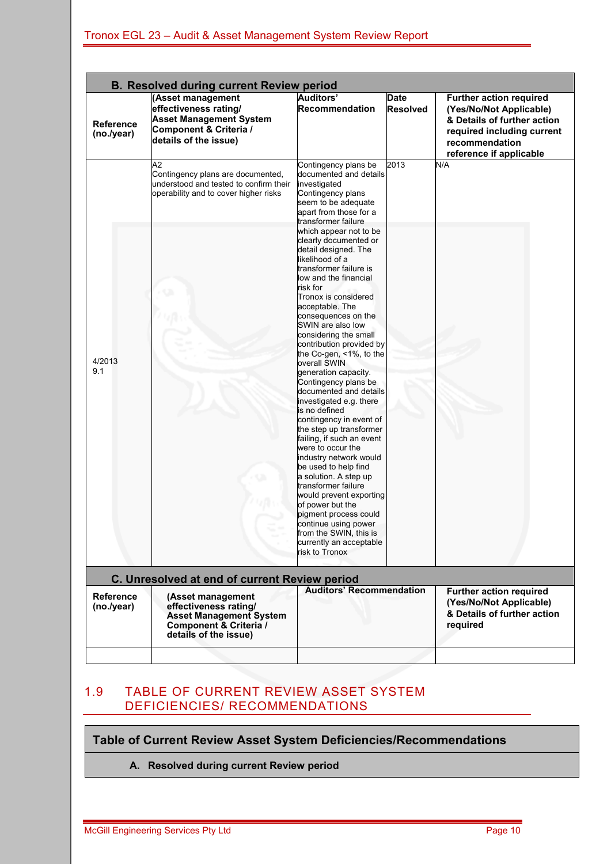|                                | <b>B. Resolved during current Review period</b><br>(Asset management                                                            | <b>Auditors'</b>                                                                                                                                                                                                                                                              | <b>Date</b>     |                                                                                                                                                                     |
|--------------------------------|---------------------------------------------------------------------------------------------------------------------------------|-------------------------------------------------------------------------------------------------------------------------------------------------------------------------------------------------------------------------------------------------------------------------------|-----------------|---------------------------------------------------------------------------------------------------------------------------------------------------------------------|
| <b>Reference</b><br>(no./year) | effectiveness rating/<br><b>Asset Management System</b><br>Component & Criteria /<br>details of the issue)                      | Recommendation                                                                                                                                                                                                                                                                | <b>Resolved</b> | <b>Further action required</b><br>(Yes/No/Not Applicable)<br>& Details of further action<br>required including current<br>recommendation<br>reference if applicable |
|                                | A2<br>Contingency plans are documented,<br>understood and tested to confirm their<br>operability and to cover higher risks      | Contingency plans be<br>documented and details<br>investigated<br>Contingency plans<br>seem to be adequate<br>apart from those for a<br>transformer failure<br>which appear not to be<br>clearly documented or                                                                | 2013            | N/A                                                                                                                                                                 |
|                                |                                                                                                                                 | detail designed. The<br>likelihood of a<br>transformer failure is<br>low and the financial<br>risk for<br>Tronox is considered<br>acceptable. The<br>consequences on the<br>SWIN are also low<br>considering the small<br>contribution provided by<br>the Co-gen, <1%, to the |                 |                                                                                                                                                                     |
| 4/2013<br>9.1                  |                                                                                                                                 | overall SWIN<br>generation capacity.<br>Contingency plans be<br>documented and details<br>investigated e.g. there<br>is no defined<br>contingency in event of<br>the step up transformer<br>failing, if such an event<br>were to occur the                                    |                 |                                                                                                                                                                     |
|                                |                                                                                                                                 | industry network would<br>be used to help find<br>a solution. A step up<br>transformer failure<br>would prevent exporting<br>of power but the<br>pigment process could<br>continue using power<br>from the SWIN, this is<br>currently an acceptable<br>risk to Tronox         |                 |                                                                                                                                                                     |
|                                | C. Unresolved at end of current Review period                                                                                   |                                                                                                                                                                                                                                                                               |                 |                                                                                                                                                                     |
| <b>Reference</b><br>(no./year) | (Asset management<br>effectiveness rating/<br><b>Asset Management System</b><br>Component & Criteria /<br>details of the issue) | <b>Auditors' Recommendation</b>                                                                                                                                                                                                                                               |                 | <b>Further action required</b><br>(Yes/No/Not Applicable)<br>& Details of further action<br>required                                                                |
|                                |                                                                                                                                 |                                                                                                                                                                                                                                                                               |                 |                                                                                                                                                                     |

### 1.9 TABLE OF CURRENT REVIEW ASSET SYSTEM DEFICIENCIES/ RECOMMENDATIONS

#### **Table of Current Review Asset System Deficiencies/Recommendations**

**A. Resolved during current Review period**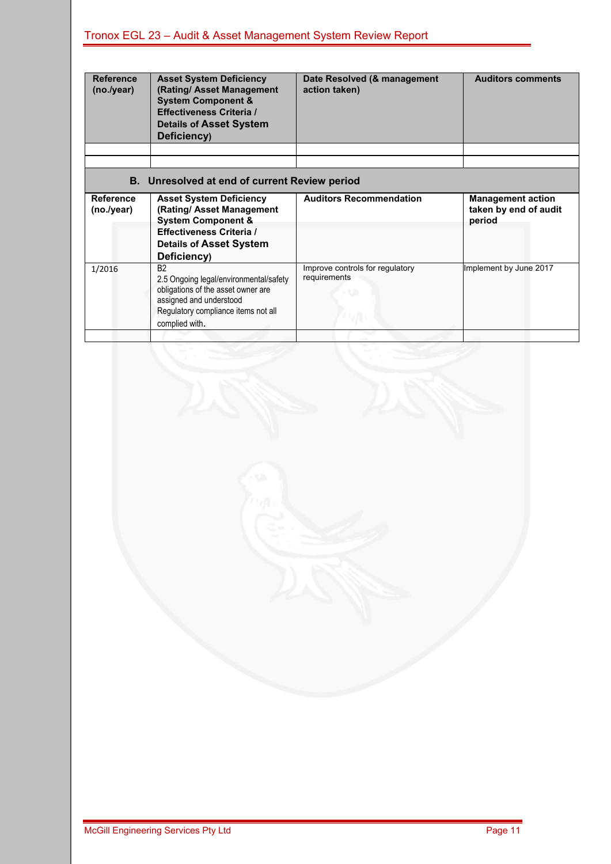| <b>Reference</b><br>(no./year) | <b>Asset System Deficiency</b><br>(Rating/ Asset Management<br><b>System Component &amp;</b><br><b>Effectiveness Criteria /</b><br><b>Details of Asset System</b><br>Deficiency) | Date Resolved (& management<br>action taken) | <b>Auditors comments</b> |
|--------------------------------|----------------------------------------------------------------------------------------------------------------------------------------------------------------------------------|----------------------------------------------|--------------------------|
|                                |                                                                                                                                                                                  |                                              |                          |
|                                | B. Unresolved at end of current Review period                                                                                                                                    |                                              |                          |
| Reference                      | <b>Asset System Deficiency</b>                                                                                                                                                   | <b>Auditors Recommendation</b>               | <b>Management action</b> |
| (no./year)                     | (Rating/ Asset Management                                                                                                                                                        |                                              | taken by end of audit    |
|                                | <b>System Component &amp;</b><br><b>Effectiveness Criteria /</b><br><b>Details of Asset System</b><br>Deficiency)                                                                |                                              | period                   |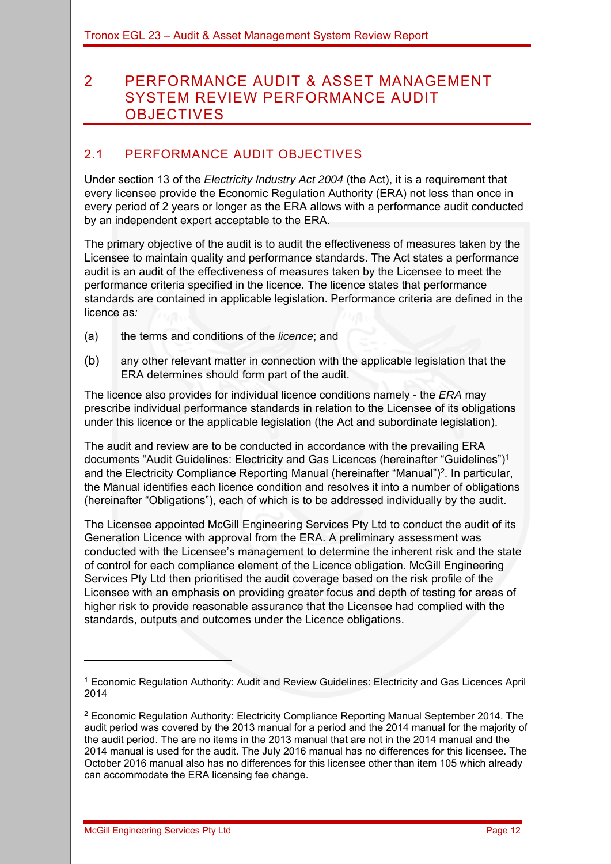# 2 PERFORMANCE AUDIT & ASSET MANAGEMENT SYSTEM REVIEW PERFORMANCE AUDIT **OBJECTIVES**

### 2.1 PERFORMANCE AUDIT OBJECTIVES

Under section 13 of the *Electricity Industry Act 2004* (the Act), it is a requirement that every licensee provide the Economic Regulation Authority (ERA) not less than once in every period of 2 years or longer as the ERA allows with a performance audit conducted by an independent expert acceptable to the ERA.

The primary objective of the audit is to audit the effectiveness of measures taken by the Licensee to maintain quality and performance standards. The Act states a performance audit is an audit of the effectiveness of measures taken by the Licensee to meet the performance criteria specified in the licence. The licence states that performance standards are contained in applicable legislation. Performance criteria are defined in the licence as*:*

- (a) the terms and conditions of the *licence*; and
- (b) any other relevant matter in connection with the applicable legislation that the ERA determines should form part of the audit.

The licence also provides for individual licence conditions namely - the *ERA* may prescribe individual performance standards in relation to the Licensee of its obligations under this licence or the applicable legislation (the Act and subordinate legislation).

The audit and review are to be conducted in accordance with the prevailing ERA documents "Audit Guidelines: Electricity and Gas Licences (hereinafter "Guidelines")1 and the Electricity Compliance Reporting Manual (hereinafter "Manual")<sup>2</sup>. In particular, the Manual identifies each licence condition and resolves it into a number of obligations (hereinafter "Obligations"), each of which is to be addressed individually by the audit.

The Licensee appointed McGill Engineering Services Pty Ltd to conduct the audit of its Generation Licence with approval from the ERA. A preliminary assessment was conducted with the Licensee's management to determine the inherent risk and the state of control for each compliance element of the Licence obligation. McGill Engineering Services Pty Ltd then prioritised the audit coverage based on the risk profile of the Licensee with an emphasis on providing greater focus and depth of testing for areas of higher risk to provide reasonable assurance that the Licensee had complied with the standards, outputs and outcomes under the Licence obligations.

<sup>1</sup> Economic Regulation Authority: Audit and Review Guidelines: Electricity and Gas Licences April 2014

<sup>&</sup>lt;sup>2</sup> Economic Regulation Authority: Electricity Compliance Reporting Manual September 2014. The audit period was covered by the 2013 manual for a period and the 2014 manual for the majority of the audit period. The are no items in the 2013 manual that are not in the 2014 manual and the 2014 manual is used for the audit. The July 2016 manual has no differences for this licensee. The October 2016 manual also has no differences for this licensee other than item 105 which already can accommodate the ERA licensing fee change.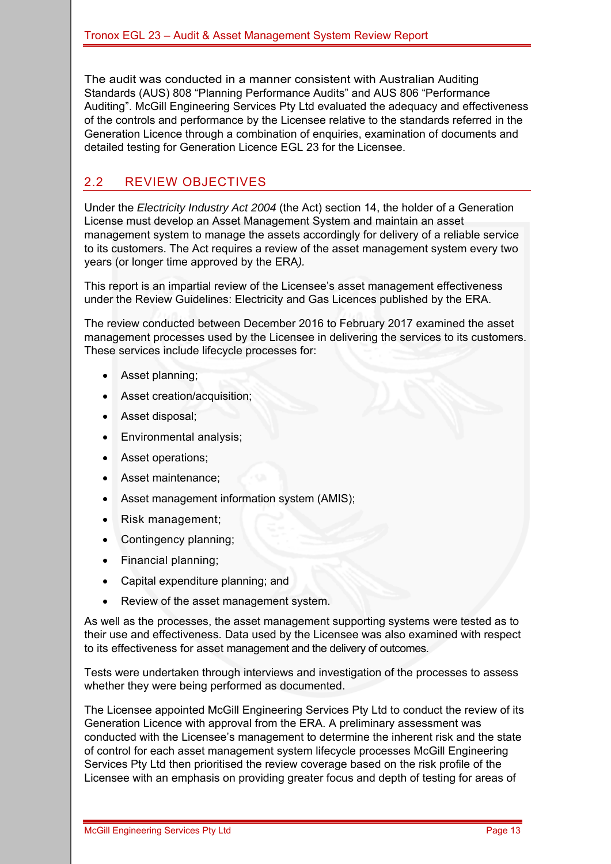The audit was conducted in a manner consistent with Australian Auditing Standards (AUS) 808 "Planning Performance Audits" and AUS 806 "Performance Auditing". McGill Engineering Services Pty Ltd evaluated the adequacy and effectiveness of the controls and performance by the Licensee relative to the standards referred in the Generation Licence through a combination of enquiries, examination of documents and detailed testing for Generation Licence EGL 23 for the Licensee.

### 2.2 REVIEW OBJECTIVES

Under the *Electricity Industry Act 2004* (the Act) section 14, the holder of a Generation License must develop an Asset Management System and maintain an asset management system to manage the assets accordingly for delivery of a reliable service to its customers. The Act requires a review of the asset management system every two years (or longer time approved by the ERA*).*

This report is an impartial review of the Licensee's asset management effectiveness under the Review Guidelines: Electricity and Gas Licences published by the ERA.

The review conducted between December 2016 to February 2017 examined the asset management processes used by the Licensee in delivering the services to its customers. These services include lifecycle processes for:

- Asset planning;
- Asset creation/acquisition;
- Asset disposal;
- Environmental analysis;
- Asset operations;
- Asset maintenance:
- Asset management information system (AMIS);
- Risk management;
- Contingency planning;
- Financial planning;
- Capital expenditure planning; and
- Review of the asset management system.

As well as the processes, the asset management supporting systems were tested as to their use and effectiveness. Data used by the Licensee was also examined with respect to its effectiveness for asset management and the delivery of outcomes.

Tests were undertaken through interviews and investigation of the processes to assess whether they were being performed as documented.

The Licensee appointed McGill Engineering Services Pty Ltd to conduct the review of its Generation Licence with approval from the ERA. A preliminary assessment was conducted with the Licensee's management to determine the inherent risk and the state of control for each asset management system lifecycle processes McGill Engineering Services Pty Ltd then prioritised the review coverage based on the risk profile of the Licensee with an emphasis on providing greater focus and depth of testing for areas of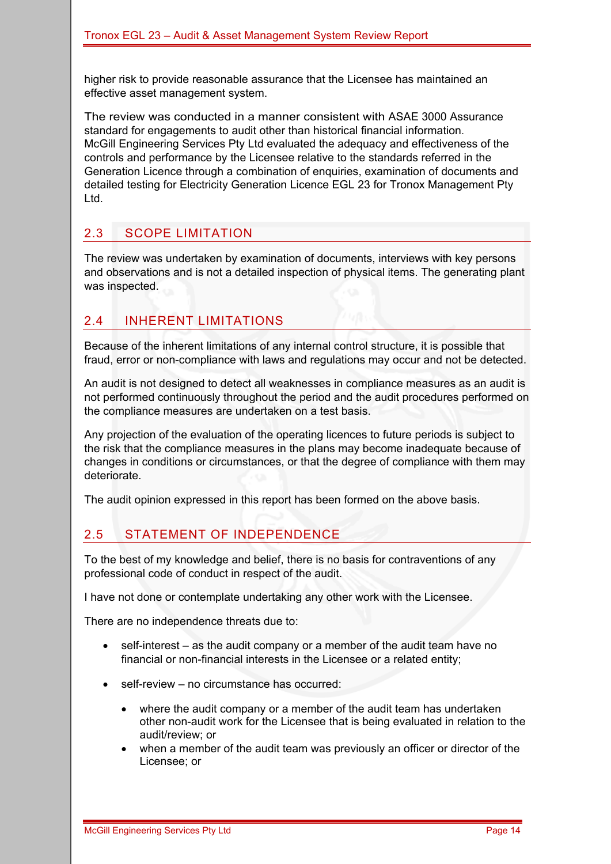higher risk to provide reasonable assurance that the Licensee has maintained an effective asset management system.

The review was conducted in a manner consistent with ASAE 3000 Assurance standard for engagements to audit other than historical financial information. McGill Engineering Services Pty Ltd evaluated the adequacy and effectiveness of the controls and performance by the Licensee relative to the standards referred in the Generation Licence through a combination of enquiries, examination of documents and detailed testing for Electricity Generation Licence EGL 23 for Tronox Management Pty Ltd.

### 2.3 SCOPE LIMITATION

The review was undertaken by examination of documents, interviews with key persons and observations and is not a detailed inspection of physical items. The generating plant was inspected.

### 2.4 INHERENT LIMITATIONS

Because of the inherent limitations of any internal control structure, it is possible that fraud, error or non-compliance with laws and regulations may occur and not be detected.

An audit is not designed to detect all weaknesses in compliance measures as an audit is not performed continuously throughout the period and the audit procedures performed on the compliance measures are undertaken on a test basis.

Any projection of the evaluation of the operating licences to future periods is subject to the risk that the compliance measures in the plans may become inadequate because of changes in conditions or circumstances, or that the degree of compliance with them may deteriorate.

The audit opinion expressed in this report has been formed on the above basis.

# 2.5 STATEMENT OF INDEPENDENCE

To the best of my knowledge and belief, there is no basis for contraventions of any professional code of conduct in respect of the audit.

I have not done or contemplate undertaking any other work with the Licensee.

There are no independence threats due to:

- self-interest as the audit company or a member of the audit team have no financial or non-financial interests in the Licensee or a related entity;
- self-review no circumstance has occurred:
	- where the audit company or a member of the audit team has undertaken other non-audit work for the Licensee that is being evaluated in relation to the audit/review; or
	- when a member of the audit team was previously an officer or director of the Licensee; or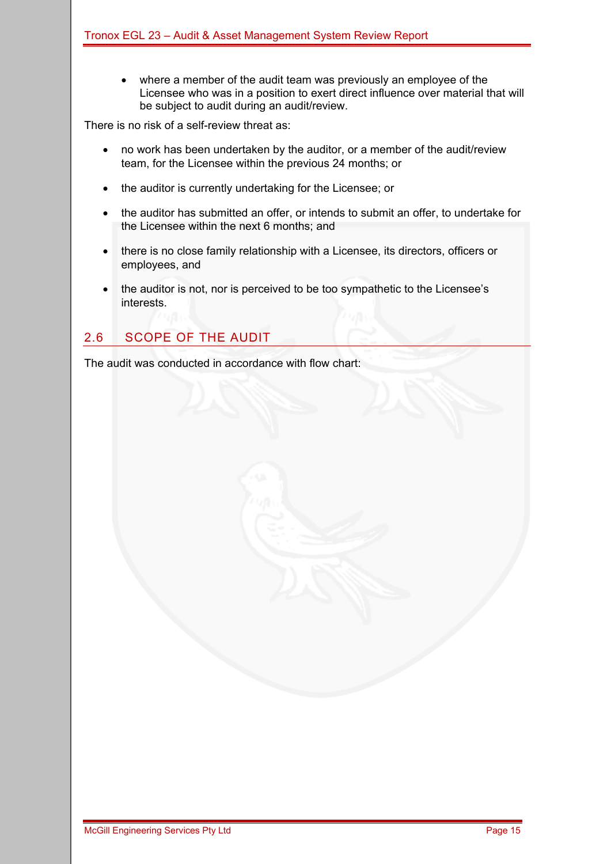where a member of the audit team was previously an employee of the Licensee who was in a position to exert direct influence over material that will be subject to audit during an audit/review.

There is no risk of a self-review threat as:

- no work has been undertaken by the auditor, or a member of the audit/review team, for the Licensee within the previous 24 months; or
- the auditor is currently undertaking for the Licensee; or
- the auditor has submitted an offer, or intends to submit an offer, to undertake for the Licensee within the next 6 months; and
- there is no close family relationship with a Licensee, its directors, officers or employees, and
- the auditor is not, nor is perceived to be too sympathetic to the Licensee's interests.

### 2.6 SCOPE OF THE AUDIT

The audit was conducted in accordance with flow chart: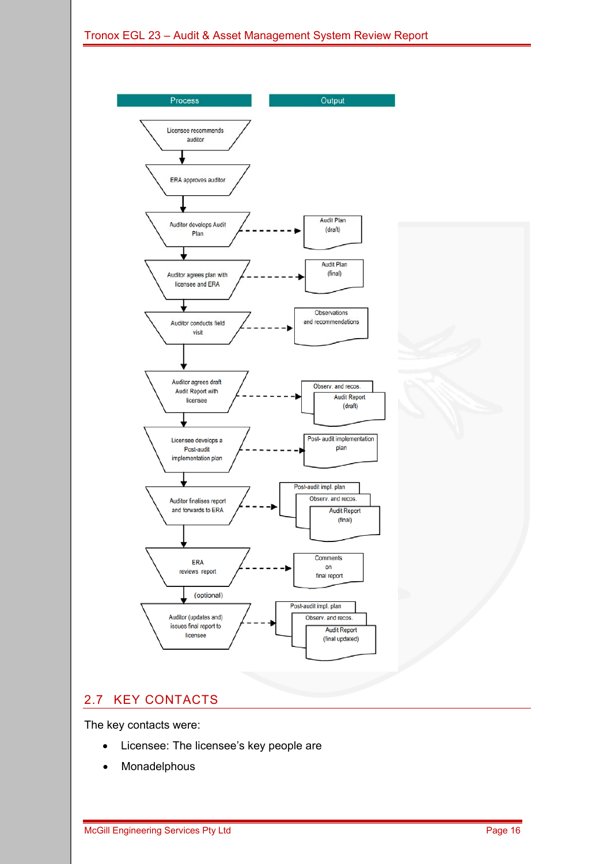

### 2.7 KEY CONTACTS

The key contacts were:

- Licensee: The licensee's key people are
- Monadelphous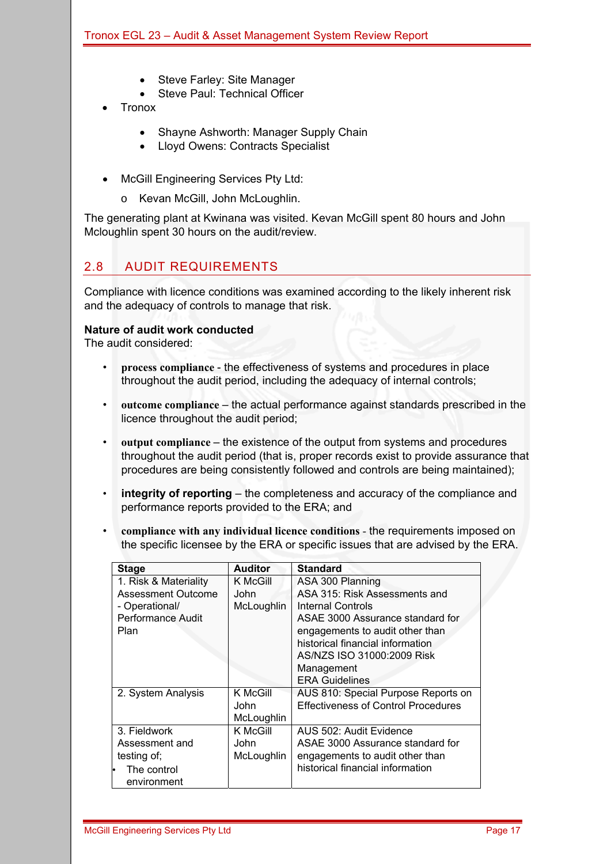- Steve Farley: Site Manager
- Steve Paul: Technical Officer
- **Tronox** 
	- Shayne Ashworth: Manager Supply Chain
	- Lloyd Owens: Contracts Specialist
- McGill Engineering Services Pty Ltd:
	- o Kevan McGill, John McLoughlin.

The generating plant at Kwinana was visited. Kevan McGill spent 80 hours and John Mcloughlin spent 30 hours on the audit/review.

### 2.8 AUDIT REQUIREMENTS

Compliance with licence conditions was examined according to the likely inherent risk and the adequacy of controls to manage that risk.

#### **Nature of audit work conducted**

The audit considered:

- **process compliance** the effectiveness of systems and procedures in place throughout the audit period, including the adequacy of internal controls;
- **outcome compliance** the actual performance against standards prescribed in the licence throughout the audit period;
- **output compliance** the existence of the output from systems and procedures throughout the audit period (that is, proper records exist to provide assurance that procedures are being consistently followed and controls are being maintained);
- **integrity of reporting** the completeness and accuracy of the compliance and performance reports provided to the ERA; and
- **compliance with any individual licence conditions** the requirements imposed on the specific licensee by the ERA or specific issues that are advised by the ERA.

| <b>Stage</b>             | <b>Auditor</b> | <b>Standard</b>                            |
|--------------------------|----------------|--------------------------------------------|
| 1. Risk & Materiality    | K McGill       | ASA 300 Planning                           |
| Assessment Outcome       | John           | ASA 315: Risk Assessments and              |
| - Operational/           | McLoughlin     | Internal Controls                          |
| <b>Performance Audit</b> |                | ASAE 3000 Assurance standard for           |
| Plan                     |                | engagements to audit other than            |
|                          |                | historical financial information           |
|                          |                | AS/NZS ISO 31000:2009 Risk                 |
|                          |                | Management                                 |
|                          |                | <b>ERA Guidelines</b>                      |
| 2. System Analysis       | K McGill       | AUS 810: Special Purpose Reports on        |
|                          | John           | <b>Effectiveness of Control Procedures</b> |
|                          | McLoughlin     |                                            |
| 3. Fieldwork             | K McGill       | AUS 502: Audit Evidence                    |
| Assessment and           | <b>John</b>    | ASAE 3000 Assurance standard for           |
| testing of;              | McLoughlin     | engagements to audit other than            |
| The control              |                | historical financial information           |
| environment              |                |                                            |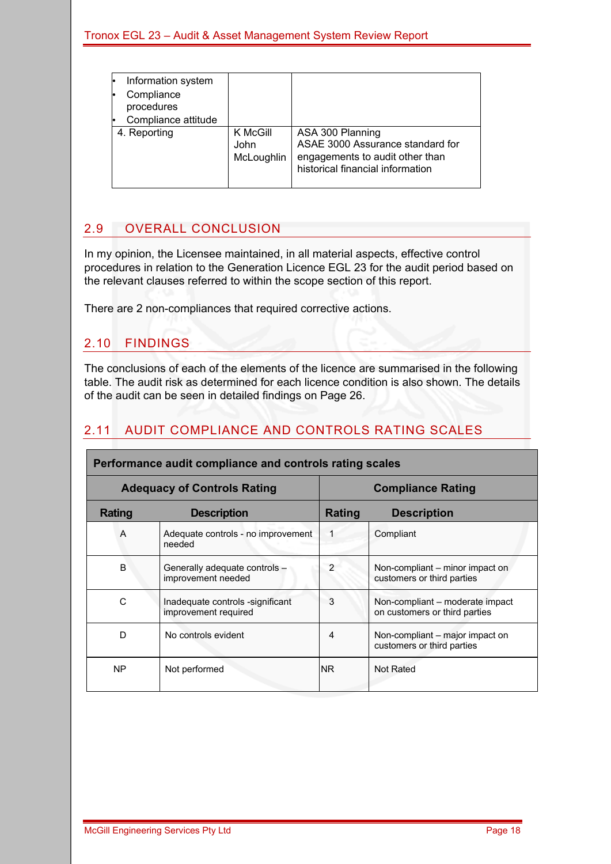| Information system<br>Compliance<br>procedures<br>Compliance attitude |                                |                                                                                                                             |
|-----------------------------------------------------------------------|--------------------------------|-----------------------------------------------------------------------------------------------------------------------------|
| 4. Reporting                                                          | K McGill<br>John<br>McLoughlin | ASA 300 Planning<br>ASAE 3000 Assurance standard for<br>engagements to audit other than<br>historical financial information |

### 2.9 OVERALL CONCLUSION

In my opinion, the Licensee maintained, in all material aspects, effective control procedures in relation to the Generation Licence EGL 23 for the audit period based on the relevant clauses referred to within the scope section of this report.

There are 2 non-compliances that required corrective actions.

### 2.10 FINDINGS

The conclusions of each of the elements of the licence are summarised in the following table. The audit risk as determined for each licence condition is also shown. The details of the audit can be seen in detailed findings on Page 26.

### 2.11 AUDIT COMPLIANCE AND CONTROLS RATING SCALES

|                | Performance audit compliance and controls rating scales  |                          |                                                                  |  |  |  |  |  |  |  |
|----------------|----------------------------------------------------------|--------------------------|------------------------------------------------------------------|--|--|--|--|--|--|--|
|                | <b>Adequacy of Controls Rating</b>                       | <b>Compliance Rating</b> |                                                                  |  |  |  |  |  |  |  |
| <b>Rating</b>  | <b>Description</b>                                       | Rating                   | <b>Description</b>                                               |  |  |  |  |  |  |  |
| $\overline{A}$ | Adequate controls - no improvement<br>needed             |                          | Compliant                                                        |  |  |  |  |  |  |  |
| B              | Generally adequate controls -<br>improvement needed      | 2                        | Non-compliant – minor impact on<br>customers or third parties    |  |  |  |  |  |  |  |
| С              | Inadequate controls -significant<br>improvement required | 3                        | Non-compliant – moderate impact<br>on customers or third parties |  |  |  |  |  |  |  |
| D              | No controls evident                                      | 4                        | Non-compliant – major impact on<br>customers or third parties    |  |  |  |  |  |  |  |
| <b>NP</b>      | Not performed                                            | NR.                      | Not Rated                                                        |  |  |  |  |  |  |  |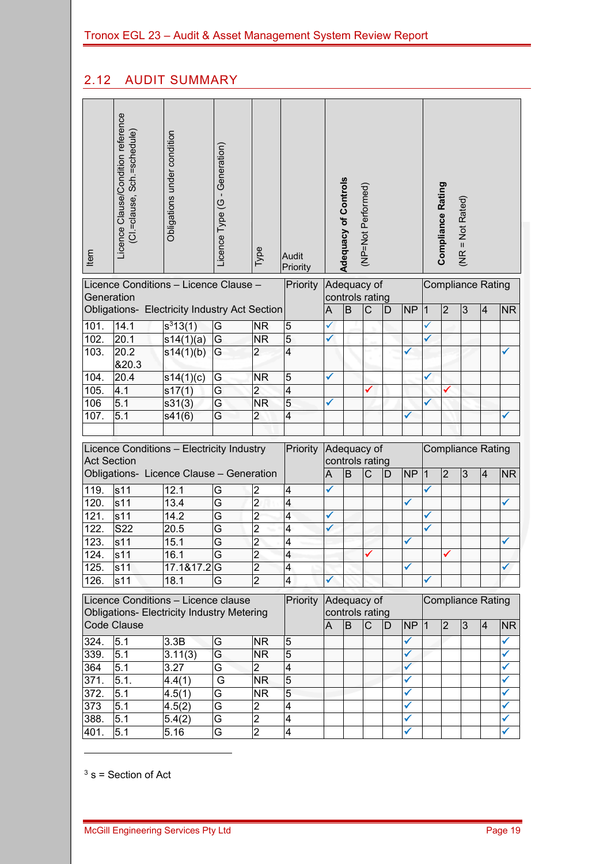# 2.12 AUDIT SUMMARY

| Item               | Licence Clause/Condition reference<br>(Cl.=clause, Sch.=schedule) | Obligations under condition                                                              | Licence Type (G - Generation) | Type           | Audit<br>Priority       |              | <b>Adequacy of Controls</b> | (NP=Not Performed)             |    |                   |           | Compliance Rating | $(NR = Not Rated)$ |                          |                |
|--------------------|-------------------------------------------------------------------|------------------------------------------------------------------------------------------|-------------------------------|----------------|-------------------------|--------------|-----------------------------|--------------------------------|----|-------------------|-----------|-------------------|--------------------|--------------------------|----------------|
| Generation         |                                                                   | Licence Conditions - Licence Clause -                                                    |                               |                | Priority                |              |                             | Adequacy of<br>controls rating |    |                   |           |                   |                    | <b>Compliance Rating</b> |                |
|                    |                                                                   | Obligations- Electricity Industry Act Section                                            |                               |                |                         | A            | $\overline{B}$              | C                              | D  | <b>NP</b>         | $\vert$ 1 | $\overline{2}$    | 3                  | $\overline{4}$           | <b>NR</b>      |
| 101.               | 14.1                                                              | $s^313(1)$                                                                               | G                             | <b>NR</b>      | 5                       | ✓            |                             |                                |    |                   | ✓         |                   |                    |                          |                |
| 102.               | 20.1                                                              | s14(1)(a)                                                                                | G                             | <b>NR</b>      | $5\overline{5}$         | $\checkmark$ |                             |                                |    |                   |           |                   |                    |                          |                |
| 103.               | 20.2<br>820.3                                                     | s14(1)(b)                                                                                | G                             | $\overline{2}$ | $\overline{4}$          |              |                             |                                |    |                   |           |                   |                    |                          |                |
| 104.               | 20.4                                                              | s14(1)(c)                                                                                | G                             | <b>NR</b>      | 5                       | ✔            |                             |                                |    |                   |           |                   |                    |                          |                |
| 105.               | 4.1                                                               | s17(1)                                                                                   | G                             | $\overline{c}$ | $\overline{4}$          |              |                             |                                |    |                   |           |                   |                    |                          |                |
| 106                | 5.1                                                               | s31(3)                                                                                   | G                             | <b>NR</b>      | 5                       | ✔            |                             |                                |    |                   |           |                   |                    |                          |                |
| 107.               | 5.1                                                               | s41(6)                                                                                   | G                             | $\overline{2}$ | $\overline{4}$          |              |                             |                                |    |                   |           |                   |                    |                          | √              |
|                    |                                                                   |                                                                                          |                               |                |                         |              |                             |                                |    |                   |           |                   |                    |                          |                |
| <b>Act Section</b> |                                                                   | Licence Conditions - Electricity Industry                                                |                               |                | Priority                |              |                             | Adequacy of<br>controls rating |    |                   |           |                   |                    | <b>Compliance Rating</b> |                |
|                    |                                                                   | Obligations- Licence Clause - Generation                                                 |                               |                |                         | A            | B                           | $\mathsf C$                    | D  | <b>NP</b>         | $\vert$ 1 | $\overline{2}$    | $\overline{3}$     | $\overline{4}$           | <b>NR</b>      |
| 119.               | s <sub>11</sub>                                                   | 12.1                                                                                     | G                             | $\overline{2}$ | 4                       | ✓            |                             |                                |    |                   |           |                   |                    |                          |                |
| 120.               | s <sub>11</sub>                                                   | 13.4                                                                                     | G                             | $\overline{2}$ | $\overline{4}$          |              |                             |                                |    | ✓                 |           |                   |                    |                          | ✓              |
| 121.               | s11                                                               | 14.2                                                                                     | G                             | $\overline{2}$ | $\overline{4}$          |              |                             |                                |    |                   |           |                   |                    |                          |                |
| 122.               | <b>S22</b>                                                        | 20.5                                                                                     | G                             | $\overline{2}$ | 4                       | ✓            |                             |                                |    |                   | ✔         |                   |                    |                          |                |
| 123.               | s11                                                               | 15.1                                                                                     | G                             | $\overline{2}$ | $\overline{\mathbf{4}}$ |              |                             |                                |    | ✓                 |           |                   |                    |                          | $\checkmark$   |
| 124.               | s11                                                               | 16.1                                                                                     | $\overline{\mathsf{G}}$       | $\overline{2}$ | Λ                       |              |                             |                                |    |                   |           |                   |                    |                          |                |
| 125.               | s11                                                               | 17.1&17.2G                                                                               |                               | $\overline{2}$ | 4                       |              |                             |                                |    | ✓                 |           |                   |                    |                          |                |
| 126.               | s11                                                               | 18.1                                                                                     | G                             | $\overline{2}$ | 4                       | ✓            |                             |                                |    |                   |           |                   |                    |                          |                |
|                    |                                                                   | Licence Conditions - Licence clause<br><b>Obligations- Electricity Industry Metering</b> |                               |                | Priority                |              |                             | Adequacy of<br>controls rating |    |                   |           |                   |                    | <b>Compliance Rating</b> |                |
|                    | <b>Code Clause</b>                                                |                                                                                          |                               |                |                         | A            | <b>B</b>                    | $\mathsf{C}$                   | ID | $NP$ <sup>1</sup> |           | 2                 | 3                  | $\overline{4}$           | N <sub>R</sub> |
| 324.               | 5.1                                                               | 3.3B                                                                                     | G                             | <b>NR</b>      | 5                       |              |                             |                                |    | ✓                 |           |                   |                    |                          | ✓              |
| 339.               | 5.1                                                               | 3.11(3)                                                                                  | G                             | <b>NR</b>      | $\overline{5}$          |              |                             |                                |    |                   |           |                   |                    |                          |                |
| 364                | 5.1                                                               | 3.27                                                                                     | Ġ                             | $\overline{c}$ | 4                       |              |                             |                                |    | ✓                 |           |                   |                    |                          | ✔              |
| 371.               | 5.1.                                                              | 4.4(1)                                                                                   | G                             | <b>NR</b>      | 5                       |              |                             |                                |    | ✔                 |           |                   |                    |                          | ✔              |
| 372.               | 5.1                                                               | 4.5(1)                                                                                   | G                             | NR.            | 5                       |              |                             |                                |    |                   |           |                   |                    |                          |                |
| 373                | 5.1                                                               | 4.5(2)                                                                                   | G                             | $\overline{2}$ | 4                       |              |                             |                                |    | ✓                 |           |                   |                    |                          | ✔              |
| 388.               | 5.1                                                               | 5.4(2)                                                                                   | G                             | $\overline{2}$ | 4                       |              |                             |                                |    | ✔                 |           |                   |                    |                          | ✔              |
| 401.               | 5.1                                                               | 5.16                                                                                     | G                             | $\overline{2}$ | 4                       |              |                             |                                |    | ✓                 |           |                   |                    |                          | $\checkmark$   |

 $3 s =$  Section of Act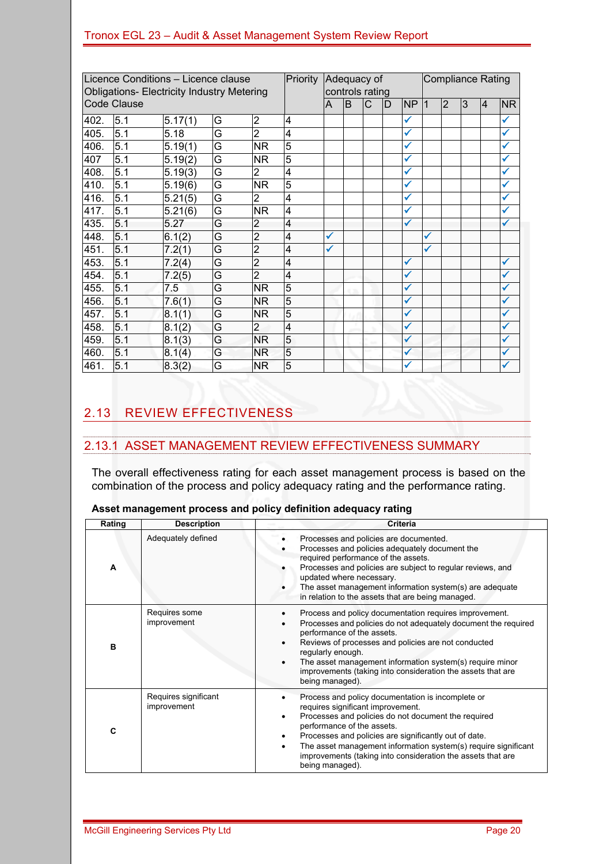| Licence Conditions - Licence clause<br><b>Obligations- Electricity Industry Metering</b> |                    |         |   | Priority       | <b>Compliance Rating</b><br>Adequacy of<br>controls rating |   |    |              |   |              |    |                |   |          |              |
|------------------------------------------------------------------------------------------|--------------------|---------|---|----------------|------------------------------------------------------------|---|----|--------------|---|--------------|----|----------------|---|----------|--------------|
|                                                                                          | <b>Code Clause</b> |         |   |                |                                                            | A | lΒ | $\mathsf{C}$ | D | <b>NP</b>    | 11 | $\overline{2}$ | 3 | <b>4</b> | <b>NR</b>    |
| 402.                                                                                     | 5.1                | 5.17(1) | G | $\overline{2}$ | $\overline{4}$                                             |   |    |              |   | ✓            |    |                |   |          | ✓            |
| 405.                                                                                     | 5.1                | 5.18    | G | $\overline{2}$ | $\overline{4}$                                             |   |    |              |   | ✓            |    |                |   |          | ✓            |
| 406.                                                                                     | 5.1                | 5.19(1) | G | <b>NR</b>      | $\overline{5}$                                             |   |    |              |   | ✔            |    |                |   |          | ✓            |
| 407                                                                                      | 5.1                | 5.19(2) | G | <b>NR</b>      | $\overline{5}$                                             |   |    |              |   | $\checkmark$ |    |                |   |          | $\checkmark$ |
| 408.                                                                                     | 5.1                | 5.19(3) | G | $\overline{2}$ | 4                                                          |   |    |              |   | $\checkmark$ |    |                |   |          | ✓            |
| 410.                                                                                     | 5.1                | 5.19(6) | G | <b>NR</b>      | 5                                                          |   |    |              |   | ✓            |    |                |   |          | ✓            |
| 416.                                                                                     | 5.1                | 5.21(5) | G | $\overline{2}$ | $\overline{4}$                                             |   |    |              |   | ✔            |    |                |   |          | ✓            |
| 417.                                                                                     | 5.1                | 5.21(6) | G | <b>NR</b>      | $\overline{4}$                                             |   |    |              |   | $\checkmark$ |    |                |   |          | $\checkmark$ |
| 435.                                                                                     | 5.1                | 5.27    | G | $\overline{2}$ | $\overline{4}$                                             |   |    |              |   | $\checkmark$ |    |                |   |          | ✓            |
| 448.                                                                                     | 5.1                | 6.1(2)  | G | $\overline{2}$ | 4                                                          | ✓ |    |              |   |              | ✓  |                |   |          |              |
| 451.                                                                                     | 5.1                | 7.2(1)  | G | $\overline{2}$ | $\overline{4}$                                             | ✓ |    |              |   |              | ✓  |                |   |          |              |
| 453.                                                                                     | 5.1                | 7.2(4)  | G | $\overline{2}$ | $\overline{4}$                                             |   |    |              |   | $\checkmark$ |    |                |   |          | $\checkmark$ |
| 454.                                                                                     | 5.1                | 7.2(5)  | G | $\overline{2}$ | $\overline{4}$                                             |   |    |              |   | $\checkmark$ |    |                |   |          | ✓            |
| 455.                                                                                     | 5.1                | 7.5     | G | <b>NR</b>      | 5                                                          |   |    |              |   | $\checkmark$ |    |                |   |          | ✓            |
| 456.                                                                                     | 5.1                | 7.6(1)  | G | <b>NR</b>      | 5                                                          |   |    |              |   | ✓            |    |                |   |          | ✓            |
| 457.                                                                                     | 5.1                | 8.1(1)  | G | NR.            | 5                                                          |   |    |              |   | ✓            |    |                |   |          | ✓            |
| 458.                                                                                     | 5.1                | 8.1(2)  | G | $\overline{2}$ | $\overline{4}$                                             |   |    |              |   | $\checkmark$ |    |                |   |          | ✓            |
| 459.                                                                                     | 5.1                | 8.1(3)  | G | <b>NR</b>      | 5                                                          |   |    |              |   | $\checkmark$ |    |                |   |          | ✓            |
| 460.                                                                                     | 5.1                | 8.1(4)  | G | NR.            | 5                                                          |   |    |              |   | $\checkmark$ |    |                |   |          | ✓            |
| 461.                                                                                     | 5.1                | 8.3(2)  | G | <b>NR</b>      | 5                                                          |   |    |              |   | $\checkmark$ |    |                |   |          | ✓            |

# 2.13 REVIEW EFFECTIVENESS

### 2.13.1 ASSET MANAGEMENT REVIEW EFFECTIVENESS SUMMARY

The overall effectiveness rating for each asset management process is based on the combination of the process and policy adequacy rating and the performance rating.

| Rating | <b>Description</b>                  | Criteria                                                                                                                                                                                                                                                                                                                                                                                 |
|--------|-------------------------------------|------------------------------------------------------------------------------------------------------------------------------------------------------------------------------------------------------------------------------------------------------------------------------------------------------------------------------------------------------------------------------------------|
| A      | Adequately defined                  | Processes and policies are documented.<br>Processes and policies adequately document the<br>required performance of the assets.<br>Processes and policies are subject to regular reviews, and<br>updated where necessary.<br>The asset management information system(s) are adequate<br>in relation to the assets that are being managed.                                                |
| B      | Requires some<br>improvement        | Process and policy documentation requires improvement.<br>Processes and policies do not adequately document the required<br>performance of the assets.<br>Reviews of processes and policies are not conducted<br>regularly enough.<br>The asset management information system(s) require minor<br>improvements (taking into consideration the assets that are<br>being managed).         |
| C      | Requires significant<br>improvement | Process and policy documentation is incomplete or<br>requires significant improvement.<br>Processes and policies do not document the required<br>performance of the assets.<br>Processes and policies are significantly out of date.<br>The asset management information system(s) require significant<br>improvements (taking into consideration the assets that are<br>being managed). |

**Asset management process and policy definition adequacy rating**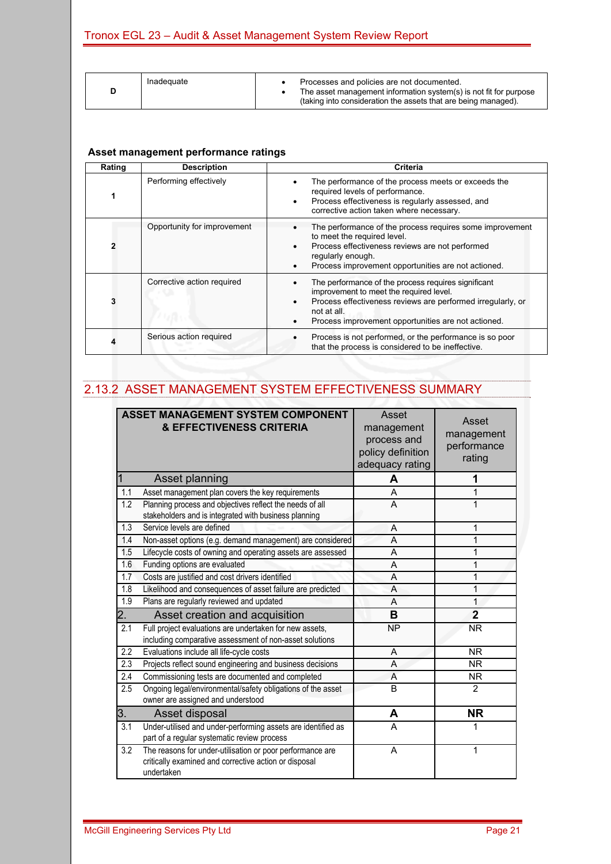|  | Inadeguate | Processes and policies are not documented.<br>The asset management information system(s) is not fit for purpose |
|--|------------|-----------------------------------------------------------------------------------------------------------------|
|  |            | (taking into consideration the assets that are being managed).                                                  |

#### **Asset management performance ratings**

| Rating | <b>Description</b>          | Criteria                                                                                                                                                                                                                            |
|--------|-----------------------------|-------------------------------------------------------------------------------------------------------------------------------------------------------------------------------------------------------------------------------------|
|        | Performing effectively      | The performance of the process meets or exceeds the<br>required levels of performance.<br>Process effectiveness is regularly assessed, and<br>corrective action taken where necessary.                                              |
|        | Opportunity for improvement | The performance of the process requires some improvement<br>to meet the required level.<br>Process effectiveness reviews are not performed<br>regularly enough.<br>Process improvement opportunities are not actioned.              |
|        | Corrective action required  | The performance of the process requires significant<br>improvement to meet the required level.<br>Process effectiveness reviews are performed irregularly, or<br>not at all.<br>Process improvement opportunities are not actioned. |
|        | Serious action required     | Process is not performed, or the performance is so poor<br>that the process is considered to be ineffective.                                                                                                                        |

### 2.13.2 ASSET MANAGEMENT SYSTEM EFFECTIVENESS SUMMARY

|                  | <b>ASSET MANAGEMENT SYSTEM COMPONENT</b><br><b>&amp; EFFECTIVENESS CRITERIA</b>                                                  | Asset<br>management<br>process and<br>policy definition<br>adequacy rating | Asset<br>management<br>performance<br>rating |
|------------------|----------------------------------------------------------------------------------------------------------------------------------|----------------------------------------------------------------------------|----------------------------------------------|
|                  | Asset planning                                                                                                                   | A                                                                          | 1                                            |
| 1.1              | Asset management plan covers the key requirements                                                                                | A                                                                          |                                              |
| 1.2              | Planning process and objectives reflect the needs of all<br>stakeholders and is integrated with business planning                | A                                                                          |                                              |
| 1.3              | Service levels are defined                                                                                                       | A                                                                          | 1                                            |
| 1.4              | Non-asset options (e.g. demand management) are considered                                                                        | A                                                                          | 1                                            |
| 1.5              | Lifecycle costs of owning and operating assets are assessed                                                                      | A                                                                          | 1                                            |
| 1.6              | Funding options are evaluated                                                                                                    | A                                                                          |                                              |
| 1.7              | Costs are justified and cost drivers identified                                                                                  | A                                                                          | 1                                            |
| 1.8              | Likelihood and consequences of asset failure are predicted                                                                       | A                                                                          | 1                                            |
| 1.9              | Plans are regularly reviewed and updated                                                                                         | A                                                                          | 1                                            |
| $\overline{2}$ . | Asset creation and acquisition                                                                                                   | в                                                                          | $\overline{2}$                               |
| 2.1              | Full project evaluations are undertaken for new assets,<br>including comparative assessment of non-asset solutions               | <b>NP</b>                                                                  | <b>NR</b>                                    |
| $\overline{2.2}$ | Evaluations include all life-cycle costs                                                                                         | A                                                                          | <b>NR</b>                                    |
| 2.3              | Projects reflect sound engineering and business decisions                                                                        | A                                                                          | NR.                                          |
| 2.4              | Commissioning tests are documented and completed                                                                                 | A                                                                          | <b>NR</b>                                    |
| 2.5              | Ongoing legal/environmental/safety obligations of the asset<br>owner are assigned and understood                                 | B                                                                          | $\overline{2}$                               |
| 3.               | Asset disposal                                                                                                                   | A                                                                          | <b>NR</b>                                    |
| $\overline{3.1}$ | Under-utilised and under-performing assets are identified as<br>part of a regular systematic review process                      | A                                                                          |                                              |
| 3.2              | The reasons for under-utilisation or poor performance are<br>critically examined and corrective action or disposal<br>undertaken | A                                                                          | 1                                            |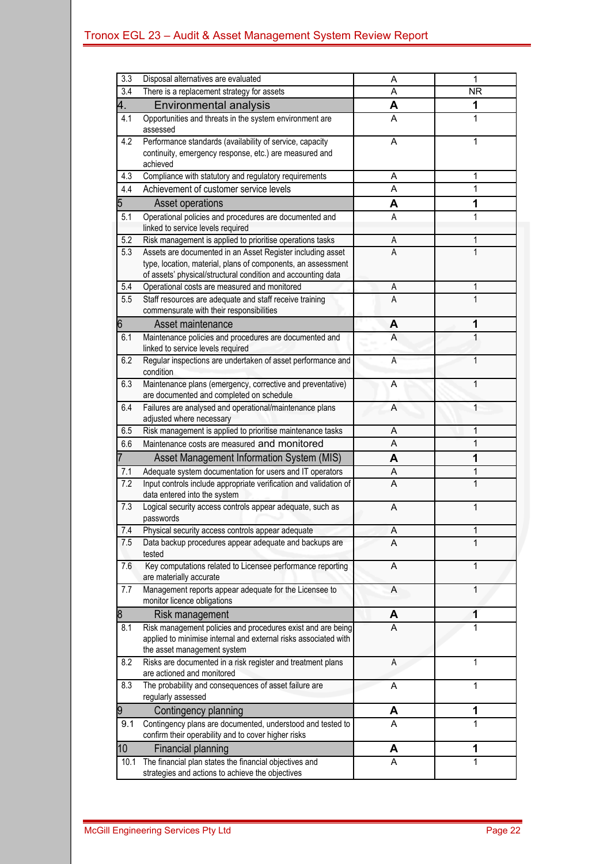| $\overline{3.3}$ | Disposal alternatives are evaluated                                                                                                                                                        | Α | 1            |
|------------------|--------------------------------------------------------------------------------------------------------------------------------------------------------------------------------------------|---|--------------|
| 3.4              | There is a replacement strategy for assets                                                                                                                                                 | Α | <b>NR</b>    |
| 4,               | Environmental analysis                                                                                                                                                                     | A | 1            |
| 4.1              | Opportunities and threats in the system environment are<br>assessed                                                                                                                        | A | 1            |
| 4.2              | Performance standards (availability of service, capacity<br>continuity, emergency response, etc.) are measured and<br>achieved                                                             | A | 1            |
| 4.3              | Compliance with statutory and regulatory requirements                                                                                                                                      | Α | 1            |
| 4.4              | Achievement of customer service levels                                                                                                                                                     | A | 1            |
| 5                | Asset operations                                                                                                                                                                           | A | 1            |
| 5.1              | Operational policies and procedures are documented and<br>linked to service levels required                                                                                                | A | 1            |
| 5.2              | Risk management is applied to prioritise operations tasks                                                                                                                                  | А | 1            |
| 5.3              | Assets are documented in an Asset Register including asset<br>type, location, material, plans of components, an assessment<br>of assets' physical/structural condition and accounting data | А | 1            |
| 5.4              | Operational costs are measured and monitored                                                                                                                                               | Α | 1            |
| 5.5              | Staff resources are adequate and staff receive training<br>commensurate with their responsibilities                                                                                        | A | 1            |
| 6                | Asset maintenance                                                                                                                                                                          | A | 1            |
| 6.1              | Maintenance policies and procedures are documented and<br>linked to service levels required                                                                                                | A | 1            |
| 6.2              | Regular inspections are undertaken of asset performance and<br>condition                                                                                                                   | A | 1            |
| 6.3              | Maintenance plans (emergency, corrective and preventative)<br>are documented and completed on schedule                                                                                     | Α | 1            |
| 6.4              | Failures are analysed and operational/maintenance plans<br>adjusted where necessary                                                                                                        | A | 1            |
| 6.5              | Risk management is applied to prioritise maintenance tasks                                                                                                                                 | Α | 1            |
| 6.6              | Maintenance costs are measured and monitored                                                                                                                                               | Α | 1            |
|                  | Asset Management Information System (MIS)                                                                                                                                                  | A | 1            |
| 7.1              | Adequate system documentation for users and IT operators                                                                                                                                   | Α | 1            |
| 7.2              | Input controls include appropriate verification and validation of<br>data entered into the system                                                                                          | A | 1            |
| 7.3              | Logical security access controls appear adequate, such as<br>passwords                                                                                                                     | A | 1            |
| 7.4              | Physical security access controls appear adequate                                                                                                                                          | Α | 1            |
| 7.5              | Data backup procedures appear adequate and backups are<br>tested                                                                                                                           | A | 1            |
| 7.6              | Key computations related to Licensee performance reporting<br>are materially accurate                                                                                                      | A | 1            |
| 7.7              | Management reports appear adequate for the Licensee to<br>monitor licence obligations                                                                                                      | Α | $\mathbf{1}$ |
| 8                | Risk management                                                                                                                                                                            | A | 1            |
| 8.1              | Risk management policies and procedures exist and are being<br>applied to minimise internal and external risks associated with<br>the asset management system                              | Α | 1            |
| 8.2              | Risks are documented in a risk register and treatment plans<br>are actioned and monitored                                                                                                  | Α | 1            |
| 8.3              | The probability and consequences of asset failure are<br>regularly assessed                                                                                                                | A | 1            |
| 9                | Contingency planning                                                                                                                                                                       | A | 1            |
| 9.1              | Contingency plans are documented, understood and tested to<br>confirm their operability and to cover higher risks                                                                          | A | 1            |
| 10               | Financial planning                                                                                                                                                                         | A | 1            |
| 10.1             | The financial plan states the financial objectives and<br>strategies and actions to achieve the objectives                                                                                 | Α | 1            |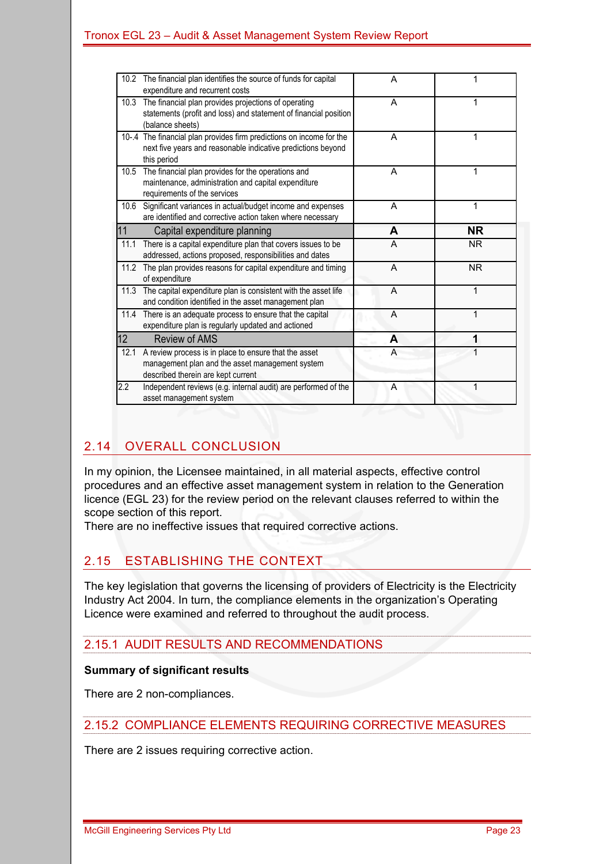|      | 10.2 The financial plan identifies the source of funds for capital<br>expenditure and recurrent costs                                               | A | 1         |
|------|-----------------------------------------------------------------------------------------------------------------------------------------------------|---|-----------|
| 10.3 | The financial plan provides projections of operating<br>statements (profit and loss) and statement of financial position<br>(balance sheets)        | A | 1         |
|      | 10-.4 The financial plan provides firm predictions on income for the<br>next five years and reasonable indicative predictions beyond<br>this period | A | 1         |
| 10.5 | The financial plan provides for the operations and<br>maintenance, administration and capital expenditure<br>requirements of the services           | A | 1         |
| 10.6 | Significant variances in actual/budget income and expenses<br>are identified and corrective action taken where necessary                            | A | 1         |
| 11   | Capital expenditure planning                                                                                                                        | A | <b>NR</b> |
|      |                                                                                                                                                     |   |           |
| 11.1 | There is a capital expenditure plan that covers issues to be<br>addressed, actions proposed, responsibilities and dates                             | A | <b>NR</b> |
| 11.2 | The plan provides reasons for capital expenditure and timing<br>of expenditure                                                                      | A | <b>NR</b> |
| 11.3 | The capital expenditure plan is consistent with the asset life<br>and condition identified in the asset management plan                             | A |           |
| 11.4 | There is an adequate process to ensure that the capital<br>expenditure plan is regularly updated and actioned                                       | A | 1         |
| 12   | <b>Review of AMS</b>                                                                                                                                | A | 1         |
| 12.1 | A review process is in place to ensure that the asset<br>management plan and the asset management system<br>described therein are kept current      | A |           |

# 2.14 OVERALL CONCLUSION

In my opinion, the Licensee maintained, in all material aspects, effective control procedures and an effective asset management system in relation to the Generation licence (EGL 23) for the review period on the relevant clauses referred to within the scope section of this report.

There are no ineffective issues that required corrective actions.

### 2.15 ESTABLISHING THE CONTEXT

The key legislation that governs the licensing of providers of Electricity is the Electricity Industry Act 2004. In turn, the compliance elements in the organization's Operating Licence were examined and referred to throughout the audit process.

### 2.15.1 AUDIT RESULTS AND RECOMMENDATIONS

#### **Summary of significant results**

There are 2 non-compliances.

#### 2.15.2 COMPLIANCE ELEMENTS REQUIRING CORRECTIVE MEASURES

There are 2 issues requiring corrective action.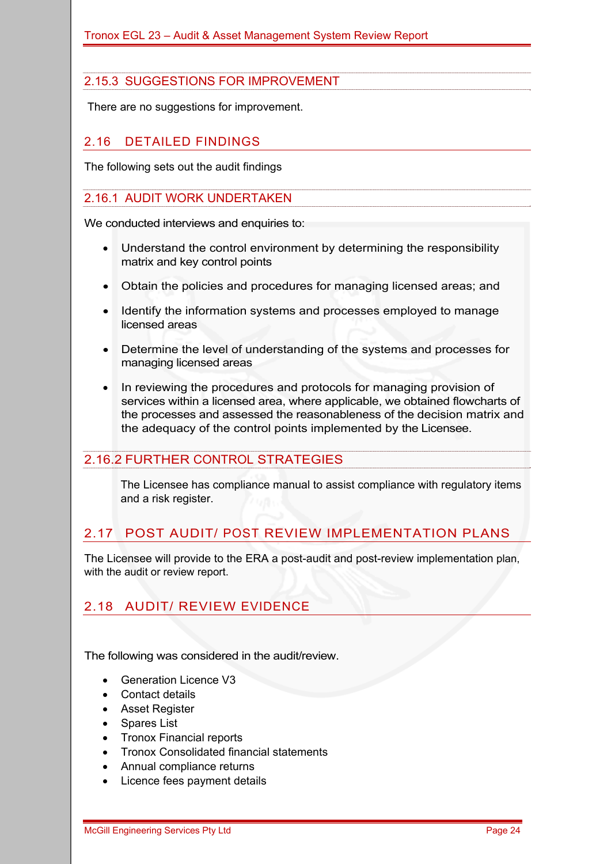### 2.15.3 SUGGESTIONS FOR IMPROVEMENT

There are no suggestions for improvement.

#### 2.16 DETAILED FINDINGS

The following sets out the audit findings

#### 2.16.1 AUDIT WORK UNDERTAKEN

We conducted interviews and enquiries to:

- Understand the control environment by determining the responsibility matrix and key control points
- Obtain the policies and procedures for managing licensed areas; and
- Identify the information systems and processes employed to manage licensed areas
- Determine the level of understanding of the systems and processes for managing licensed areas
- In reviewing the procedures and protocols for managing provision of services within a licensed area, where applicable, we obtained flowcharts of the processes and assessed the reasonableness of the decision matrix and the adequacy of the control points implemented by the Licensee.

#### 2.16.2 FURTHER CONTROL STRATEGIES

The Licensee has compliance manual to assist compliance with regulatory items and a risk register.

### 2.17 POST AUDIT/ POST REVIEW IMPLEMENTATION PLANS

The Licensee will provide to the ERA a post-audit and post-review implementation plan, with the audit or review report.

### 2.18 AUDIT/ REVIEW EVIDENCE

The following was considered in the audit/review.

- Generation Licence V3
- Contact details
- Asset Register
- Spares List
- Tronox Financial reports
- Tronox Consolidated financial statements
- Annual compliance returns
- Licence fees payment details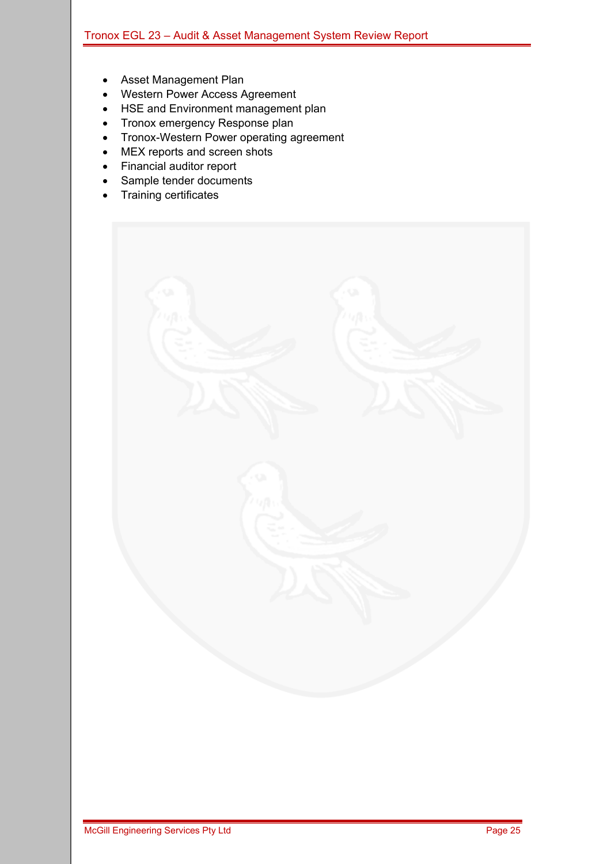- Asset Management Plan
- Western Power Access Agreement
- HSE and Environment management plan
- Tronox emergency Response plan
- Tronox-Western Power operating agreement
- MEX reports and screen shots
- Financial auditor report
- Sample tender documents
- Training certificates

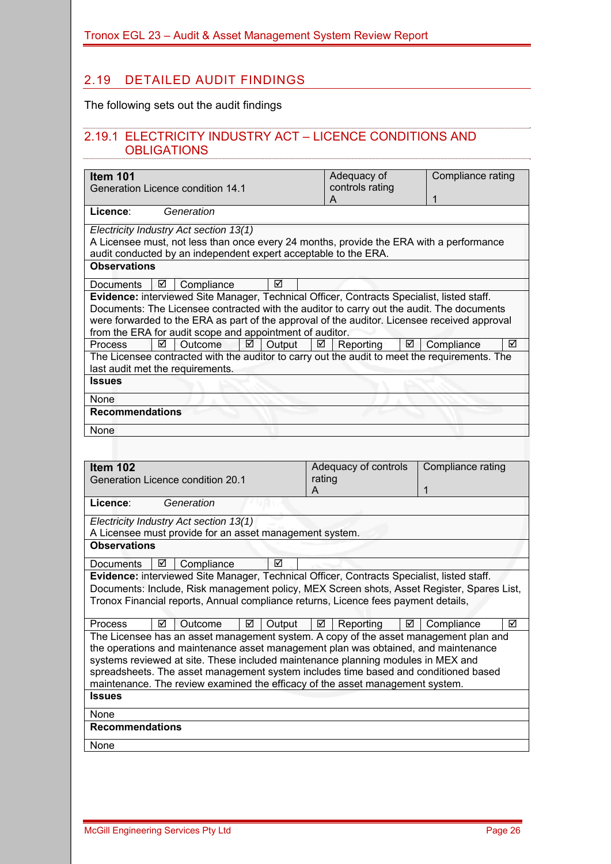### 2.19 DETAILED AUDIT FINDINGS

The following sets out the audit findings

#### 2.19.1 ELECTRICITY INDUSTRY ACT – LICENCE CONDITIONS AND **OBLIGATIONS**

| Item 101<br>Generation Licence condition 14.1                                                                                                                                                                                                                                                                                                         | Adequacy of<br>controls rating      | Compliance rating      |  |  |  |  |  |
|-------------------------------------------------------------------------------------------------------------------------------------------------------------------------------------------------------------------------------------------------------------------------------------------------------------------------------------------------------|-------------------------------------|------------------------|--|--|--|--|--|
|                                                                                                                                                                                                                                                                                                                                                       | A                                   | 1                      |  |  |  |  |  |
| Licence:<br>Generation                                                                                                                                                                                                                                                                                                                                |                                     |                        |  |  |  |  |  |
| Electricity Industry Act section 13(1)<br>A Licensee must, not less than once every 24 months, provide the ERA with a performance<br>audit conducted by an independent expert acceptable to the ERA.                                                                                                                                                  |                                     |                        |  |  |  |  |  |
| <b>Observations</b>                                                                                                                                                                                                                                                                                                                                   |                                     |                        |  |  |  |  |  |
| Compliance<br>☑<br>Documents<br>☑                                                                                                                                                                                                                                                                                                                     |                                     |                        |  |  |  |  |  |
| Evidence: interviewed Site Manager, Technical Officer, Contracts Specialist, listed staff.<br>Documents: The Licensee contracted with the auditor to carry out the audit. The documents<br>were forwarded to the ERA as part of the approval of the auditor. Licensee received approval<br>from the ERA for audit scope and appointment of auditor.   |                                     |                        |  |  |  |  |  |
| ☑<br>Output<br><b>Process</b><br>Outcome<br>☑                                                                                                                                                                                                                                                                                                         | Reporting<br>☑<br>☑                 | ☑<br>Compliance        |  |  |  |  |  |
| The Licensee contracted with the auditor to carry out the audit to meet the requirements. The<br>last audit met the requirements.                                                                                                                                                                                                                     |                                     |                        |  |  |  |  |  |
| <b>Issues</b>                                                                                                                                                                                                                                                                                                                                         |                                     |                        |  |  |  |  |  |
| None                                                                                                                                                                                                                                                                                                                                                  |                                     |                        |  |  |  |  |  |
| <b>Recommendations</b>                                                                                                                                                                                                                                                                                                                                |                                     |                        |  |  |  |  |  |
| None                                                                                                                                                                                                                                                                                                                                                  |                                     |                        |  |  |  |  |  |
|                                                                                                                                                                                                                                                                                                                                                       |                                     |                        |  |  |  |  |  |
|                                                                                                                                                                                                                                                                                                                                                       |                                     |                        |  |  |  |  |  |
| Item 102<br>Generation Licence condition 20.1                                                                                                                                                                                                                                                                                                         | Adequacy of controls<br>rating<br>A | Compliance rating<br>1 |  |  |  |  |  |
| Licence:<br>Generation                                                                                                                                                                                                                                                                                                                                |                                     |                        |  |  |  |  |  |
| Electricity Industry Act section 13(1)                                                                                                                                                                                                                                                                                                                |                                     |                        |  |  |  |  |  |
| A Licensee must provide for an asset management system.<br><b>Observations</b>                                                                                                                                                                                                                                                                        |                                     |                        |  |  |  |  |  |
|                                                                                                                                                                                                                                                                                                                                                       |                                     |                        |  |  |  |  |  |
| Compliance<br>☑<br><b>Documents</b><br>☑                                                                                                                                                                                                                                                                                                              |                                     |                        |  |  |  |  |  |
| Evidence: interviewed Site Manager, Technical Officer, Contracts Specialist, listed staff.<br>Documents: Include, Risk management policy, MEX Screen shots, Asset Register, Spares List,<br>Tronox Financial reports, Annual compliance returns, Licence fees payment details,                                                                        |                                     |                        |  |  |  |  |  |
|                                                                                                                                                                                                                                                                                                                                                       |                                     |                        |  |  |  |  |  |
| Process<br>☑<br>Output<br>⊻<br>Outcome                                                                                                                                                                                                                                                                                                                | Reporting<br>⊻<br>⊻                 | ☑<br>Compliance        |  |  |  |  |  |
| The Licensee has an asset management system. A copy of the asset management plan and<br>the operations and maintenance asset management plan was obtained, and maintenance<br>systems reviewed at site. These included maintenance planning modules in MEX and<br>spreadsheets. The asset management system includes time based and conditioned based |                                     |                        |  |  |  |  |  |
| maintenance. The review examined the efficacy of the asset management system.<br><b>Issues</b>                                                                                                                                                                                                                                                        |                                     |                        |  |  |  |  |  |
|                                                                                                                                                                                                                                                                                                                                                       |                                     |                        |  |  |  |  |  |
| None<br><b>Recommendations</b>                                                                                                                                                                                                                                                                                                                        |                                     |                        |  |  |  |  |  |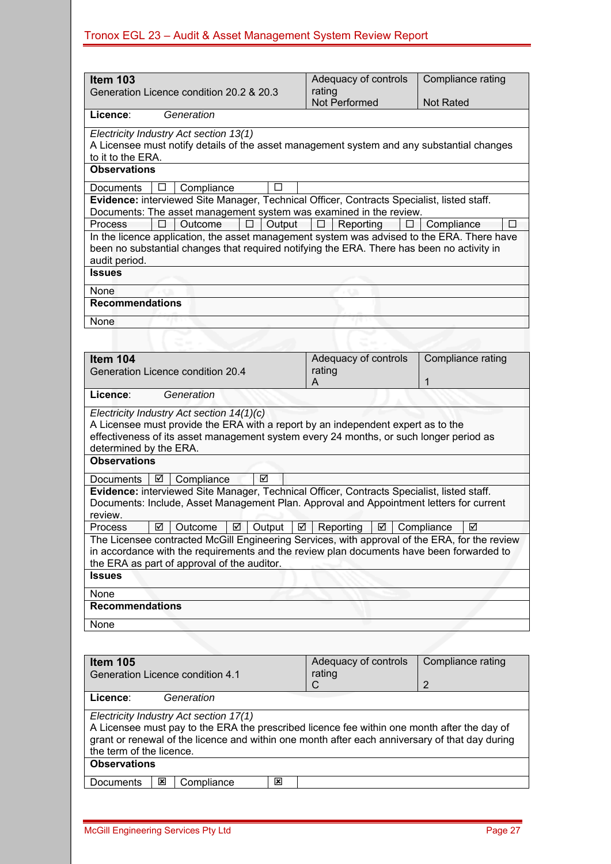| <b>Item 103</b><br>Generation Licence condition 20.2 & 20.3                                                                                                                                                                                                         | Adequacy of controls<br>rating<br>Not Performed | Compliance rating<br><b>Not Rated</b> |
|---------------------------------------------------------------------------------------------------------------------------------------------------------------------------------------------------------------------------------------------------------------------|-------------------------------------------------|---------------------------------------|
| Licence:<br>Generation                                                                                                                                                                                                                                              |                                                 |                                       |
| Electricity Industry Act section 13(1)<br>A Licensee must notify details of the asset management system and any substantial changes                                                                                                                                 |                                                 |                                       |
| to it to the ERA.<br><b>Observations</b>                                                                                                                                                                                                                            |                                                 |                                       |
| Compliance<br>Documents                                                                                                                                                                                                                                             |                                                 |                                       |
| Evidence: interviewed Site Manager, Technical Officer, Contracts Specialist, listed staff.<br>Documents: The asset management system was examined in the review.                                                                                                    |                                                 |                                       |
| Outcome<br>Output<br>Process<br>In the licence application, the asset management system was advised to the ERA. There have<br>been no substantial changes that required notifying the ERA. There has been no activity in<br>audit period.                           | Reporting                                       | Compliance<br>п                       |
| <b>Issues</b>                                                                                                                                                                                                                                                       |                                                 |                                       |
| None<br><b>Recommendations</b>                                                                                                                                                                                                                                      |                                                 |                                       |
| None                                                                                                                                                                                                                                                                |                                                 |                                       |
|                                                                                                                                                                                                                                                                     |                                                 |                                       |
|                                                                                                                                                                                                                                                                     |                                                 |                                       |
| Item 104<br>Generation Licence condition 20.4                                                                                                                                                                                                                       | Adequacy of controls<br>rating<br>А             | Compliance rating<br>1                |
| Licence:<br>Generation                                                                                                                                                                                                                                              |                                                 |                                       |
| Electricity Industry Act section 14(1)(c)<br>A Licensee must provide the ERA with a report by an independent expert as to the<br>effectiveness of its asset management system every 24 months, or such longer period as<br>determined by the ERA.                   |                                                 |                                       |
| <b>Observations</b>                                                                                                                                                                                                                                                 |                                                 |                                       |
| ☑<br>☑<br>Compliance<br><b>Documents</b>                                                                                                                                                                                                                            |                                                 |                                       |
| Evidence: interviewed Site Manager, Technical Officer, Contracts Specialist, listed staff.<br>Documents: Include, Asset Management Plan. Approval and Appointment letters for current<br>review.                                                                    |                                                 |                                       |
| Process<br>☑<br>$\boxtimes$   Output<br>☑<br>Outcome                                                                                                                                                                                                                | Reporting<br>$\Box$                             | Compliance<br>☑                       |
| The Licensee contracted McGill Engineering Services, with approval of the ERA, for the review<br>in accordance with the requirements and the review plan documents have been forwarded to<br>the ERA as part of approval of the auditor.                            |                                                 |                                       |
| <b>Issues</b>                                                                                                                                                                                                                                                       |                                                 |                                       |
| None                                                                                                                                                                                                                                                                |                                                 |                                       |
| <b>Recommendations</b>                                                                                                                                                                                                                                              |                                                 |                                       |
| None                                                                                                                                                                                                                                                                |                                                 |                                       |
|                                                                                                                                                                                                                                                                     |                                                 |                                       |
| <b>Item 105</b><br>Generation Licence condition 4.1                                                                                                                                                                                                                 | Adequacy of controls<br>rating<br>С             | Compliance rating<br>$\overline{2}$   |
| Licence:<br>Generation                                                                                                                                                                                                                                              |                                                 |                                       |
| Electricity Industry Act section 17(1)<br>A Licensee must pay to the ERA the prescribed licence fee within one month after the day of<br>grant or renewal of the licence and within one month after each anniversary of that day during<br>the term of the licence. |                                                 |                                       |

#### **Observations**

Documents | 図 | Compliance | 図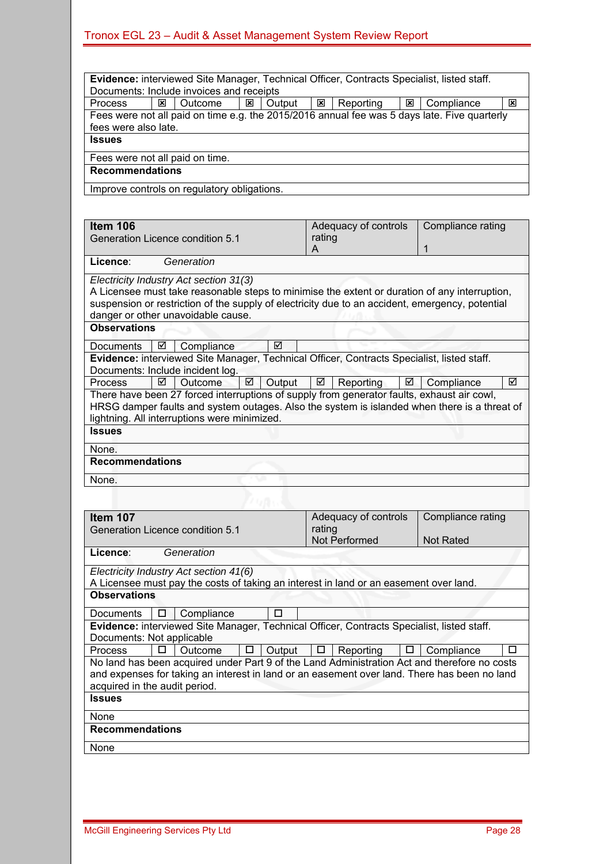| Item 106<br>Generation Licence condition 5.1                                                                                                                                                                                                                                     | Adequacy of controls<br>rating                  | Compliance rating                     |  |  |  |  |
|----------------------------------------------------------------------------------------------------------------------------------------------------------------------------------------------------------------------------------------------------------------------------------|-------------------------------------------------|---------------------------------------|--|--|--|--|
| Licence:<br>Generation                                                                                                                                                                                                                                                           | A                                               | 1                                     |  |  |  |  |
| Electricity Industry Act section 31(3)<br>A Licensee must take reasonable steps to minimise the extent or duration of any interruption,<br>suspension or restriction of the supply of electricity due to an accident, emergency, potential<br>danger or other unavoidable cause. |                                                 |                                       |  |  |  |  |
| <b>Observations</b>                                                                                                                                                                                                                                                              |                                                 |                                       |  |  |  |  |
| ☑<br>Compliance<br>Documents<br>☑                                                                                                                                                                                                                                                |                                                 |                                       |  |  |  |  |
| Evidence: interviewed Site Manager, Technical Officer, Contracts Specialist, listed staff.<br>Documents: Include incident log.                                                                                                                                                   |                                                 |                                       |  |  |  |  |
| ☑<br>☑<br>Output<br><b>Outcome</b><br><b>Process</b>                                                                                                                                                                                                                             | ☑<br>☑<br>Reporting                             | ☑<br>Compliance                       |  |  |  |  |
| There have been 27 forced interruptions of supply from generator faults, exhaust air cowl,<br>HRSG damper faults and system outages. Also the system is islanded when there is a threat of<br>lightning. All interruptions were minimized.                                       |                                                 |                                       |  |  |  |  |
| <b>Issues</b>                                                                                                                                                                                                                                                                    |                                                 |                                       |  |  |  |  |
| None.                                                                                                                                                                                                                                                                            |                                                 |                                       |  |  |  |  |
| <b>Recommendations</b>                                                                                                                                                                                                                                                           |                                                 |                                       |  |  |  |  |
| None.                                                                                                                                                                                                                                                                            |                                                 |                                       |  |  |  |  |
|                                                                                                                                                                                                                                                                                  |                                                 |                                       |  |  |  |  |
| Item 107<br>Generation Licence condition 5.1                                                                                                                                                                                                                                     | Adequacy of controls<br>rating<br>Not Performed | Compliance rating<br><b>Not Rated</b> |  |  |  |  |
| Licence:<br>Generation                                                                                                                                                                                                                                                           |                                                 |                                       |  |  |  |  |
| Electricity Industry Act section 41(6)<br>A Licensee must pay the costs of taking an interest in land or an easement over land.                                                                                                                                                  |                                                 |                                       |  |  |  |  |
| <b>Observations</b>                                                                                                                                                                                                                                                              |                                                 |                                       |  |  |  |  |

Documents  $\boxed{\Box}$  Compliance  $\boxed{\Box}$ 

**Evidence:** interviewed Site Manager, Technical Officer, Contracts Specialist, listed staff. Documents: Not applicable

|                                                                                              |  |  |  |  |  |  |  | Process $ \square $ Outcome $ \square $ Output $ \square $ Reporting $ \square $ Compliance |  |
|----------------------------------------------------------------------------------------------|--|--|--|--|--|--|--|---------------------------------------------------------------------------------------------|--|
| No land has been acquired under Part 9 of the Land Administration Act and therefore no costs |  |  |  |  |  |  |  |                                                                                             |  |
| and expenses for taking an interest in land or an easement over land. There has been no land |  |  |  |  |  |  |  |                                                                                             |  |
| acquired in the audit period.                                                                |  |  |  |  |  |  |  |                                                                                             |  |
|                                                                                              |  |  |  |  |  |  |  |                                                                                             |  |

**Issues**  None

#### **Recommendations**

None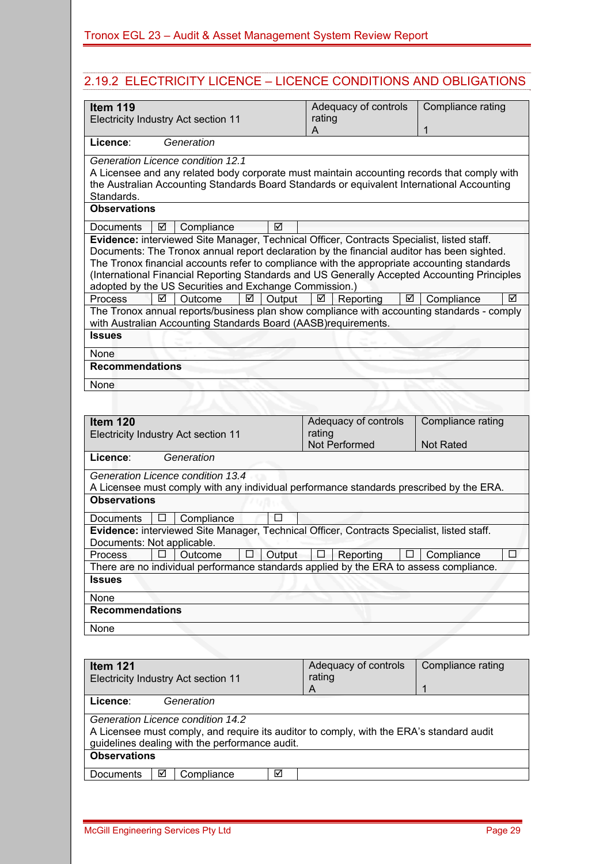### 2.19.2 ELECTRICITY LICENCE – LICENCE CONDITIONS AND OBLIGATIONS

| Item 119<br>Electricity Industry Act section 11                                                                                                                                                                                                                                                                                                                                                                                                                                                    | Adequacy of controls<br>rating<br>A             | Compliance rating<br>1                |
|----------------------------------------------------------------------------------------------------------------------------------------------------------------------------------------------------------------------------------------------------------------------------------------------------------------------------------------------------------------------------------------------------------------------------------------------------------------------------------------------------|-------------------------------------------------|---------------------------------------|
| Licence:<br>Generation                                                                                                                                                                                                                                                                                                                                                                                                                                                                             |                                                 |                                       |
| Generation Licence condition 12.1<br>A Licensee and any related body corporate must maintain accounting records that comply with<br>the Australian Accounting Standards Board Standards or equivalent International Accounting<br>Standards.                                                                                                                                                                                                                                                       |                                                 |                                       |
| <b>Observations</b>                                                                                                                                                                                                                                                                                                                                                                                                                                                                                |                                                 |                                       |
| ☑<br>Compliance<br>Documents<br>☑                                                                                                                                                                                                                                                                                                                                                                                                                                                                  |                                                 |                                       |
| Evidence: interviewed Site Manager, Technical Officer, Contracts Specialist, listed staff.<br>Documents: The Tronox annual report declaration by the financial auditor has been sighted.<br>The Tronox financial accounts refer to compliance with the appropriate accounting standards<br>(International Financial Reporting Standards and US Generally Accepted Accounting Principles<br>adopted by the US Securities and Exchange Commission.)<br><b>Process</b><br>☑<br>Output<br>Outcome<br>☑ | ☑<br>☑<br>Reporting                             | ☑<br>Compliance                       |
| The Tronox annual reports/business plan show compliance with accounting standards - comply<br>with Australian Accounting Standards Board (AASB)requirements.                                                                                                                                                                                                                                                                                                                                       |                                                 |                                       |
| <b>Issues</b>                                                                                                                                                                                                                                                                                                                                                                                                                                                                                      |                                                 |                                       |
| None                                                                                                                                                                                                                                                                                                                                                                                                                                                                                               |                                                 |                                       |
| <b>Recommendations</b>                                                                                                                                                                                                                                                                                                                                                                                                                                                                             |                                                 |                                       |
| None                                                                                                                                                                                                                                                                                                                                                                                                                                                                                               |                                                 |                                       |
|                                                                                                                                                                                                                                                                                                                                                                                                                                                                                                    |                                                 |                                       |
| Item 120<br>Electricity Industry Act section 11                                                                                                                                                                                                                                                                                                                                                                                                                                                    | Adequacy of controls<br>rating<br>Not Performed | Compliance rating<br><b>Not Rated</b> |
| Licence:<br>Generation                                                                                                                                                                                                                                                                                                                                                                                                                                                                             |                                                 |                                       |
| Generation Licence condition 13.4<br>A Licensee must comply with any individual performance standards prescribed by the ERA.<br><b>Observations</b>                                                                                                                                                                                                                                                                                                                                                |                                                 |                                       |
| Compliance<br>Documents                                                                                                                                                                                                                                                                                                                                                                                                                                                                            |                                                 |                                       |
| Evidence: interviewed Site Manager, Technical Officer, Contracts Specialist, listed staff.                                                                                                                                                                                                                                                                                                                                                                                                         |                                                 |                                       |
| Documents: Not applicable.<br>Process<br>Output<br>Outcome                                                                                                                                                                                                                                                                                                                                                                                                                                         | Reporting<br>⊔                                  | Compliance<br>L.                      |
| There are no individual performance standards applied by the ERA to assess compliance.                                                                                                                                                                                                                                                                                                                                                                                                             |                                                 |                                       |
| <b>Issues</b>                                                                                                                                                                                                                                                                                                                                                                                                                                                                                      |                                                 |                                       |
| None                                                                                                                                                                                                                                                                                                                                                                                                                                                                                               |                                                 |                                       |
| <b>Recommendations</b>                                                                                                                                                                                                                                                                                                                                                                                                                                                                             |                                                 |                                       |
| None                                                                                                                                                                                                                                                                                                                                                                                                                                                                                               |                                                 |                                       |
|                                                                                                                                                                                                                                                                                                                                                                                                                                                                                                    |                                                 |                                       |
| Item 121                                                                                                                                                                                                                                                                                                                                                                                                                                                                                           | Adequacy of controls                            | Compliance rating                     |
| Electricity Industry Act section 11                                                                                                                                                                                                                                                                                                                                                                                                                                                                | rating                                          |                                       |
| Generation<br>Licence:                                                                                                                                                                                                                                                                                                                                                                                                                                                                             | A                                               | 1                                     |
| Generation Licence condition 14.2<br>A Licensee must comply, and require its auditor to comply, with the ERA's standard audit<br>guidelines dealing with the performance audit.<br><b>Observations</b>                                                                                                                                                                                                                                                                                             |                                                 |                                       |
| Documents<br>Compliance<br>☑<br>☑                                                                                                                                                                                                                                                                                                                                                                                                                                                                  |                                                 |                                       |

 $\mathcal{L}_{\mathcal{A}}$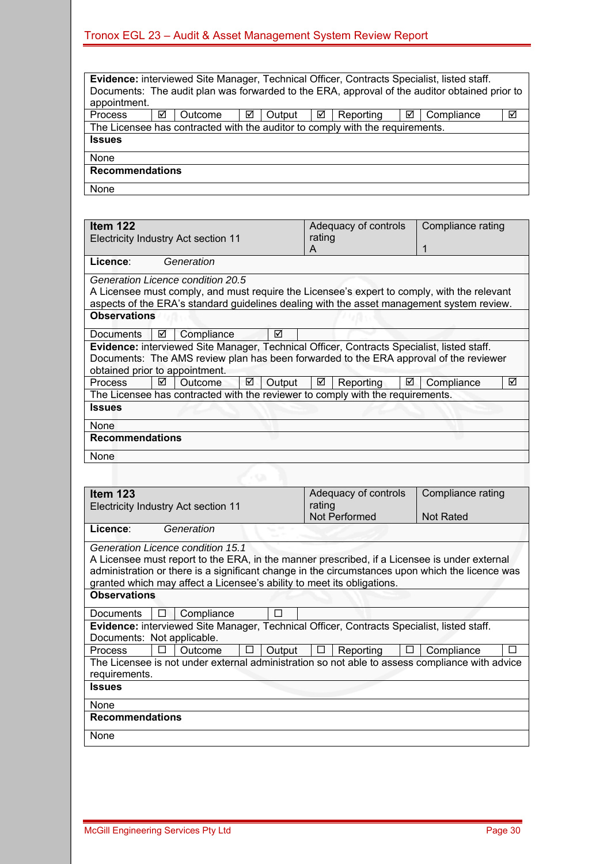| Evidence: interviewed Site Manager, Technical Officer, Contracts Specialist, listed staff.    |   |                                                                               |   |        |   |           |   |            |   |
|-----------------------------------------------------------------------------------------------|---|-------------------------------------------------------------------------------|---|--------|---|-----------|---|------------|---|
| Documents: The audit plan was forwarded to the ERA, approval of the auditor obtained prior to |   |                                                                               |   |        |   |           |   |            |   |
| appointment.                                                                                  |   |                                                                               |   |        |   |           |   |            |   |
| <b>Process</b>                                                                                | ☑ | Outcome                                                                       | ☑ | Output | ☑ | Reporting | ☑ | Compliance | ☑ |
|                                                                                               |   | The Licensee has contracted with the auditor to comply with the requirements. |   |        |   |           |   |            |   |
| <b>Issues</b>                                                                                 |   |                                                                               |   |        |   |           |   |            |   |
| None                                                                                          |   |                                                                               |   |        |   |           |   |            |   |
| <b>Recommendations</b>                                                                        |   |                                                                               |   |        |   |           |   |            |   |
| None                                                                                          |   |                                                                               |   |        |   |           |   |            |   |

**Item 122** Electricity Industry Act section 11 Adequacy of controls rating A Compliance rating 1 **Licence**: *Generation Generation Licence condition 20.5*  A Licensee must comply, and must require the Licensee's expert to comply, with the relevant aspects of the ERA's standard guidelines dealing with the asset management system review. **Observations**  Documents **D** Compliance **D Evidence:** interviewed Site Manager, Technical Officer, Contracts Specialist, listed staff. Documents: The AMS review plan has been forwarded to the ERA approval of the reviewer obtained prior to appointment. Process  $\boxdot$  Outcome  $\boxdot$  Output  $\boxdot$  Reporting  $\boxdot$  Compliance  $\boxdot$ The Licensee has contracted with the reviewer to comply with the requirements. **Issues**  None **Recommendations**  None **Item 123** Electricity Industry Act section 11 Adequacy of controls rating Not Performed Compliance rating Not Rated **Licence**: *Generation Generation Licence condition 15.1*  A Licensee must report to the ERA, in the manner prescribed, if a Licensee is under external administration or there is a significant change in the circumstances upon which the licence was granted which may affect a Licensee's ability to meet its obligations. **Observations**  Documents  $\Box$  Compliance  $\Box$ **Evidence:** interviewed Site Manager, Technical Officer, Contracts Specialist, listed staff. Documents: Not applicable.  $Process$   $\Box$  Outcome  $\Box$  Output  $\Box$  Reporting  $\Box$  Compliance  $\Box$ The Licensee is not under external administration so not able to assess compliance with advice requirements. **Issues**  None **Recommendations None**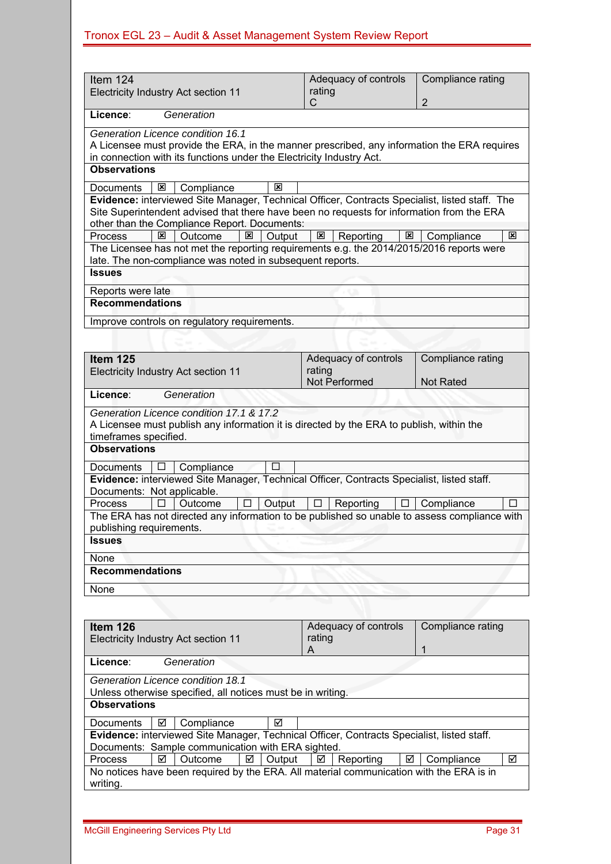| Item $124$                                                                                                                                                                                  | Adequacy of controls                                 | Compliance rating |
|---------------------------------------------------------------------------------------------------------------------------------------------------------------------------------------------|------------------------------------------------------|-------------------|
| Electricity Industry Act section 11                                                                                                                                                         | rating                                               |                   |
|                                                                                                                                                                                             | C                                                    | $\overline{2}$    |
| Licence:<br>Generation                                                                                                                                                                      |                                                      |                   |
| Generation Licence condition 16.1                                                                                                                                                           |                                                      |                   |
| A Licensee must provide the ERA, in the manner prescribed, any information the ERA requires                                                                                                 |                                                      |                   |
| in connection with its functions under the Electricity Industry Act.                                                                                                                        |                                                      |                   |
| <b>Observations</b>                                                                                                                                                                         |                                                      |                   |
| ⊠<br>Compliance<br>⊠<br>Documents                                                                                                                                                           |                                                      |                   |
| Evidence: interviewed Site Manager, Technical Officer, Contracts Specialist, listed staff. The<br>Site Superintendent advised that there have been no requests for information from the ERA |                                                      |                   |
| other than the Compliance Report. Documents:<br>図                                                                                                                                           |                                                      | ⊠                 |
| Outcome<br>$\overline{\mathbf{x}}$<br>Process<br>Output<br>The Licensee has not met the reporting requirements e.g. the 2014/2015/2016 reports were                                         | Reporting<br>$\overline{\mathbf{x}}$<br>$\mathbf{x}$ | Compliance        |
| late. The non-compliance was noted in subsequent reports.                                                                                                                                   |                                                      |                   |
| <b>Issues</b>                                                                                                                                                                               |                                                      |                   |
| Reports were late                                                                                                                                                                           |                                                      |                   |
| <b>Recommendations</b>                                                                                                                                                                      |                                                      |                   |
| Improve controls on regulatory requirements.                                                                                                                                                |                                                      |                   |
|                                                                                                                                                                                             |                                                      |                   |
| Item 125                                                                                                                                                                                    | Adequacy of controls                                 | Compliance rating |
| Electricity Industry Act section 11                                                                                                                                                         | rating                                               |                   |
|                                                                                                                                                                                             | Not Performed                                        | <b>Not Rated</b>  |
| Generation<br>Licence:                                                                                                                                                                      |                                                      |                   |
| Generation Licence condition 17.1 & 17.2                                                                                                                                                    |                                                      |                   |
| A Licensee must publish any information it is directed by the ERA to publish, within the                                                                                                    |                                                      |                   |
| timeframes specified.<br><b>Observations</b>                                                                                                                                                |                                                      |                   |
|                                                                                                                                                                                             |                                                      |                   |
| п<br>Compliance<br>Documents<br>⊔                                                                                                                                                           |                                                      |                   |
| Evidence: interviewed Site Manager, Technical Officer, Contracts Specialist, listed staff.                                                                                                  |                                                      |                   |
| Documents: Not applicable.                                                                                                                                                                  |                                                      |                   |
| Output<br>Process<br>П<br>Outcome<br>ш                                                                                                                                                      | Reporting<br>$\Box$<br>$\Box$                        | Compliance<br>П   |
| The ERA has not directed any information to be published so unable to assess compliance with                                                                                                |                                                      |                   |
| publishing requirements.<br><b>Issues</b>                                                                                                                                                   |                                                      |                   |
|                                                                                                                                                                                             |                                                      |                   |
| None                                                                                                                                                                                        |                                                      |                   |
| <b>Recommendations</b>                                                                                                                                                                      |                                                      |                   |
| None                                                                                                                                                                                        |                                                      |                   |
|                                                                                                                                                                                             |                                                      |                   |
| Item 126                                                                                                                                                                                    | Adequacy of controls                                 | Compliance rating |
| Electricity Industry Act section 11                                                                                                                                                         | rating                                               |                   |
|                                                                                                                                                                                             | A                                                    | 1                 |
| Licence:<br>Generation                                                                                                                                                                      |                                                      |                   |
| Generation Licence condition 18.1                                                                                                                                                           |                                                      |                   |
| Unless otherwise specified, all notices must be in writing.                                                                                                                                 |                                                      |                   |
| <b>Observations</b>                                                                                                                                                                         |                                                      |                   |
| Compliance<br>☑<br>Documents<br>⊻                                                                                                                                                           |                                                      |                   |
| Evidence: interviewed Site Manager, Technical Officer, Contracts Specialist, listed staff.                                                                                                  |                                                      |                   |
| Documents: Sample communication with ERA sighted.                                                                                                                                           |                                                      |                   |
| ☑<br>Outcome<br>☑<br>Output<br>Process                                                                                                                                                      | Reporting<br>☑<br>☑                                  | Compliance<br>☑   |

| <b>FIUCESS</b> | <u>I MI VULCOIIIE</u> |  | <u>  ២   Output   ២   Reporting   ២   Compilance</u> |                                                                                         |  |
|----------------|-----------------------|--|------------------------------------------------------|-----------------------------------------------------------------------------------------|--|
|                |                       |  |                                                      | No notices have been required by the ERA. All material communication with the ERA is in |  |
| writing.       |                       |  |                                                      |                                                                                         |  |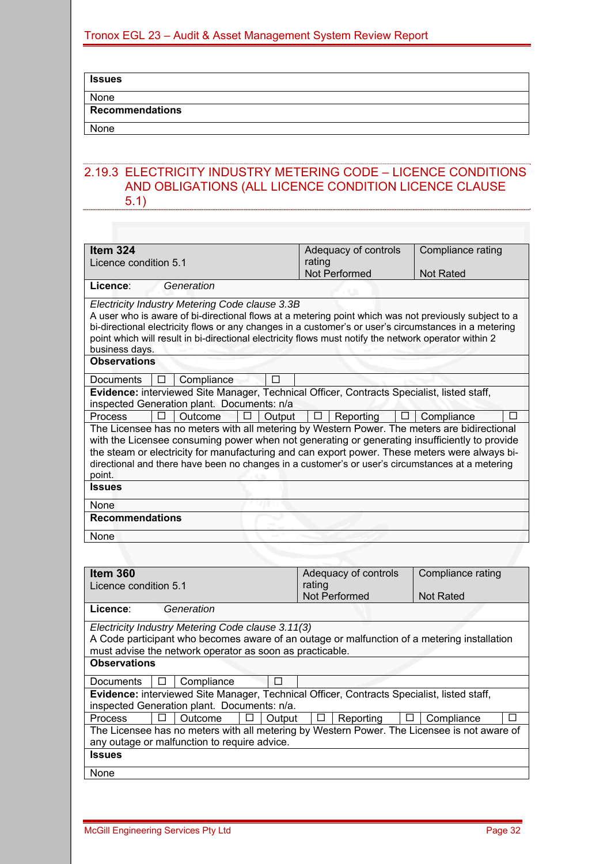#### **Issues**

# None

**Recommendations** 

None

#### 2.19.3 ELECTRICITY INDUSTRY METERING CODE – LICENCE CONDITIONS AND OBLIGATIONS (ALL LICENCE CONDITION LICENCE CLAUSE 5.1)

| Item 324                                                                                                                                                                                                                                                                                                                                                                                                    | Adequacy of controls     | Compliance rating |  |  |  |
|-------------------------------------------------------------------------------------------------------------------------------------------------------------------------------------------------------------------------------------------------------------------------------------------------------------------------------------------------------------------------------------------------------------|--------------------------|-------------------|--|--|--|
| Licence condition 5.1                                                                                                                                                                                                                                                                                                                                                                                       | rating                   |                   |  |  |  |
|                                                                                                                                                                                                                                                                                                                                                                                                             | Not Performed            | <b>Not Rated</b>  |  |  |  |
| Licence:<br>Generation                                                                                                                                                                                                                                                                                                                                                                                      |                          |                   |  |  |  |
| Electricity Industry Metering Code clause 3.3B<br>A user who is aware of bi-directional flows at a metering point which was not previously subject to a<br>bi-directional electricity flows or any changes in a customer's or user's circumstances in a metering<br>point which will result in bi-directional electricity flows must notify the network operator within 2<br>business days.                 |                          |                   |  |  |  |
| <b>Observations</b>                                                                                                                                                                                                                                                                                                                                                                                         |                          |                   |  |  |  |
| Compliance<br>Documents<br>П<br>⊔                                                                                                                                                                                                                                                                                                                                                                           |                          |                   |  |  |  |
| Evidence: interviewed Site Manager, Technical Officer, Contracts Specialist, listed staff,                                                                                                                                                                                                                                                                                                                  |                          |                   |  |  |  |
| inspected Generation plant. Documents: n/a                                                                                                                                                                                                                                                                                                                                                                  |                          |                   |  |  |  |
| Process<br><b>Outcome</b><br>Output<br>п                                                                                                                                                                                                                                                                                                                                                                    | Reporting<br>Ħ<br>$\Box$ | Compliance        |  |  |  |
| The Licensee has no meters with all metering by Western Power. The meters are bidirectional<br>with the Licensee consuming power when not generating or generating insufficiently to provide<br>the steam or electricity for manufacturing and can export power. These meters were always bi-<br>directional and there have been no changes in a customer's or user's circumstances at a metering<br>point. |                          |                   |  |  |  |
| <b>Issues</b>                                                                                                                                                                                                                                                                                                                                                                                               |                          |                   |  |  |  |
| None                                                                                                                                                                                                                                                                                                                                                                                                        |                          |                   |  |  |  |
| <b>Recommendations</b>                                                                                                                                                                                                                                                                                                                                                                                      |                          |                   |  |  |  |
| None                                                                                                                                                                                                                                                                                                                                                                                                        |                          |                   |  |  |  |

| Compliance rating<br>Adequacy of controls<br>Item 360<br>rating<br>Licence condition 5.1<br><b>Not Performed</b><br><b>Not Rated</b><br>Generation<br>Licence:<br>Electricity Industry Metering Code clause 3.11(3)<br>A Code participant who becomes aware of an outage or malfunction of a metering installation<br>must advise the network operator as soon as practicable.<br><b>Observations</b><br>Compliance<br>Documents<br>U<br>Evidence: interviewed Site Manager, Technical Officer, Contracts Specialist, listed staff,<br>inspected Generation plant. Documents: n/a.<br><b>Process</b><br>Outcome<br>Reporting<br>Compliance<br>Output<br>П<br>⊔<br>Ħ<br>$\mathbf{L}$<br>The Licensee has no meters with all metering by Western Power. The Licensee is not aware of<br>any outage or malfunction to require advice.<br><b>Issues</b><br>None |  |  |
|-------------------------------------------------------------------------------------------------------------------------------------------------------------------------------------------------------------------------------------------------------------------------------------------------------------------------------------------------------------------------------------------------------------------------------------------------------------------------------------------------------------------------------------------------------------------------------------------------------------------------------------------------------------------------------------------------------------------------------------------------------------------------------------------------------------------------------------------------------------|--|--|
|                                                                                                                                                                                                                                                                                                                                                                                                                                                                                                                                                                                                                                                                                                                                                                                                                                                             |  |  |
|                                                                                                                                                                                                                                                                                                                                                                                                                                                                                                                                                                                                                                                                                                                                                                                                                                                             |  |  |
|                                                                                                                                                                                                                                                                                                                                                                                                                                                                                                                                                                                                                                                                                                                                                                                                                                                             |  |  |
|                                                                                                                                                                                                                                                                                                                                                                                                                                                                                                                                                                                                                                                                                                                                                                                                                                                             |  |  |
|                                                                                                                                                                                                                                                                                                                                                                                                                                                                                                                                                                                                                                                                                                                                                                                                                                                             |  |  |
|                                                                                                                                                                                                                                                                                                                                                                                                                                                                                                                                                                                                                                                                                                                                                                                                                                                             |  |  |
|                                                                                                                                                                                                                                                                                                                                                                                                                                                                                                                                                                                                                                                                                                                                                                                                                                                             |  |  |
|                                                                                                                                                                                                                                                                                                                                                                                                                                                                                                                                                                                                                                                                                                                                                                                                                                                             |  |  |
|                                                                                                                                                                                                                                                                                                                                                                                                                                                                                                                                                                                                                                                                                                                                                                                                                                                             |  |  |
|                                                                                                                                                                                                                                                                                                                                                                                                                                                                                                                                                                                                                                                                                                                                                                                                                                                             |  |  |
|                                                                                                                                                                                                                                                                                                                                                                                                                                                                                                                                                                                                                                                                                                                                                                                                                                                             |  |  |
|                                                                                                                                                                                                                                                                                                                                                                                                                                                                                                                                                                                                                                                                                                                                                                                                                                                             |  |  |
|                                                                                                                                                                                                                                                                                                                                                                                                                                                                                                                                                                                                                                                                                                                                                                                                                                                             |  |  |
|                                                                                                                                                                                                                                                                                                                                                                                                                                                                                                                                                                                                                                                                                                                                                                                                                                                             |  |  |
|                                                                                                                                                                                                                                                                                                                                                                                                                                                                                                                                                                                                                                                                                                                                                                                                                                                             |  |  |
|                                                                                                                                                                                                                                                                                                                                                                                                                                                                                                                                                                                                                                                                                                                                                                                                                                                             |  |  |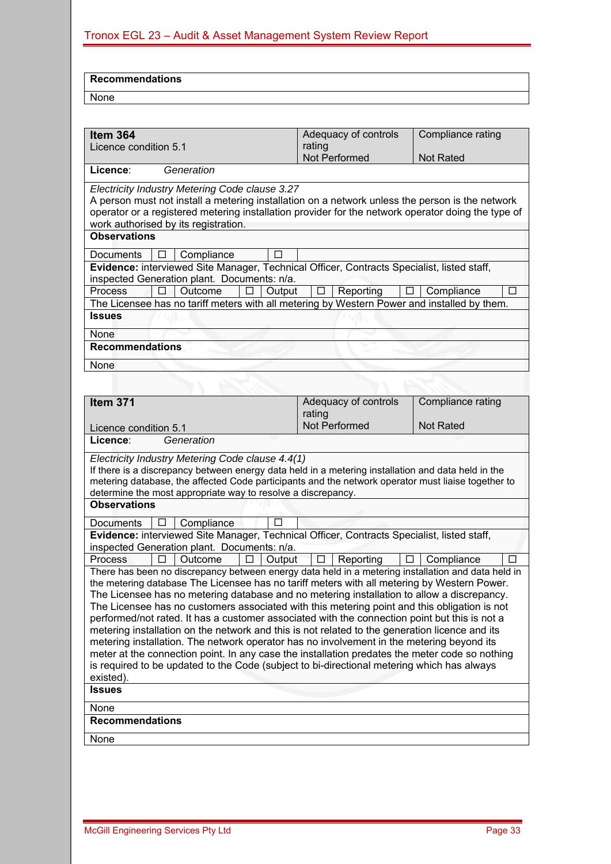| <b>Recommendations</b> |  |
|------------------------|--|
| None                   |  |
|                        |  |

| rating<br>Licence condition 5.1<br>Not Performed<br><b>Not Rated</b><br>Licence:<br>Generation<br>Electricity Industry Metering Code clause 3.27<br>A person must not install a metering installation on a network unless the person is the network<br>operator or a registered metering installation provider for the network operator doing the type of<br>work authorised by its registration.<br><b>Observations</b><br>Documents<br>Compliance<br>Evidence: interviewed Site Manager, Technical Officer, Contracts Specialist, listed staff,<br>inspected Generation plant. Documents: n/a.<br>Reporting<br>Process<br>Outcome<br>□<br>Output<br>Compliance<br>The Licensee has no tariff meters with all metering by Western Power and installed by them.<br><b>Issues</b><br>None<br><b>Recommendations</b><br>None<br>Adequacy of controls<br>Compliance rating<br>Item 371<br>rating<br>Not Performed<br><b>Not Rated</b><br>Licence condition 5.1<br>Licence:<br>Generation<br>Electricity Industry Metering Code clause 4.4(1)<br>If there is a discrepancy between energy data held in a metering installation and data held in the<br>metering database, the affected Code participants and the network operator must liaise together to<br>determine the most appropriate way to resolve a discrepancy.<br><b>Observations</b><br><b>Documents</b><br>Compliance<br>Evidence: interviewed Site Manager, Technical Officer, Contracts Specialist, listed staff,<br>inspected Generation plant. Documents: n/a.<br>Output<br>Outcome<br>П<br>Reporting<br>$\Box$<br>Compliance<br>Process<br>п<br>П<br>There has been no discrepancy between energy data held in a metering installation and data held in<br>the metering database The Licensee has no tariff meters with all metering by Western Power.<br>The Licensee has no metering database and no metering installation to allow a discrepancy.<br>The Licensee has no customers associated with this metering point and this obligation is not<br>performed/not rated. It has a customer associated with the connection point but this is not a<br>metering installation on the network and this is not related to the generation licence and its<br>metering installation. The network operator has no involvement in the metering beyond its<br>meter at the connection point. In any case the installation predates the meter code so nothing<br>is required to be updated to the Code (subject to bi-directional metering which has always<br>existed).<br><b>Issues</b><br>None<br><b>Recommendations</b><br>None | Item 364 | Adequacy of controls | Compliance rating |  |  |  |  |
|--------------------------------------------------------------------------------------------------------------------------------------------------------------------------------------------------------------------------------------------------------------------------------------------------------------------------------------------------------------------------------------------------------------------------------------------------------------------------------------------------------------------------------------------------------------------------------------------------------------------------------------------------------------------------------------------------------------------------------------------------------------------------------------------------------------------------------------------------------------------------------------------------------------------------------------------------------------------------------------------------------------------------------------------------------------------------------------------------------------------------------------------------------------------------------------------------------------------------------------------------------------------------------------------------------------------------------------------------------------------------------------------------------------------------------------------------------------------------------------------------------------------------------------------------------------------------------------------------------------------------------------------------------------------------------------------------------------------------------------------------------------------------------------------------------------------------------------------------------------------------------------------------------------------------------------------------------------------------------------------------------------------------------------------------------------------------------------------------------------------------------------------------------------------------------------------------------------------------------------------------------------------------------------------------------------------------------------------------------------------------------------------------------------------------------------------------------------------------------------------------------------------------------------------------------------------------------------------|----------|----------------------|-------------------|--|--|--|--|
|                                                                                                                                                                                                                                                                                                                                                                                                                                                                                                                                                                                                                                                                                                                                                                                                                                                                                                                                                                                                                                                                                                                                                                                                                                                                                                                                                                                                                                                                                                                                                                                                                                                                                                                                                                                                                                                                                                                                                                                                                                                                                                                                                                                                                                                                                                                                                                                                                                                                                                                                                                                            |          |                      |                   |  |  |  |  |
|                                                                                                                                                                                                                                                                                                                                                                                                                                                                                                                                                                                                                                                                                                                                                                                                                                                                                                                                                                                                                                                                                                                                                                                                                                                                                                                                                                                                                                                                                                                                                                                                                                                                                                                                                                                                                                                                                                                                                                                                                                                                                                                                                                                                                                                                                                                                                                                                                                                                                                                                                                                            |          |                      |                   |  |  |  |  |
|                                                                                                                                                                                                                                                                                                                                                                                                                                                                                                                                                                                                                                                                                                                                                                                                                                                                                                                                                                                                                                                                                                                                                                                                                                                                                                                                                                                                                                                                                                                                                                                                                                                                                                                                                                                                                                                                                                                                                                                                                                                                                                                                                                                                                                                                                                                                                                                                                                                                                                                                                                                            |          |                      |                   |  |  |  |  |
|                                                                                                                                                                                                                                                                                                                                                                                                                                                                                                                                                                                                                                                                                                                                                                                                                                                                                                                                                                                                                                                                                                                                                                                                                                                                                                                                                                                                                                                                                                                                                                                                                                                                                                                                                                                                                                                                                                                                                                                                                                                                                                                                                                                                                                                                                                                                                                                                                                                                                                                                                                                            |          |                      |                   |  |  |  |  |
|                                                                                                                                                                                                                                                                                                                                                                                                                                                                                                                                                                                                                                                                                                                                                                                                                                                                                                                                                                                                                                                                                                                                                                                                                                                                                                                                                                                                                                                                                                                                                                                                                                                                                                                                                                                                                                                                                                                                                                                                                                                                                                                                                                                                                                                                                                                                                                                                                                                                                                                                                                                            |          |                      |                   |  |  |  |  |
|                                                                                                                                                                                                                                                                                                                                                                                                                                                                                                                                                                                                                                                                                                                                                                                                                                                                                                                                                                                                                                                                                                                                                                                                                                                                                                                                                                                                                                                                                                                                                                                                                                                                                                                                                                                                                                                                                                                                                                                                                                                                                                                                                                                                                                                                                                                                                                                                                                                                                                                                                                                            |          |                      |                   |  |  |  |  |
|                                                                                                                                                                                                                                                                                                                                                                                                                                                                                                                                                                                                                                                                                                                                                                                                                                                                                                                                                                                                                                                                                                                                                                                                                                                                                                                                                                                                                                                                                                                                                                                                                                                                                                                                                                                                                                                                                                                                                                                                                                                                                                                                                                                                                                                                                                                                                                                                                                                                                                                                                                                            |          |                      |                   |  |  |  |  |
|                                                                                                                                                                                                                                                                                                                                                                                                                                                                                                                                                                                                                                                                                                                                                                                                                                                                                                                                                                                                                                                                                                                                                                                                                                                                                                                                                                                                                                                                                                                                                                                                                                                                                                                                                                                                                                                                                                                                                                                                                                                                                                                                                                                                                                                                                                                                                                                                                                                                                                                                                                                            |          |                      |                   |  |  |  |  |
|                                                                                                                                                                                                                                                                                                                                                                                                                                                                                                                                                                                                                                                                                                                                                                                                                                                                                                                                                                                                                                                                                                                                                                                                                                                                                                                                                                                                                                                                                                                                                                                                                                                                                                                                                                                                                                                                                                                                                                                                                                                                                                                                                                                                                                                                                                                                                                                                                                                                                                                                                                                            |          |                      |                   |  |  |  |  |
|                                                                                                                                                                                                                                                                                                                                                                                                                                                                                                                                                                                                                                                                                                                                                                                                                                                                                                                                                                                                                                                                                                                                                                                                                                                                                                                                                                                                                                                                                                                                                                                                                                                                                                                                                                                                                                                                                                                                                                                                                                                                                                                                                                                                                                                                                                                                                                                                                                                                                                                                                                                            |          |                      |                   |  |  |  |  |
|                                                                                                                                                                                                                                                                                                                                                                                                                                                                                                                                                                                                                                                                                                                                                                                                                                                                                                                                                                                                                                                                                                                                                                                                                                                                                                                                                                                                                                                                                                                                                                                                                                                                                                                                                                                                                                                                                                                                                                                                                                                                                                                                                                                                                                                                                                                                                                                                                                                                                                                                                                                            |          |                      |                   |  |  |  |  |
|                                                                                                                                                                                                                                                                                                                                                                                                                                                                                                                                                                                                                                                                                                                                                                                                                                                                                                                                                                                                                                                                                                                                                                                                                                                                                                                                                                                                                                                                                                                                                                                                                                                                                                                                                                                                                                                                                                                                                                                                                                                                                                                                                                                                                                                                                                                                                                                                                                                                                                                                                                                            |          |                      |                   |  |  |  |  |
|                                                                                                                                                                                                                                                                                                                                                                                                                                                                                                                                                                                                                                                                                                                                                                                                                                                                                                                                                                                                                                                                                                                                                                                                                                                                                                                                                                                                                                                                                                                                                                                                                                                                                                                                                                                                                                                                                                                                                                                                                                                                                                                                                                                                                                                                                                                                                                                                                                                                                                                                                                                            |          |                      |                   |  |  |  |  |
|                                                                                                                                                                                                                                                                                                                                                                                                                                                                                                                                                                                                                                                                                                                                                                                                                                                                                                                                                                                                                                                                                                                                                                                                                                                                                                                                                                                                                                                                                                                                                                                                                                                                                                                                                                                                                                                                                                                                                                                                                                                                                                                                                                                                                                                                                                                                                                                                                                                                                                                                                                                            |          |                      |                   |  |  |  |  |
|                                                                                                                                                                                                                                                                                                                                                                                                                                                                                                                                                                                                                                                                                                                                                                                                                                                                                                                                                                                                                                                                                                                                                                                                                                                                                                                                                                                                                                                                                                                                                                                                                                                                                                                                                                                                                                                                                                                                                                                                                                                                                                                                                                                                                                                                                                                                                                                                                                                                                                                                                                                            |          |                      |                   |  |  |  |  |
|                                                                                                                                                                                                                                                                                                                                                                                                                                                                                                                                                                                                                                                                                                                                                                                                                                                                                                                                                                                                                                                                                                                                                                                                                                                                                                                                                                                                                                                                                                                                                                                                                                                                                                                                                                                                                                                                                                                                                                                                                                                                                                                                                                                                                                                                                                                                                                                                                                                                                                                                                                                            |          |                      |                   |  |  |  |  |
|                                                                                                                                                                                                                                                                                                                                                                                                                                                                                                                                                                                                                                                                                                                                                                                                                                                                                                                                                                                                                                                                                                                                                                                                                                                                                                                                                                                                                                                                                                                                                                                                                                                                                                                                                                                                                                                                                                                                                                                                                                                                                                                                                                                                                                                                                                                                                                                                                                                                                                                                                                                            |          |                      |                   |  |  |  |  |
|                                                                                                                                                                                                                                                                                                                                                                                                                                                                                                                                                                                                                                                                                                                                                                                                                                                                                                                                                                                                                                                                                                                                                                                                                                                                                                                                                                                                                                                                                                                                                                                                                                                                                                                                                                                                                                                                                                                                                                                                                                                                                                                                                                                                                                                                                                                                                                                                                                                                                                                                                                                            |          |                      |                   |  |  |  |  |
|                                                                                                                                                                                                                                                                                                                                                                                                                                                                                                                                                                                                                                                                                                                                                                                                                                                                                                                                                                                                                                                                                                                                                                                                                                                                                                                                                                                                                                                                                                                                                                                                                                                                                                                                                                                                                                                                                                                                                                                                                                                                                                                                                                                                                                                                                                                                                                                                                                                                                                                                                                                            |          |                      |                   |  |  |  |  |
|                                                                                                                                                                                                                                                                                                                                                                                                                                                                                                                                                                                                                                                                                                                                                                                                                                                                                                                                                                                                                                                                                                                                                                                                                                                                                                                                                                                                                                                                                                                                                                                                                                                                                                                                                                                                                                                                                                                                                                                                                                                                                                                                                                                                                                                                                                                                                                                                                                                                                                                                                                                            |          |                      |                   |  |  |  |  |
|                                                                                                                                                                                                                                                                                                                                                                                                                                                                                                                                                                                                                                                                                                                                                                                                                                                                                                                                                                                                                                                                                                                                                                                                                                                                                                                                                                                                                                                                                                                                                                                                                                                                                                                                                                                                                                                                                                                                                                                                                                                                                                                                                                                                                                                                                                                                                                                                                                                                                                                                                                                            |          |                      |                   |  |  |  |  |
|                                                                                                                                                                                                                                                                                                                                                                                                                                                                                                                                                                                                                                                                                                                                                                                                                                                                                                                                                                                                                                                                                                                                                                                                                                                                                                                                                                                                                                                                                                                                                                                                                                                                                                                                                                                                                                                                                                                                                                                                                                                                                                                                                                                                                                                                                                                                                                                                                                                                                                                                                                                            |          |                      |                   |  |  |  |  |
|                                                                                                                                                                                                                                                                                                                                                                                                                                                                                                                                                                                                                                                                                                                                                                                                                                                                                                                                                                                                                                                                                                                                                                                                                                                                                                                                                                                                                                                                                                                                                                                                                                                                                                                                                                                                                                                                                                                                                                                                                                                                                                                                                                                                                                                                                                                                                                                                                                                                                                                                                                                            |          |                      |                   |  |  |  |  |
|                                                                                                                                                                                                                                                                                                                                                                                                                                                                                                                                                                                                                                                                                                                                                                                                                                                                                                                                                                                                                                                                                                                                                                                                                                                                                                                                                                                                                                                                                                                                                                                                                                                                                                                                                                                                                                                                                                                                                                                                                                                                                                                                                                                                                                                                                                                                                                                                                                                                                                                                                                                            |          |                      |                   |  |  |  |  |
|                                                                                                                                                                                                                                                                                                                                                                                                                                                                                                                                                                                                                                                                                                                                                                                                                                                                                                                                                                                                                                                                                                                                                                                                                                                                                                                                                                                                                                                                                                                                                                                                                                                                                                                                                                                                                                                                                                                                                                                                                                                                                                                                                                                                                                                                                                                                                                                                                                                                                                                                                                                            |          |                      |                   |  |  |  |  |
|                                                                                                                                                                                                                                                                                                                                                                                                                                                                                                                                                                                                                                                                                                                                                                                                                                                                                                                                                                                                                                                                                                                                                                                                                                                                                                                                                                                                                                                                                                                                                                                                                                                                                                                                                                                                                                                                                                                                                                                                                                                                                                                                                                                                                                                                                                                                                                                                                                                                                                                                                                                            |          |                      |                   |  |  |  |  |
|                                                                                                                                                                                                                                                                                                                                                                                                                                                                                                                                                                                                                                                                                                                                                                                                                                                                                                                                                                                                                                                                                                                                                                                                                                                                                                                                                                                                                                                                                                                                                                                                                                                                                                                                                                                                                                                                                                                                                                                                                                                                                                                                                                                                                                                                                                                                                                                                                                                                                                                                                                                            |          |                      |                   |  |  |  |  |
|                                                                                                                                                                                                                                                                                                                                                                                                                                                                                                                                                                                                                                                                                                                                                                                                                                                                                                                                                                                                                                                                                                                                                                                                                                                                                                                                                                                                                                                                                                                                                                                                                                                                                                                                                                                                                                                                                                                                                                                                                                                                                                                                                                                                                                                                                                                                                                                                                                                                                                                                                                                            |          |                      |                   |  |  |  |  |
|                                                                                                                                                                                                                                                                                                                                                                                                                                                                                                                                                                                                                                                                                                                                                                                                                                                                                                                                                                                                                                                                                                                                                                                                                                                                                                                                                                                                                                                                                                                                                                                                                                                                                                                                                                                                                                                                                                                                                                                                                                                                                                                                                                                                                                                                                                                                                                                                                                                                                                                                                                                            |          |                      |                   |  |  |  |  |
|                                                                                                                                                                                                                                                                                                                                                                                                                                                                                                                                                                                                                                                                                                                                                                                                                                                                                                                                                                                                                                                                                                                                                                                                                                                                                                                                                                                                                                                                                                                                                                                                                                                                                                                                                                                                                                                                                                                                                                                                                                                                                                                                                                                                                                                                                                                                                                                                                                                                                                                                                                                            |          |                      |                   |  |  |  |  |
|                                                                                                                                                                                                                                                                                                                                                                                                                                                                                                                                                                                                                                                                                                                                                                                                                                                                                                                                                                                                                                                                                                                                                                                                                                                                                                                                                                                                                                                                                                                                                                                                                                                                                                                                                                                                                                                                                                                                                                                                                                                                                                                                                                                                                                                                                                                                                                                                                                                                                                                                                                                            |          |                      |                   |  |  |  |  |
|                                                                                                                                                                                                                                                                                                                                                                                                                                                                                                                                                                                                                                                                                                                                                                                                                                                                                                                                                                                                                                                                                                                                                                                                                                                                                                                                                                                                                                                                                                                                                                                                                                                                                                                                                                                                                                                                                                                                                                                                                                                                                                                                                                                                                                                                                                                                                                                                                                                                                                                                                                                            |          |                      |                   |  |  |  |  |
|                                                                                                                                                                                                                                                                                                                                                                                                                                                                                                                                                                                                                                                                                                                                                                                                                                                                                                                                                                                                                                                                                                                                                                                                                                                                                                                                                                                                                                                                                                                                                                                                                                                                                                                                                                                                                                                                                                                                                                                                                                                                                                                                                                                                                                                                                                                                                                                                                                                                                                                                                                                            |          |                      |                   |  |  |  |  |
|                                                                                                                                                                                                                                                                                                                                                                                                                                                                                                                                                                                                                                                                                                                                                                                                                                                                                                                                                                                                                                                                                                                                                                                                                                                                                                                                                                                                                                                                                                                                                                                                                                                                                                                                                                                                                                                                                                                                                                                                                                                                                                                                                                                                                                                                                                                                                                                                                                                                                                                                                                                            |          |                      |                   |  |  |  |  |
|                                                                                                                                                                                                                                                                                                                                                                                                                                                                                                                                                                                                                                                                                                                                                                                                                                                                                                                                                                                                                                                                                                                                                                                                                                                                                                                                                                                                                                                                                                                                                                                                                                                                                                                                                                                                                                                                                                                                                                                                                                                                                                                                                                                                                                                                                                                                                                                                                                                                                                                                                                                            |          |                      |                   |  |  |  |  |
|                                                                                                                                                                                                                                                                                                                                                                                                                                                                                                                                                                                                                                                                                                                                                                                                                                                                                                                                                                                                                                                                                                                                                                                                                                                                                                                                                                                                                                                                                                                                                                                                                                                                                                                                                                                                                                                                                                                                                                                                                                                                                                                                                                                                                                                                                                                                                                                                                                                                                                                                                                                            |          |                      |                   |  |  |  |  |
|                                                                                                                                                                                                                                                                                                                                                                                                                                                                                                                                                                                                                                                                                                                                                                                                                                                                                                                                                                                                                                                                                                                                                                                                                                                                                                                                                                                                                                                                                                                                                                                                                                                                                                                                                                                                                                                                                                                                                                                                                                                                                                                                                                                                                                                                                                                                                                                                                                                                                                                                                                                            |          |                      |                   |  |  |  |  |
|                                                                                                                                                                                                                                                                                                                                                                                                                                                                                                                                                                                                                                                                                                                                                                                                                                                                                                                                                                                                                                                                                                                                                                                                                                                                                                                                                                                                                                                                                                                                                                                                                                                                                                                                                                                                                                                                                                                                                                                                                                                                                                                                                                                                                                                                                                                                                                                                                                                                                                                                                                                            |          |                      |                   |  |  |  |  |
|                                                                                                                                                                                                                                                                                                                                                                                                                                                                                                                                                                                                                                                                                                                                                                                                                                                                                                                                                                                                                                                                                                                                                                                                                                                                                                                                                                                                                                                                                                                                                                                                                                                                                                                                                                                                                                                                                                                                                                                                                                                                                                                                                                                                                                                                                                                                                                                                                                                                                                                                                                                            |          |                      |                   |  |  |  |  |
|                                                                                                                                                                                                                                                                                                                                                                                                                                                                                                                                                                                                                                                                                                                                                                                                                                                                                                                                                                                                                                                                                                                                                                                                                                                                                                                                                                                                                                                                                                                                                                                                                                                                                                                                                                                                                                                                                                                                                                                                                                                                                                                                                                                                                                                                                                                                                                                                                                                                                                                                                                                            |          |                      |                   |  |  |  |  |
|                                                                                                                                                                                                                                                                                                                                                                                                                                                                                                                                                                                                                                                                                                                                                                                                                                                                                                                                                                                                                                                                                                                                                                                                                                                                                                                                                                                                                                                                                                                                                                                                                                                                                                                                                                                                                                                                                                                                                                                                                                                                                                                                                                                                                                                                                                                                                                                                                                                                                                                                                                                            |          |                      |                   |  |  |  |  |
|                                                                                                                                                                                                                                                                                                                                                                                                                                                                                                                                                                                                                                                                                                                                                                                                                                                                                                                                                                                                                                                                                                                                                                                                                                                                                                                                                                                                                                                                                                                                                                                                                                                                                                                                                                                                                                                                                                                                                                                                                                                                                                                                                                                                                                                                                                                                                                                                                                                                                                                                                                                            |          |                      |                   |  |  |  |  |
|                                                                                                                                                                                                                                                                                                                                                                                                                                                                                                                                                                                                                                                                                                                                                                                                                                                                                                                                                                                                                                                                                                                                                                                                                                                                                                                                                                                                                                                                                                                                                                                                                                                                                                                                                                                                                                                                                                                                                                                                                                                                                                                                                                                                                                                                                                                                                                                                                                                                                                                                                                                            |          |                      |                   |  |  |  |  |
|                                                                                                                                                                                                                                                                                                                                                                                                                                                                                                                                                                                                                                                                                                                                                                                                                                                                                                                                                                                                                                                                                                                                                                                                                                                                                                                                                                                                                                                                                                                                                                                                                                                                                                                                                                                                                                                                                                                                                                                                                                                                                                                                                                                                                                                                                                                                                                                                                                                                                                                                                                                            |          |                      |                   |  |  |  |  |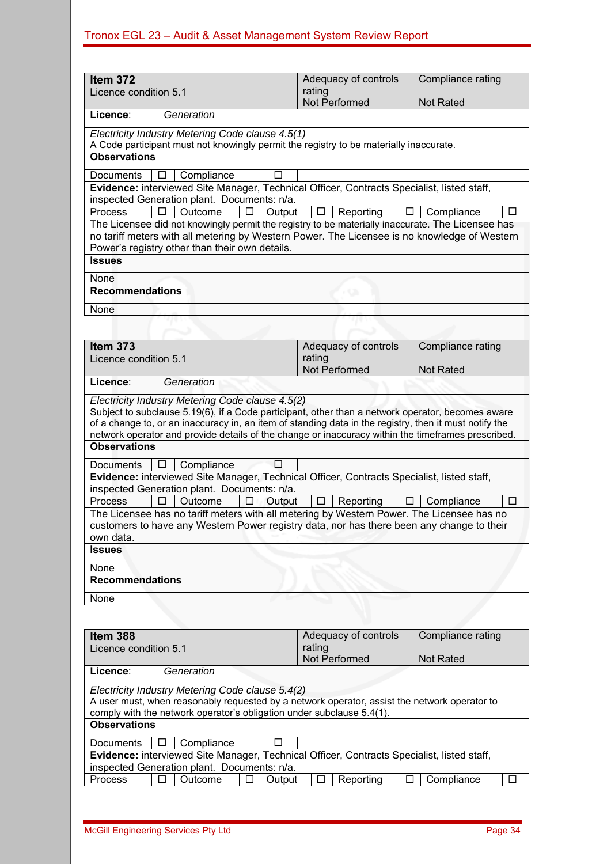|                                                                                                                                                       | Adequacy of controls     | Compliance rating |  |  |  |  |  |
|-------------------------------------------------------------------------------------------------------------------------------------------------------|--------------------------|-------------------|--|--|--|--|--|
| Item 372                                                                                                                                              | rating                   |                   |  |  |  |  |  |
| Licence condition 5.1                                                                                                                                 | Not Performed            | Not Rated         |  |  |  |  |  |
| Licence:<br>Generation                                                                                                                                |                          |                   |  |  |  |  |  |
| Electricity Industry Metering Code clause 4.5(1)                                                                                                      |                          |                   |  |  |  |  |  |
| A Code participant must not knowingly permit the registry to be materially inaccurate.                                                                |                          |                   |  |  |  |  |  |
| <b>Observations</b>                                                                                                                                   |                          |                   |  |  |  |  |  |
| Compliance<br>Documents<br>П                                                                                                                          |                          |                   |  |  |  |  |  |
| Evidence: interviewed Site Manager, Technical Officer, Contracts Specialist, listed staff,                                                            |                          |                   |  |  |  |  |  |
| inspected Generation plant. Documents: n/a.                                                                                                           |                          |                   |  |  |  |  |  |
| <b>Process</b><br>П<br>Outcome<br>П<br>Output                                                                                                         | Reporting<br>$\Box$<br>⊔ | Compliance<br>□   |  |  |  |  |  |
| The Licensee did not knowingly permit the registry to be materially inaccurate. The Licensee has                                                      |                          |                   |  |  |  |  |  |
| no tariff meters with all metering by Western Power. The Licensee is no knowledge of Western                                                          |                          |                   |  |  |  |  |  |
| Power's registry other than their own details.<br><b>Issues</b>                                                                                       |                          |                   |  |  |  |  |  |
|                                                                                                                                                       |                          |                   |  |  |  |  |  |
| None                                                                                                                                                  |                          |                   |  |  |  |  |  |
| <b>Recommendations</b>                                                                                                                                |                          |                   |  |  |  |  |  |
| None                                                                                                                                                  |                          |                   |  |  |  |  |  |
|                                                                                                                                                       |                          |                   |  |  |  |  |  |
|                                                                                                                                                       |                          |                   |  |  |  |  |  |
| Item 373                                                                                                                                              | Adequacy of controls     | Compliance rating |  |  |  |  |  |
| Licence condition 5.1                                                                                                                                 | rating<br>Not Performed  | <b>Not Rated</b>  |  |  |  |  |  |
| Licence:<br>Generation                                                                                                                                |                          |                   |  |  |  |  |  |
|                                                                                                                                                       |                          |                   |  |  |  |  |  |
| Electricity Industry Metering Code clause 4.5(2)<br>Subject to subclause 5.19(6), if a Code participant, other than a network operator, becomes aware |                          |                   |  |  |  |  |  |
| of a change to, or an inaccuracy in, an item of standing data in the registry, then it must notify the                                                |                          |                   |  |  |  |  |  |
| network operator and provide details of the change or inaccuracy within the timeframes prescribed.                                                    |                          |                   |  |  |  |  |  |
| <b>Observations</b>                                                                                                                                   |                          |                   |  |  |  |  |  |
| $\Box$<br>Compliance<br>Documents                                                                                                                     |                          |                   |  |  |  |  |  |
| Evidence: interviewed Site Manager, Technical Officer, Contracts Specialist, listed staff,                                                            |                          |                   |  |  |  |  |  |
| inspected Generation plant. Documents: n/a.                                                                                                           |                          |                   |  |  |  |  |  |
| <b>Process</b><br>Output<br>Outcome<br>П<br>C.                                                                                                        | Reporting<br>ш<br>ப      | П<br>Compliance   |  |  |  |  |  |
| The Licensee has no tariff meters with all metering by Western Power. The Licensee has no                                                             |                          |                   |  |  |  |  |  |
| customers to have any Western Power registry data, nor has there been any change to their                                                             |                          |                   |  |  |  |  |  |
| own data.<br><b>Issues</b>                                                                                                                            |                          |                   |  |  |  |  |  |
|                                                                                                                                                       |                          |                   |  |  |  |  |  |
| None                                                                                                                                                  |                          |                   |  |  |  |  |  |
| <b>Recommendations</b>                                                                                                                                |                          |                   |  |  |  |  |  |
| None                                                                                                                                                  |                          |                   |  |  |  |  |  |
|                                                                                                                                                       |                          |                   |  |  |  |  |  |
| Item 388                                                                                                                                              | Adequacy of controls     | Compliance rating |  |  |  |  |  |
| Licence condition 5.1                                                                                                                                 | rating                   |                   |  |  |  |  |  |
| Not Performed<br><b>Not Rated</b>                                                                                                                     |                          |                   |  |  |  |  |  |
| Licence:<br>Generation                                                                                                                                |                          |                   |  |  |  |  |  |
| Electricity Industry Metering Code clause 5.4(2)                                                                                                      |                          |                   |  |  |  |  |  |
| A user must, when reasonably requested by a network operator, assist the network operator to                                                          |                          |                   |  |  |  |  |  |
| comply with the network operator's obligation under subclause 5.4(1).                                                                                 |                          |                   |  |  |  |  |  |
| <b>Observations</b>                                                                                                                                   |                          |                   |  |  |  |  |  |
| Compliance<br>$\Box$<br>Documents<br>⊔                                                                                                                |                          |                   |  |  |  |  |  |
| Evidence: interviewed Site Manager, Technical Officer, Contracts Specialist, listed staff,                                                            |                          |                   |  |  |  |  |  |
| inspected Generation plant. Documents: n/a.                                                                                                           |                          |                   |  |  |  |  |  |

Process Outcome Output Reporting Compliance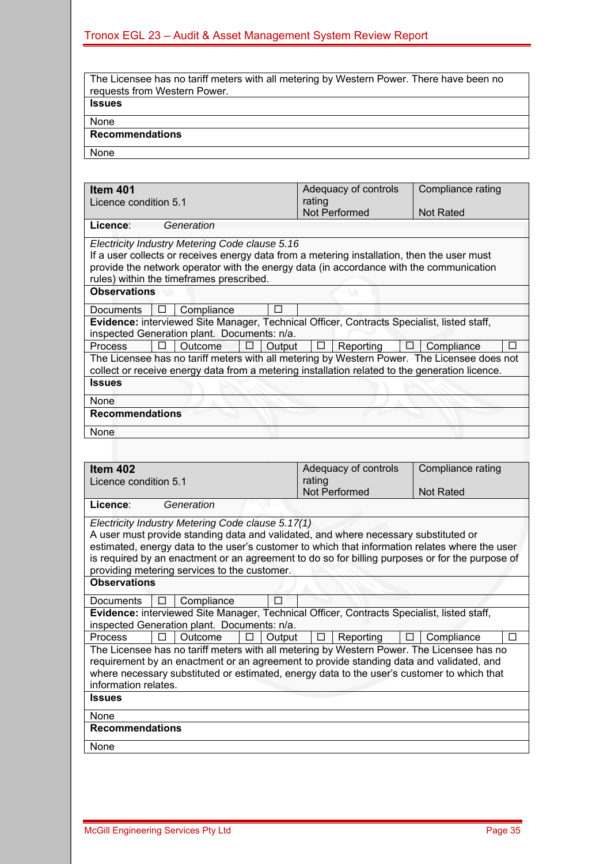| The Licensee has no tariff meters with all metering by Western Power. There have been no<br>requests from Western Power. |
|--------------------------------------------------------------------------------------------------------------------------|
| <b>Issues</b>                                                                                                            |
| None                                                                                                                     |
| <b>Recommendations</b>                                                                                                   |
| None                                                                                                                     |

| <b>Item 401</b>                                                                                | Adequacy of controls | Compliance rating |  |  |  |  |
|------------------------------------------------------------------------------------------------|----------------------|-------------------|--|--|--|--|
| Licence condition 5.1                                                                          | rating               |                   |  |  |  |  |
|                                                                                                | Not Performed        | Not Rated         |  |  |  |  |
| Licence:<br>Generation                                                                         |                      |                   |  |  |  |  |
| Electricity Industry Metering Code clause 5.16                                                 |                      |                   |  |  |  |  |
| If a user collects or receives energy data from a metering installation, then the user must    |                      |                   |  |  |  |  |
| provide the network operator with the energy data (in accordance with the communication        |                      |                   |  |  |  |  |
| rules) within the timeframes prescribed.                                                       |                      |                   |  |  |  |  |
| <b>Observations</b>                                                                            |                      |                   |  |  |  |  |
|                                                                                                |                      |                   |  |  |  |  |
| Compliance<br>П<br><b>Documents</b><br>⊔                                                       |                      |                   |  |  |  |  |
| Evidence: interviewed Site Manager, Technical Officer, Contracts Specialist, listed staff,     |                      |                   |  |  |  |  |
| inspected Generation plant. Documents: n/a.                                                    |                      |                   |  |  |  |  |
| <b>Process</b><br><b>Outcome</b><br>п<br>Output                                                | Reporting<br>$\Box$  | Compliance<br>П   |  |  |  |  |
| The Licensee has no tariff meters with all metering by Western Power. The Licensee does not    |                      |                   |  |  |  |  |
| collect or receive energy data from a metering installation related to the generation licence. |                      |                   |  |  |  |  |
| <b>Issues</b>                                                                                  |                      |                   |  |  |  |  |
| None                                                                                           |                      |                   |  |  |  |  |
| <b>Recommendations</b>                                                                         |                      |                   |  |  |  |  |
| None                                                                                           |                      |                   |  |  |  |  |
|                                                                                                |                      |                   |  |  |  |  |

| ltem 402                                                                                        | Adequacy of controls | Compliance rating |
|-------------------------------------------------------------------------------------------------|----------------------|-------------------|
| Licence condition 5.1                                                                           | rating               |                   |
|                                                                                                 | Not Performed        | <b>Not Rated</b>  |
| Generation<br>Licence:                                                                          |                      |                   |
| Electricity Industry Metering Code clause 5.17(1)                                               |                      |                   |
| A user must provide standing data and validated, and where necessary substituted or             |                      |                   |
| estimated, energy data to the user's customer to which that information relates where the user  |                      |                   |
| is required by an enactment or an agreement to do so for billing purposes or for the purpose of |                      |                   |
| providing metering services to the customer.                                                    |                      |                   |
| <b>Observations</b>                                                                             |                      |                   |
| П<br>Compliance<br>Documents<br>$\Box$                                                          |                      |                   |
| Evidence: interviewed Site Manager, Technical Officer, Contracts Specialist, listed staff,      |                      |                   |
| inspected Generation plant. Documents: n/a.                                                     |                      |                   |
| Process<br>Outcome<br>Output<br>П                                                               | Reporting<br>⊔       | Compliance<br>П   |
| The Licensee has no tariff meters with all metering by Western Power. The Licensee has no       |                      |                   |
| requirement by an enactment or an agreement to provide standing data and validated, and         |                      |                   |
| where necessary substituted or estimated, energy data to the user's customer to which that      |                      |                   |
| information relates.                                                                            |                      |                   |
| <b>Issues</b>                                                                                   |                      |                   |
| None                                                                                            |                      |                   |
| <b>Recommendations</b>                                                                          |                      |                   |
| None                                                                                            |                      |                   |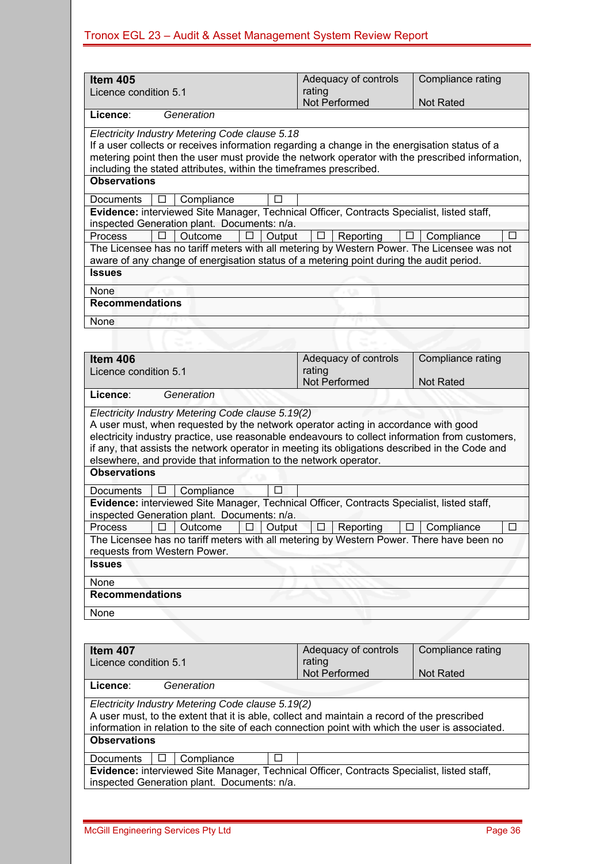| Item 405                                                                                                                                                                                                                                                                                                                                                                                 | Adequacy of controls                                                                                                                                                                                                                                                                                                                         | Compliance rating                     |  |  |  |  |  |
|------------------------------------------------------------------------------------------------------------------------------------------------------------------------------------------------------------------------------------------------------------------------------------------------------------------------------------------------------------------------------------------|----------------------------------------------------------------------------------------------------------------------------------------------------------------------------------------------------------------------------------------------------------------------------------------------------------------------------------------------|---------------------------------------|--|--|--|--|--|
| Licence condition 5.1                                                                                                                                                                                                                                                                                                                                                                    | rating<br>Not Performed                                                                                                                                                                                                                                                                                                                      | <b>Not Rated</b>                      |  |  |  |  |  |
| Licence:<br>Generation                                                                                                                                                                                                                                                                                                                                                                   |                                                                                                                                                                                                                                                                                                                                              |                                       |  |  |  |  |  |
| Electricity Industry Metering Code clause 5.18<br>If a user collects or receives information regarding a change in the energisation status of a<br>metering point then the user must provide the network operator with the prescribed information,<br>including the stated attributes, within the timeframes prescribed.                                                                 |                                                                                                                                                                                                                                                                                                                                              |                                       |  |  |  |  |  |
| <b>Observations</b>                                                                                                                                                                                                                                                                                                                                                                      |                                                                                                                                                                                                                                                                                                                                              |                                       |  |  |  |  |  |
| Compliance<br><b>Documents</b><br>П                                                                                                                                                                                                                                                                                                                                                      |                                                                                                                                                                                                                                                                                                                                              |                                       |  |  |  |  |  |
| Evidence: interviewed Site Manager, Technical Officer, Contracts Specialist, listed staff,<br>inspected Generation plant. Documents: n/a.<br><b>Process</b><br>$\Box$<br>Outcome<br>Output<br>□<br>The Licensee has no tariff meters with all metering by Western Power. The Licensee was not<br>aware of any change of energisation status of a metering point during the audit period. | Reporting                                                                                                                                                                                                                                                                                                                                    | $\Box$ Compliance<br>□                |  |  |  |  |  |
| <b>Issues</b>                                                                                                                                                                                                                                                                                                                                                                            |                                                                                                                                                                                                                                                                                                                                              |                                       |  |  |  |  |  |
| None                                                                                                                                                                                                                                                                                                                                                                                     |                                                                                                                                                                                                                                                                                                                                              |                                       |  |  |  |  |  |
| <b>Recommendations</b>                                                                                                                                                                                                                                                                                                                                                                   |                                                                                                                                                                                                                                                                                                                                              |                                       |  |  |  |  |  |
| None                                                                                                                                                                                                                                                                                                                                                                                     |                                                                                                                                                                                                                                                                                                                                              |                                       |  |  |  |  |  |
|                                                                                                                                                                                                                                                                                                                                                                                          |                                                                                                                                                                                                                                                                                                                                              |                                       |  |  |  |  |  |
| Item 406<br>Licence condition 5.1                                                                                                                                                                                                                                                                                                                                                        | Adequacy of controls<br>rating<br>Not Performed                                                                                                                                                                                                                                                                                              | Compliance rating<br><b>Not Rated</b> |  |  |  |  |  |
| Licence:<br>Generation                                                                                                                                                                                                                                                                                                                                                                   |                                                                                                                                                                                                                                                                                                                                              |                                       |  |  |  |  |  |
| elsewhere, and provide that information to the network operator.                                                                                                                                                                                                                                                                                                                         | Electricity Industry Metering Code clause 5.19(2)<br>A user must, when requested by the network operator acting in accordance with good<br>electricity industry practice, use reasonable endeavours to collect information from customers,<br>if any, that assists the network operator in meeting its obligations described in the Code and |                                       |  |  |  |  |  |
| <b>Observations</b>                                                                                                                                                                                                                                                                                                                                                                      |                                                                                                                                                                                                                                                                                                                                              |                                       |  |  |  |  |  |
| Compliance<br>П<br>Documents<br>□                                                                                                                                                                                                                                                                                                                                                        |                                                                                                                                                                                                                                                                                                                                              |                                       |  |  |  |  |  |
| Evidence: interviewed Site Manager, Technical Officer, Contracts Specialist, listed staff,<br>inspected Generation plant. Documents: n/a.                                                                                                                                                                                                                                                |                                                                                                                                                                                                                                                                                                                                              |                                       |  |  |  |  |  |
| Process $\boxed{\Box}$ Outcome $\boxed{\Box}$ Output $\boxed{\Box}$ Reporting $\boxed{\Box}$ Compliance<br>The Licensee has no tariff meters with all metering by Western Power. There have been no                                                                                                                                                                                      |                                                                                                                                                                                                                                                                                                                                              | П                                     |  |  |  |  |  |
| requests from Western Power.                                                                                                                                                                                                                                                                                                                                                             |                                                                                                                                                                                                                                                                                                                                              |                                       |  |  |  |  |  |
| <b>Issues</b>                                                                                                                                                                                                                                                                                                                                                                            |                                                                                                                                                                                                                                                                                                                                              |                                       |  |  |  |  |  |
| None                                                                                                                                                                                                                                                                                                                                                                                     |                                                                                                                                                                                                                                                                                                                                              |                                       |  |  |  |  |  |
| <b>Recommendations</b>                                                                                                                                                                                                                                                                                                                                                                   |                                                                                                                                                                                                                                                                                                                                              |                                       |  |  |  |  |  |
| None                                                                                                                                                                                                                                                                                                                                                                                     |                                                                                                                                                                                                                                                                                                                                              |                                       |  |  |  |  |  |
|                                                                                                                                                                                                                                                                                                                                                                                          |                                                                                                                                                                                                                                                                                                                                              |                                       |  |  |  |  |  |
| Compliance rating<br>Adequacy of controls<br>Item 407<br>rating<br>Licence condition 5.1<br>Not Performed<br><b>Not Rated</b>                                                                                                                                                                                                                                                            |                                                                                                                                                                                                                                                                                                                                              |                                       |  |  |  |  |  |
| Licence:<br>Generation                                                                                                                                                                                                                                                                                                                                                                   |                                                                                                                                                                                                                                                                                                                                              |                                       |  |  |  |  |  |
| Electricity Industry Metering Code clause 5.19(2)<br>A user must, to the extent that it is able, collect and maintain a record of the prescribed<br>information in relation to the site of each connection point with which the user is associated.<br><b>Observations</b>                                                                                                               |                                                                                                                                                                                                                                                                                                                                              |                                       |  |  |  |  |  |
| Compliance<br>Documents<br>П<br>$\Box$                                                                                                                                                                                                                                                                                                                                                   |                                                                                                                                                                                                                                                                                                                                              |                                       |  |  |  |  |  |
| Evidence: interviewed Site Manager, Technical Officer, Contracts Specialist, listed staff,<br>inspected Generation plant. Documents: n/a.                                                                                                                                                                                                                                                |                                                                                                                                                                                                                                                                                                                                              |                                       |  |  |  |  |  |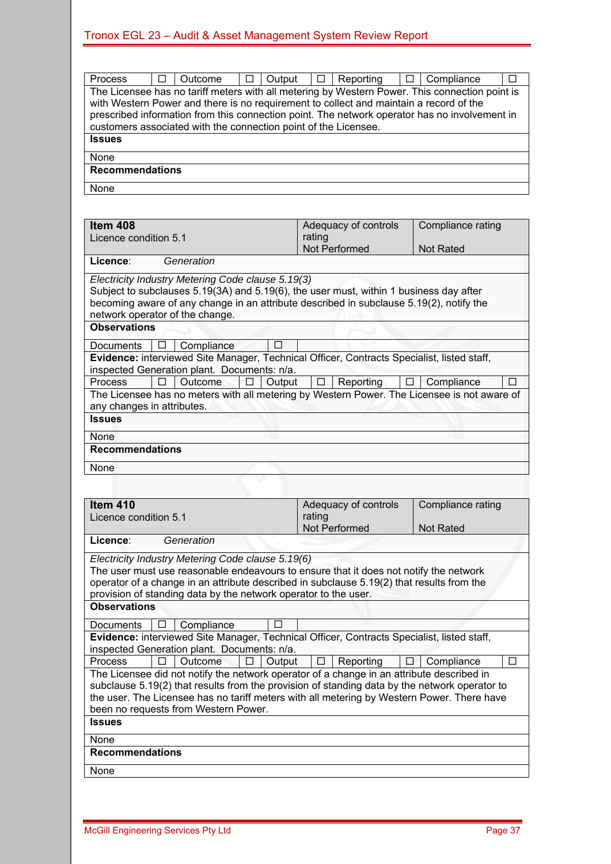| $\Box$<br>$\Box$<br>Output<br>Outcome<br><b>Process</b>                                        | ם<br>Reporting       | $\Box$ Compliance<br>П |  |  |  |  |
|------------------------------------------------------------------------------------------------|----------------------|------------------------|--|--|--|--|
| The Licensee has no tariff meters with all metering by Western Power. This connection point is |                      |                        |  |  |  |  |
| with Western Power and there is no requirement to collect and maintain a record of the         |                      |                        |  |  |  |  |
| prescribed information from this connection point. The network operator has no involvement in  |                      |                        |  |  |  |  |
| customers associated with the connection point of the Licensee.                                |                      |                        |  |  |  |  |
| <b>Issues</b>                                                                                  |                      |                        |  |  |  |  |
|                                                                                                |                      |                        |  |  |  |  |
| None                                                                                           |                      |                        |  |  |  |  |
| <b>Recommendations</b>                                                                         |                      |                        |  |  |  |  |
|                                                                                                |                      |                        |  |  |  |  |
| None                                                                                           |                      |                        |  |  |  |  |
|                                                                                                |                      |                        |  |  |  |  |
|                                                                                                |                      |                        |  |  |  |  |
|                                                                                                |                      |                        |  |  |  |  |
| Item 408                                                                                       | Adequacy of controls | Compliance rating      |  |  |  |  |
| Licence condition 5.1                                                                          | rating               |                        |  |  |  |  |
|                                                                                                | Not Performed        | <b>Not Rated</b>       |  |  |  |  |
| Licence:<br>Generation                                                                         |                      |                        |  |  |  |  |
|                                                                                                |                      |                        |  |  |  |  |
| Electricity Industry Metering Code clause 5.19(3)                                              |                      |                        |  |  |  |  |
| Subject to subclauses 5.19(3A) and 5.19(6), the user must, within 1 business day after         |                      |                        |  |  |  |  |
| becoming aware of any change in an attribute described in subclause 5.19(2), notify the        |                      |                        |  |  |  |  |
| network operator of the change.                                                                |                      |                        |  |  |  |  |
| <b>Observations</b>                                                                            |                      |                        |  |  |  |  |
|                                                                                                |                      |                        |  |  |  |  |
| Compliance<br><b>Documents</b><br>ப                                                            |                      |                        |  |  |  |  |
| Evidence: interviewed Site Manager, Technical Officer, Contracts Specialist, listed staff,     |                      |                        |  |  |  |  |
| inspected Generation plant. Documents: n/a.                                                    |                      |                        |  |  |  |  |
| <b>Process</b><br>П<br>Outcome<br>Output                                                       | Reporting<br>□       | Compliance             |  |  |  |  |
| The Licensee has no meters with all metering by Western Power. The Licensee is not aware of    |                      |                        |  |  |  |  |
|                                                                                                |                      |                        |  |  |  |  |
| any changes in attributes.                                                                     |                      |                        |  |  |  |  |
| <b>Issues</b>                                                                                  |                      |                        |  |  |  |  |
| None                                                                                           |                      |                        |  |  |  |  |
|                                                                                                |                      |                        |  |  |  |  |
| <b>Recommendations</b>                                                                         |                      |                        |  |  |  |  |
| None                                                                                           |                      |                        |  |  |  |  |
|                                                                                                |                      |                        |  |  |  |  |
|                                                                                                |                      |                        |  |  |  |  |
|                                                                                                |                      |                        |  |  |  |  |
| <b>Item 410</b>                                                                                | Adequacy of controls | Compliance rating      |  |  |  |  |
| Licence condition 5.1                                                                          | rating               |                        |  |  |  |  |
|                                                                                                | Not Performed        | Not Rated              |  |  |  |  |
| Licence:<br>Generation                                                                         |                      |                        |  |  |  |  |
|                                                                                                |                      |                        |  |  |  |  |
| Electricity Industry Metering Code clause 5.19(6)                                              |                      |                        |  |  |  |  |
| The user must use reasonable endeavours to ensure that it does not notify the network          |                      |                        |  |  |  |  |
| operator of a change in an attribute described in subclause 5.19(2) that results from the      |                      |                        |  |  |  |  |
| provision of standing data by the network operator to the user.                                |                      |                        |  |  |  |  |
| <b>Observations</b>                                                                            |                      |                        |  |  |  |  |
|                                                                                                |                      |                        |  |  |  |  |
| <b>Documents</b><br>Compliance                                                                 |                      |                        |  |  |  |  |
| Evidence: interviewed Site Manager, Technical Officer, Contracts Specialist, listed staff,     |                      |                        |  |  |  |  |
| inspected Generation plant. Documents: n/a.                                                    |                      |                        |  |  |  |  |
| Process<br>П<br>Outcome<br>Output                                                              | Reporting            | Compliance<br>П        |  |  |  |  |
| The Licensee did not notify the network operator of a change in an attribute described in      |                      |                        |  |  |  |  |
|                                                                                                |                      |                        |  |  |  |  |
| subclause 5.19(2) that results from the provision of standing data by the network operator to  |                      |                        |  |  |  |  |
| the user. The Licensee has no tariff meters with all metering by Western Power. There have     |                      |                        |  |  |  |  |
| been no requests from Western Power.                                                           |                      |                        |  |  |  |  |
| <b>Issues</b>                                                                                  |                      |                        |  |  |  |  |
|                                                                                                |                      |                        |  |  |  |  |
|                                                                                                |                      |                        |  |  |  |  |
| None                                                                                           |                      |                        |  |  |  |  |
| <b>Recommendations</b>                                                                         |                      |                        |  |  |  |  |
|                                                                                                |                      |                        |  |  |  |  |
| None                                                                                           |                      |                        |  |  |  |  |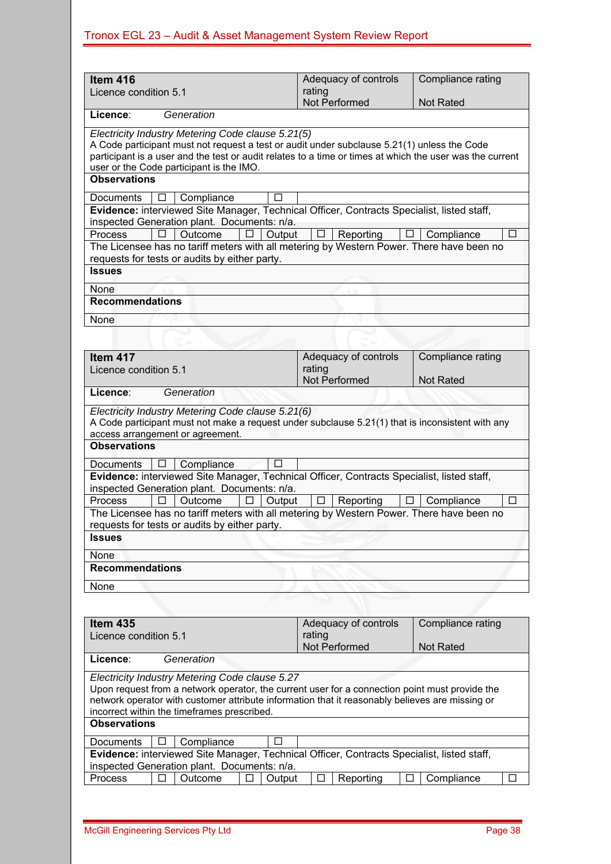| Item 416                                                                                                                                                                                                                                                                                                                                                                                  | Adequacy of controls                                   | Compliance rating                     |
|-------------------------------------------------------------------------------------------------------------------------------------------------------------------------------------------------------------------------------------------------------------------------------------------------------------------------------------------------------------------------------------------|--------------------------------------------------------|---------------------------------------|
| Licence condition 5.1                                                                                                                                                                                                                                                                                                                                                                     | rating<br>Not Performed                                | <b>Not Rated</b>                      |
| Licence:<br>Generation                                                                                                                                                                                                                                                                                                                                                                    |                                                        |                                       |
| Electricity Industry Metering Code clause 5.21(5)<br>A Code participant must not request a test or audit under subclause 5.21(1) unless the Code<br>participant is a user and the test or audit relates to a time or times at which the user was the current<br>user or the Code participant is the IMO.<br><b>Observations</b>                                                           |                                                        |                                       |
|                                                                                                                                                                                                                                                                                                                                                                                           |                                                        |                                       |
| Compliance<br><b>Documents</b><br>$\mathsf{L}$<br>Evidence: interviewed Site Manager, Technical Officer, Contracts Specialist, listed staff,<br>inspected Generation plant. Documents: n/a.<br>П<br>Outcome<br>Output<br><b>Process</b><br>П<br>The Licensee has no tariff meters with all metering by Western Power. There have been no<br>requests for tests or audits by either party. | <b>Reporting</b><br>⊔                                  | Compliance<br>П<br>$\Box$             |
| <b>Issues</b>                                                                                                                                                                                                                                                                                                                                                                             |                                                        |                                       |
| None                                                                                                                                                                                                                                                                                                                                                                                      |                                                        |                                       |
| <b>Recommendations</b>                                                                                                                                                                                                                                                                                                                                                                    |                                                        |                                       |
| None                                                                                                                                                                                                                                                                                                                                                                                      |                                                        |                                       |
| Item 417<br>Licence condition 5.1                                                                                                                                                                                                                                                                                                                                                         | Adequacy of controls<br>rating<br><b>Not Performed</b> | Compliance rating<br><b>Not Rated</b> |
| Licence:<br>Generation                                                                                                                                                                                                                                                                                                                                                                    |                                                        |                                       |
| A Code participant must not make a request under subclause 5.21(1) that is inconsistent with any<br>access arrangement or agreement.<br><b>Observations</b><br>Compliance<br>П<br>Documents<br>⊔                                                                                                                                                                                          |                                                        |                                       |
| Evidence: interviewed Site Manager, Technical Officer, Contracts Specialist, listed staff,<br>inspected Generation plant. Documents: n/a.<br><b>Process</b><br>Outcome<br>Output<br>□<br>Ш<br>The Licensee has no tariff meters with all metering by Western Power. There have been no<br>requests for tests or audits by either party.<br><b>Issues</b>                                  | Reporting<br>□<br>□                                    | П<br>Compliance                       |
| None                                                                                                                                                                                                                                                                                                                                                                                      |                                                        |                                       |
| <b>Recommendations</b>                                                                                                                                                                                                                                                                                                                                                                    |                                                        |                                       |
| None                                                                                                                                                                                                                                                                                                                                                                                      |                                                        |                                       |
|                                                                                                                                                                                                                                                                                                                                                                                           |                                                        |                                       |
| Item 435<br>Licence condition 5.1                                                                                                                                                                                                                                                                                                                                                         | Adequacy of controls<br>rating<br>Not Performed        | Compliance rating<br><b>Not Rated</b> |
| Licence:<br>Generation                                                                                                                                                                                                                                                                                                                                                                    |                                                        |                                       |
| Electricity Industry Metering Code clause 5.27<br>Upon request from a network operator, the current user for a connection point must provide the<br>network operator with customer attribute information that it reasonably believes are missing or<br>incorrect within the timeframes prescribed.<br><b>Observations</b>                                                                 |                                                        |                                       |
| Compliance<br>П<br>Documents<br>⊔                                                                                                                                                                                                                                                                                                                                                         |                                                        |                                       |
| Evidence: interviewed Site Manager, Technical Officer, Contracts Specialist, listed staff,<br>inspected Generation plant. Documents: n/a.                                                                                                                                                                                                                                                 |                                                        |                                       |
| Process<br>Outcome<br>Output                                                                                                                                                                                                                                                                                                                                                              | Reporting<br>⊔                                         | Compliance                            |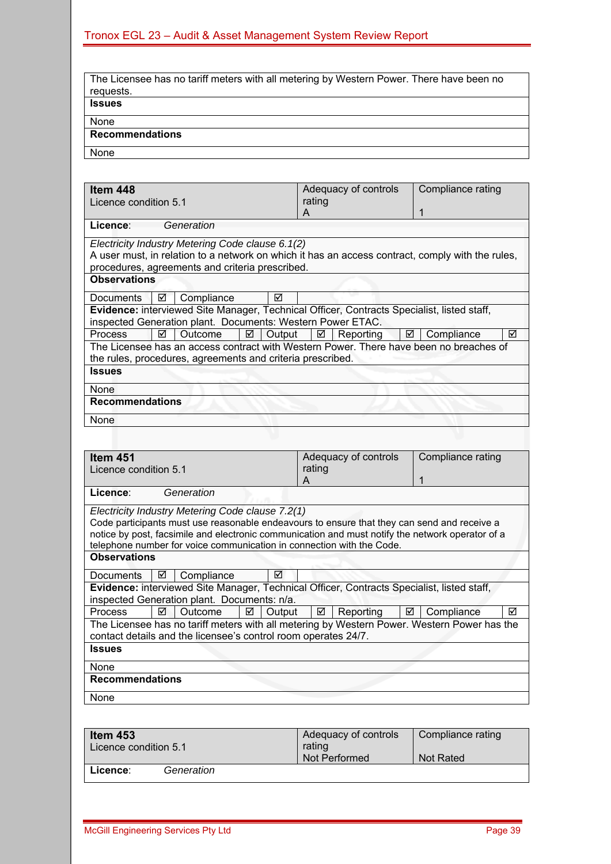| The Licensee has no tariff meters with all metering by Western Power. There have been no |
|------------------------------------------------------------------------------------------|
|                                                                                          |
| requests.                                                                                |
| <b>Issues</b>                                                                            |
|                                                                                          |
|                                                                                          |
| None                                                                                     |
|                                                                                          |
| <b>Recommendations</b>                                                                   |
|                                                                                          |
| None                                                                                     |
|                                                                                          |

| Item 448                                                                                                                                                 | Adequacy of controls | Compliance rating |
|----------------------------------------------------------------------------------------------------------------------------------------------------------|----------------------|-------------------|
| Licence condition 5.1                                                                                                                                    | rating               |                   |
|                                                                                                                                                          | А                    | 1                 |
| Licence:<br>Generation                                                                                                                                   |                      |                   |
| Electricity Industry Metering Code clause 6.1(2)                                                                                                         |                      |                   |
| A user must, in relation to a network on which it has an access contract, comply with the rules,                                                         |                      |                   |
| procedures, agreements and criteria prescribed.                                                                                                          |                      |                   |
| <b>Observations</b>                                                                                                                                      |                      |                   |
| Compliance<br>☑<br><b>Documents</b><br>☑                                                                                                                 |                      |                   |
| Evidence: interviewed Site Manager, Technical Officer, Contracts Specialist, listed staff,<br>inspected Generation plant. Documents: Western Power ETAC. |                      |                   |
| Process<br>☑<br>Outcome<br>☑<br>Output                                                                                                                   | ☑<br>☑<br>Reporting  | ☑<br>Compliance   |
| The Licensee has an access contract with Western Power. There have been no breaches of                                                                   |                      |                   |
| the rules, procedures, agreements and criteria prescribed.                                                                                               |                      |                   |
| <b>Issues</b>                                                                                                                                            |                      |                   |
| None                                                                                                                                                     |                      |                   |
| <b>Recommendations</b>                                                                                                                                   |                      |                   |
| None                                                                                                                                                     |                      |                   |
|                                                                                                                                                          |                      |                   |
| Item 451                                                                                                                                                 | Adequacy of controls | Compliance rating |
| Licence condition 5.1                                                                                                                                    | rating               |                   |
|                                                                                                                                                          | A                    | 1                 |
| Licence:<br>Generation                                                                                                                                   |                      |                   |
| Electricity Industry Metering Code clause 7.2(1)                                                                                                         |                      |                   |
| Code participants must use reasonable endeavours to ensure that they can send and receive a                                                              |                      |                   |
| notice by post, facsimile and electronic communication and must notify the network operator of a                                                         |                      |                   |
| telephone number for voice communication in connection with the Code.                                                                                    |                      |                   |
| <b>Observations</b>                                                                                                                                      |                      |                   |
| Compliance<br>☑<br>Documents<br>☑                                                                                                                        |                      |                   |
| Evidence: interviewed Site Manager, Technical Officer, Contracts Specialist, listed staff                                                                |                      |                   |

**Evidence:** interviewed Site Manager, Technical Officer, Contracts Specialist, listed staff, inspected Generation plant. Documents: n/a.

| <b>Process</b>                                                                              | ☑ | I Outcome | ☑ | Output | ☑ | Reporting |  | $\boxtimes$   Compliance | ☑ |
|---------------------------------------------------------------------------------------------|---|-----------|---|--------|---|-----------|--|--------------------------|---|
| The Licensee has no tariff meters with all metering by Western Power. Western Power has the |   |           |   |        |   |           |  |                          |   |
| contact details and the licensee's control room operates 24/7.                              |   |           |   |        |   |           |  |                          |   |
| <b>Issues</b>                                                                               |   |           |   |        |   |           |  |                          |   |
| None                                                                                        |   |           |   |        |   |           |  |                          |   |

#### **Recommendations**

None

| Item $453$<br>Licence condition 5.1 |            | Adequacy of controls<br>rating | Compliance rating |
|-------------------------------------|------------|--------------------------------|-------------------|
|                                     |            | Not Performed                  | <b>Not Rated</b>  |
| Licence:                            | Generation |                                |                   |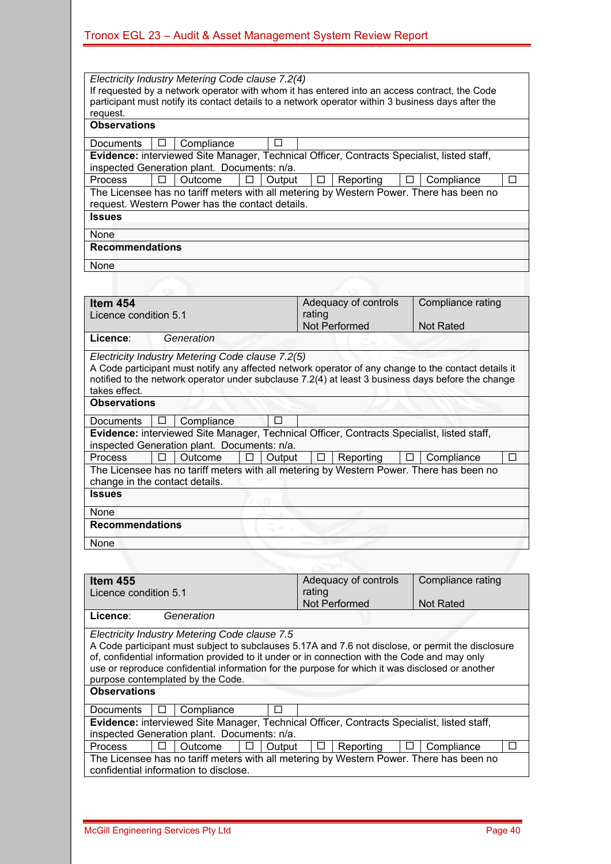*Electricity Industry Metering Code clause 7.2(4)*  If requested by a network operator with whom it has entered into an access contract, the Code participant must notify its contact details to a network operator within 3 business days after the request. **Observations**  Documents  $\boxed{ \square }$  Compliance  $\boxed{ \square }$ **Evidence:** interviewed Site Manager, Technical Officer, Contracts Specialist, listed staff, inspected Generation plant. Documents: n/a.  $\overline{P}$  Process  $\boxed{\Box}$  Outcome  $\boxed{\Box}$  Output  $\boxed{\Box}$  Reporting  $\boxed{\Box}$  Compliance  $\boxed{\Box}$ The Licensee has no tariff meters with all metering by Western Power. There has been no request. Western Power has the contact details. **Issues** 

None

#### **Recommendations**

**None** 

| Item 454                                                                                                                                                                                                                                                       |                           |                                             |  |        |        | Adequacy of controls |   | Compliance rating                                                                          |   |  |
|----------------------------------------------------------------------------------------------------------------------------------------------------------------------------------------------------------------------------------------------------------------|---------------------------|---------------------------------------------|--|--------|--------|----------------------|---|--------------------------------------------------------------------------------------------|---|--|
| Licence condition 5.1                                                                                                                                                                                                                                          |                           |                                             |  | rating |        |                      |   |                                                                                            |   |  |
|                                                                                                                                                                                                                                                                |                           |                                             |  |        |        | Not Performed        |   | <b>Not Rated</b>                                                                           |   |  |
| Licence:                                                                                                                                                                                                                                                       |                           | Generation                                  |  |        |        |                      |   |                                                                                            |   |  |
| Electricity Industry Metering Code clause 7.2(5)<br>A Code participant must notify any affected network operator of any change to the contact details it<br>notified to the network operator under subclause 7.2(4) at least 3 business days before the change |                           |                                             |  |        |        |                      |   |                                                                                            |   |  |
| takes effect.                                                                                                                                                                                                                                                  |                           |                                             |  |        |        |                      |   |                                                                                            |   |  |
| <b>Observations</b>                                                                                                                                                                                                                                            |                           |                                             |  |        |        |                      |   |                                                                                            |   |  |
| Documents                                                                                                                                                                                                                                                      | П<br>Compliance<br>$\Box$ |                                             |  |        |        |                      |   |                                                                                            |   |  |
|                                                                                                                                                                                                                                                                |                           |                                             |  |        |        |                      |   | Evidence: interviewed Site Manager, Technical Officer, Contracts Specialist, listed staff, |   |  |
|                                                                                                                                                                                                                                                                |                           | inspected Generation plant. Documents: n/a. |  |        |        |                      |   |                                                                                            |   |  |
| <b>Process</b>                                                                                                                                                                                                                                                 |                           | Outcome                                     |  | Output | $\Box$ | Reporting            | ⊔ | Compliance                                                                                 | П |  |
| The Licensee has no tariff meters with all metering by Western Power. There has been no<br>change in the contact details.                                                                                                                                      |                           |                                             |  |        |        |                      |   |                                                                                            |   |  |
| <b>Issues</b>                                                                                                                                                                                                                                                  |                           |                                             |  |        |        |                      |   |                                                                                            |   |  |
| None                                                                                                                                                                                                                                                           |                           |                                             |  |        |        |                      |   |                                                                                            |   |  |
| <b>Recommendations</b>                                                                                                                                                                                                                                         |                           |                                             |  |        |        |                      |   |                                                                                            |   |  |
| None                                                                                                                                                                                                                                                           |                           |                                             |  |        |        |                      |   |                                                                                            |   |  |
|                                                                                                                                                                                                                                                                |                           |                                             |  |        |        |                      |   |                                                                                            |   |  |

| <b>Item 455</b>                                                                                    | Adequacy of controls      | Compliance rating          |  |  |  |
|----------------------------------------------------------------------------------------------------|---------------------------|----------------------------|--|--|--|
| Licence condition 5.1                                                                              | rating                    |                            |  |  |  |
|                                                                                                    | Not Performed             | <b>Not Rated</b>           |  |  |  |
| Generation<br>Licence:                                                                             |                           |                            |  |  |  |
| Electricity Industry Metering Code clause 7.5                                                      |                           |                            |  |  |  |
| A Code participant must subject to subclauses 5.17A and 7.6 not disclose, or permit the disclosure |                           |                            |  |  |  |
| of, confidential information provided to it under or in connection with the Code and may only      |                           |                            |  |  |  |
| use or reproduce confidential information for the purpose for which it was disclosed or another    |                           |                            |  |  |  |
| purpose contemplated by the Code.                                                                  |                           |                            |  |  |  |
| <b>Observations</b>                                                                                |                           |                            |  |  |  |
| Compliance<br><b>Documents</b>                                                                     |                           |                            |  |  |  |
| Evidence: interviewed Site Manager, Technical Officer, Contracts Specialist, listed staff,         |                           |                            |  |  |  |
| inspected Generation plant. Documents: n/a.                                                        |                           |                            |  |  |  |
| <b>Process</b><br>Outcome<br>Output<br>ΙI                                                          | Reporting<br>$\mathbf{L}$ | Compliance<br>$\mathbf{I}$ |  |  |  |
| The Licensee has no tariff meters with all metering by Western Power. There has been no            |                           |                            |  |  |  |
| confidential information to disclose.                                                              |                           |                            |  |  |  |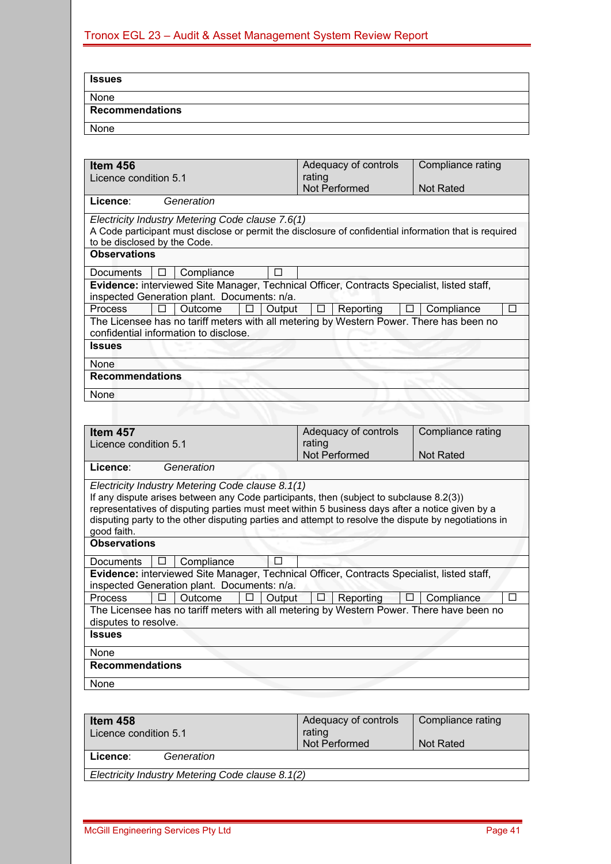| <b>Issues</b>                      |                                                                                                                                             |        |        |                      |                   |        |
|------------------------------------|---------------------------------------------------------------------------------------------------------------------------------------------|--------|--------|----------------------|-------------------|--------|
| None                               |                                                                                                                                             |        |        |                      |                   |        |
| <b>Recommendations</b>             |                                                                                                                                             |        |        |                      |                   |        |
| None                               |                                                                                                                                             |        |        |                      |                   |        |
|                                    |                                                                                                                                             |        |        |                      |                   |        |
| Item 456                           |                                                                                                                                             |        |        | Adequacy of controls | Compliance rating |        |
| Licence condition 5.1              |                                                                                                                                             |        | rating |                      |                   |        |
|                                    |                                                                                                                                             |        |        | Not Performed        | <b>Not Rated</b>  |        |
| Licence:                           | Generation                                                                                                                                  |        |        |                      |                   |        |
|                                    | Electricity Industry Metering Code clause 7.6(1)                                                                                            |        |        |                      |                   |        |
| to be disclosed by the Code.       | A Code participant must disclose or permit the disclosure of confidential information that is required                                      |        |        |                      |                   |        |
| <b>Observations</b>                |                                                                                                                                             |        |        |                      |                   |        |
|                                    |                                                                                                                                             |        |        |                      |                   |        |
| Documents<br>ப                     | Compliance<br>Evidence: interviewed Site Manager, Technical Officer, Contracts Specialist, listed staff,                                    | ΓI     |        |                      |                   |        |
|                                    | inspected Generation plant. Documents: n/a.                                                                                                 |        |        |                      |                   |        |
| <b>Process</b><br>п                | Outcome                                                                                                                                     | Output |        | Reporting            | Compliance        | $\Box$ |
|                                    | The Licensee has no tariff meters with all metering by Western Power. There has been no                                                     |        |        |                      |                   |        |
|                                    | confidential information to disclose.                                                                                                       |        |        |                      |                   |        |
|                                    |                                                                                                                                             |        |        |                      |                   |        |
| <b>Issues</b>                      |                                                                                                                                             |        |        |                      |                   |        |
| None                               |                                                                                                                                             |        |        |                      |                   |        |
| <b>Recommendations</b>             |                                                                                                                                             |        |        |                      |                   |        |
|                                    |                                                                                                                                             |        |        |                      |                   |        |
| None                               |                                                                                                                                             |        |        |                      |                   |        |
| Item 457                           |                                                                                                                                             |        |        |                      | Compliance rating |        |
| Licence condition 5.1              |                                                                                                                                             |        | rating | Adequacy of controls |                   |        |
|                                    |                                                                                                                                             |        |        | Not Performed        | <b>Not Rated</b>  |        |
| Licence:                           | Generation                                                                                                                                  |        |        |                      |                   |        |
|                                    |                                                                                                                                             |        |        |                      |                   |        |
|                                    | Electricity Industry Metering Code clause 8.1(1)<br>If any dispute arises between any Code participants, then (subject to subclause 8.2(3)) |        |        |                      |                   |        |
|                                    | representatives of disputing parties must meet within 5 business days after a notice given by a                                             |        |        |                      |                   |        |
|                                    | disputing party to the other disputing parties and attempt to resolve the dispute by negotiations in                                        |        |        |                      |                   |        |
| good faith.<br><b>Observations</b> |                                                                                                                                             |        |        |                      |                   |        |
|                                    |                                                                                                                                             |        |        |                      |                   |        |
| <b>Documents</b>                   | Compliance                                                                                                                                  | п      |        |                      |                   |        |
|                                    | Evidence: interviewed Site Manager, Technical Officer, Contracts Specialist, listed staff,                                                  |        |        |                      |                   |        |
|                                    | inspected Generation plant. Documents: n/a.                                                                                                 |        |        |                      |                   | $\Box$ |
| Process                            | Outcome<br>The Licensee has no tariff meters with all metering by Western Power. There have been no                                         | Output |        | Reporting            | Compliance        |        |
| disputes to resolve.               |                                                                                                                                             |        |        |                      |                   |        |
| <b>Issues</b>                      |                                                                                                                                             |        |        |                      |                   |        |
| None                               |                                                                                                                                             |        |        |                      |                   |        |
| <b>Recommendations</b>             |                                                                                                                                             |        |        |                      |                   |        |
| None                               |                                                                                                                                             |        |        |                      |                   |        |

| ltem 458                                         | Adequacy of controls | Compliance rating |  |  |  |  |  |
|--------------------------------------------------|----------------------|-------------------|--|--|--|--|--|
| Licence condition 5.1                            | rating               |                   |  |  |  |  |  |
|                                                  | Not Performed        | Not Rated         |  |  |  |  |  |
| Generation<br>Licence:                           |                      |                   |  |  |  |  |  |
| Electricity Industry Metering Code clause 8.1(2) |                      |                   |  |  |  |  |  |
|                                                  |                      |                   |  |  |  |  |  |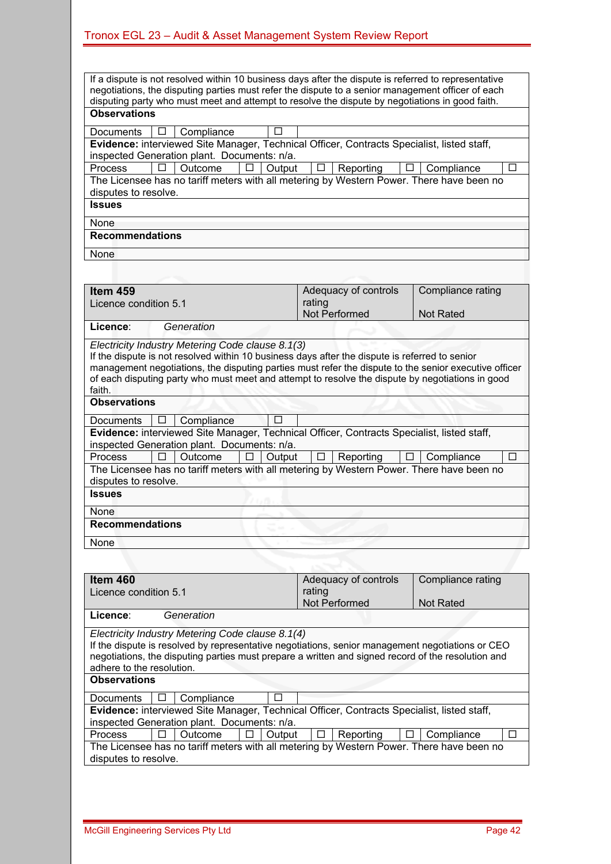| If a dispute is not resolved within 10 business days after the dispute is referred to representative                                                                                                   |        |        |                      |   |                   |        |
|--------------------------------------------------------------------------------------------------------------------------------------------------------------------------------------------------------|--------|--------|----------------------|---|-------------------|--------|
| negotiations, the disputing parties must refer the dispute to a senior management officer of each                                                                                                      |        |        |                      |   |                   |        |
| disputing party who must meet and attempt to resolve the dispute by negotiations in good faith.                                                                                                        |        |        |                      |   |                   |        |
| <b>Observations</b>                                                                                                                                                                                    |        |        |                      |   |                   |        |
| Compliance<br>Documents<br>ப                                                                                                                                                                           |        |        |                      |   |                   |        |
| Evidence: interviewed Site Manager, Technical Officer, Contracts Specialist, listed staff,                                                                                                             |        |        |                      |   |                   |        |
| inspected Generation plant. Documents: n/a.                                                                                                                                                            |        |        |                      |   |                   |        |
| <b>Process</b><br>п<br>Outcome                                                                                                                                                                         | Output | ⊔      | Reporting            | ⊔ | Compliance        | П      |
| The Licensee has no tariff meters with all metering by Western Power. There have been no<br>disputes to resolve.                                                                                       |        |        |                      |   |                   |        |
| <b>Issues</b>                                                                                                                                                                                          |        |        |                      |   |                   |        |
|                                                                                                                                                                                                        |        |        |                      |   |                   |        |
| None<br><b>Recommendations</b>                                                                                                                                                                         |        |        |                      |   |                   |        |
|                                                                                                                                                                                                        |        |        |                      |   |                   |        |
| None                                                                                                                                                                                                   |        |        |                      |   |                   |        |
|                                                                                                                                                                                                        |        |        |                      |   |                   |        |
| Item 459                                                                                                                                                                                               |        |        | Adequacy of controls |   | Compliance rating |        |
| Licence condition 5.1                                                                                                                                                                                  |        | rating |                      |   |                   |        |
|                                                                                                                                                                                                        |        |        | Not Performed        |   | <b>Not Rated</b>  |        |
| Licence:<br>Generation                                                                                                                                                                                 |        |        |                      |   |                   |        |
| Electricity Industry Metering Code clause 8.1(3)                                                                                                                                                       |        |        |                      |   |                   |        |
| If the dispute is not resolved within 10 business days after the dispute is referred to senior                                                                                                         |        |        |                      |   |                   |        |
| management negotiations, the disputing parties must refer the dispute to the senior executive officer                                                                                                  |        |        |                      |   |                   |        |
| of each disputing party who must meet and attempt to resolve the dispute by negotiations in good                                                                                                       |        |        |                      |   |                   |        |
| faith.<br><b>Observations</b>                                                                                                                                                                          |        |        |                      |   |                   |        |
|                                                                                                                                                                                                        |        |        |                      |   |                   |        |
| Compliance<br><b>Documents</b><br>ப                                                                                                                                                                    | П      |        |                      |   |                   |        |
| Evidence: interviewed Site Manager, Technical Officer, Contracts Specialist, listed staff,<br>inspected Generation plant. Documents: n/a.                                                              |        |        |                      |   |                   |        |
| <b>Process</b><br>П<br>Outcome<br>П                                                                                                                                                                    | Output | □      | Reporting            | □ | Compliance        | $\Box$ |
| The Licensee has no tariff meters with all metering by Western Power. There have been no                                                                                                               |        |        |                      |   |                   |        |
| disputes to resolve.                                                                                                                                                                                   |        |        |                      |   |                   |        |
| <b>Issues</b>                                                                                                                                                                                          |        |        |                      |   |                   |        |
| None                                                                                                                                                                                                   |        |        |                      |   |                   |        |
| <b>Recommendations</b>                                                                                                                                                                                 |        |        |                      |   |                   |        |
|                                                                                                                                                                                                        |        |        |                      |   |                   |        |
| None                                                                                                                                                                                                   |        |        |                      |   |                   |        |
|                                                                                                                                                                                                        |        |        |                      |   |                   |        |
| <b>Item 460</b>                                                                                                                                                                                        |        |        | Adequacy of controls |   | Compliance rating |        |
| Licence condition 5.1                                                                                                                                                                                  |        | rating |                      |   |                   |        |
|                                                                                                                                                                                                        |        |        | Not Performed        |   | <b>Not Rated</b>  |        |
| Licence:<br>Generation                                                                                                                                                                                 |        |        |                      |   |                   |        |
|                                                                                                                                                                                                        |        |        |                      |   |                   |        |
| Electricity Industry Metering Code clause 8.1(4)                                                                                                                                                       |        |        |                      |   |                   |        |
| If the dispute is resolved by representative negotiations, senior management negotiations or CEO<br>negotiations, the disputing parties must prepare a written and signed record of the resolution and |        |        |                      |   |                   |        |

| Item 460                                                                                 |                     |                                                  |    |        |         | Adequacy of controls |   | Compliance rating                                                                                  |   |
|------------------------------------------------------------------------------------------|---------------------|--------------------------------------------------|----|--------|---------|----------------------|---|----------------------------------------------------------------------------------------------------|---|
| Licence condition 5.1                                                                    |                     |                                                  |    |        | rating  |                      |   |                                                                                                    |   |
|                                                                                          |                     |                                                  |    |        |         | Not Performed        |   | <b>Not Rated</b>                                                                                   |   |
| Licence:                                                                                 |                     | Generation                                       |    |        |         |                      |   |                                                                                                    |   |
|                                                                                          |                     | Electricity Industry Metering Code clause 8.1(4) |    |        |         |                      |   |                                                                                                    |   |
|                                                                                          |                     |                                                  |    |        |         |                      |   | If the dispute is resolved by representative negotiations, senior management negotiations or CEO   |   |
|                                                                                          |                     |                                                  |    |        |         |                      |   | negotiations, the disputing parties must prepare a written and signed record of the resolution and |   |
| adhere to the resolution.                                                                |                     |                                                  |    |        |         |                      |   |                                                                                                    |   |
|                                                                                          | <b>Observations</b> |                                                  |    |        |         |                      |   |                                                                                                    |   |
| <b>Documents</b>                                                                         | Ш                   | Compliance                                       |    |        |         |                      |   |                                                                                                    |   |
|                                                                                          |                     |                                                  |    |        |         |                      |   | Evidence: interviewed Site Manager, Technical Officer, Contracts Specialist, listed staff,         |   |
| inspected Generation plant. Documents: n/a.                                              |                     |                                                  |    |        |         |                      |   |                                                                                                    |   |
| <b>Process</b>                                                                           | ⊔                   | Outcome                                          | LI | Output | $\perp$ | Reporting            | ப | Compliance                                                                                         | □ |
| The Licensee has no tariff meters with all metering by Western Power. There have been no |                     |                                                  |    |        |         |                      |   |                                                                                                    |   |
| disputes to resolve.                                                                     |                     |                                                  |    |        |         |                      |   |                                                                                                    |   |
|                                                                                          |                     |                                                  |    |        |         |                      |   |                                                                                                    |   |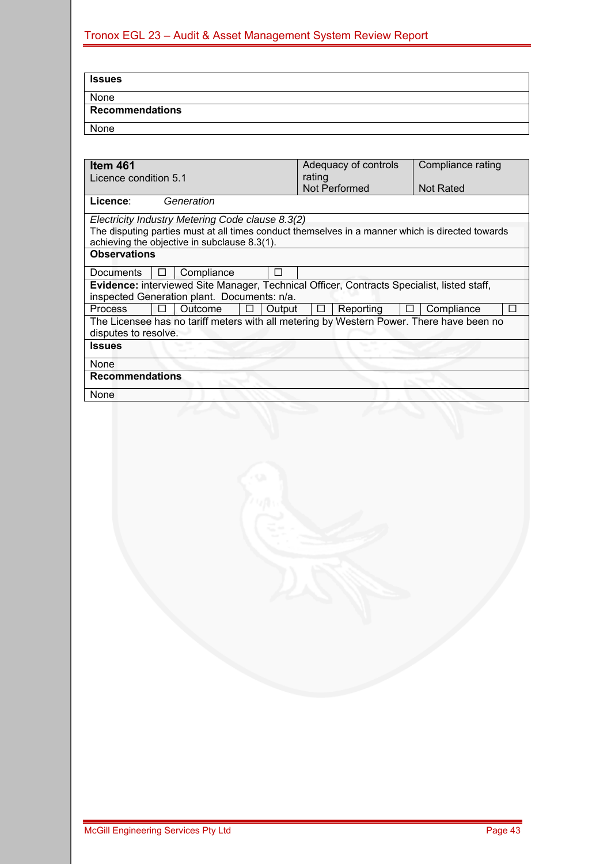| Issues                 |  |  |
|------------------------|--|--|
| None                   |  |  |
| <b>Recommendations</b> |  |  |
| None                   |  |  |

| Item 461                                                                                         | Adequacy of controls     | Compliance rating    |
|--------------------------------------------------------------------------------------------------|--------------------------|----------------------|
| Licence condition 5.1                                                                            | rating                   |                      |
|                                                                                                  | <b>Not Performed</b>     | <b>Not Rated</b>     |
| Generation<br>Licence:                                                                           |                          |                      |
| Electricity Industry Metering Code clause 8.3(2)                                                 |                          |                      |
| The disputing parties must at all times conduct themselves in a manner which is directed towards |                          |                      |
| achieving the objective in subclause 8.3(1).                                                     |                          |                      |
| <b>Observations</b>                                                                              |                          |                      |
| <b>Documents</b><br>Compliance<br>⊔                                                              |                          |                      |
| Evidence: interviewed Site Manager, Technical Officer, Contracts Specialist, listed staff,       |                          |                      |
| inspected Generation plant. Documents: n/a.                                                      |                          |                      |
| <b>Process</b><br>Outcome<br>Output<br>ΙI<br>ப                                                   | Reporting<br>$\Box$<br>⊔ | Compliance<br>$\Box$ |
| The Licensee has no tariff meters with all metering by Western Power. There have been no         |                          |                      |
| disputes to resolve.                                                                             |                          |                      |
| <b>Issues</b>                                                                                    |                          |                      |
| None                                                                                             |                          |                      |
| <b>Recommendations</b>                                                                           |                          |                      |
| None                                                                                             |                          |                      |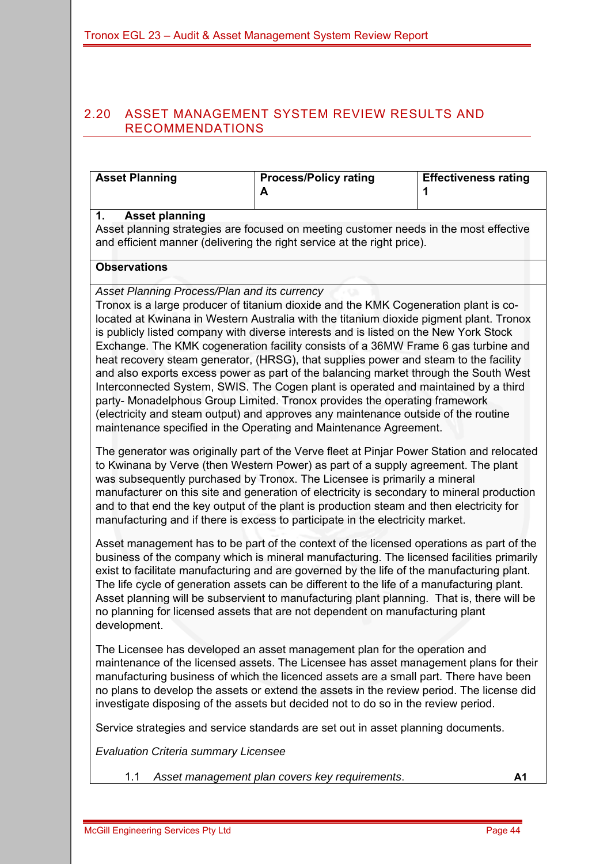#### 2.20 ASSET MANAGEMENT SYSTEM REVIEW RESULTS AND RECOMMENDATIONS

| <b>Asset Planning</b> | <b>Process/Policy rating</b><br>A                                                                                                                                | <b>Effectiveness rating</b> |
|-----------------------|------------------------------------------------------------------------------------------------------------------------------------------------------------------|-----------------------------|
| <b>Asset planning</b> | Asset planning strategies are focused on meeting customer needs in the most effective<br>and efficient manner (delivering the right service at the right price). |                             |

#### **Observations**

*Asset Planning Process/Plan and its currency* 

Tronox is a large producer of titanium dioxide and the KMK Cogeneration plant is colocated at Kwinana in Western Australia with the titanium dioxide pigment plant. Tronox is publicly listed company with diverse interests and is listed on the New York Stock Exchange. The KMK cogeneration facility consists of a 36MW Frame 6 gas turbine and heat recovery steam generator, (HRSG), that supplies power and steam to the facility and also exports excess power as part of the balancing market through the South West Interconnected System, SWIS. The Cogen plant is operated and maintained by a third party- Monadelphous Group Limited. Tronox provides the operating framework (electricity and steam output) and approves any maintenance outside of the routine maintenance specified in the Operating and Maintenance Agreement.

The generator was originally part of the Verve fleet at Pinjar Power Station and relocated to Kwinana by Verve (then Western Power) as part of a supply agreement. The plant was subsequently purchased by Tronox. The Licensee is primarily a mineral manufacturer on this site and generation of electricity is secondary to mineral production and to that end the key output of the plant is production steam and then electricity for manufacturing and if there is excess to participate in the electricity market.

Asset management has to be part of the context of the licensed operations as part of the business of the company which is mineral manufacturing. The licensed facilities primarily exist to facilitate manufacturing and are governed by the life of the manufacturing plant. The life cycle of generation assets can be different to the life of a manufacturing plant. Asset planning will be subservient to manufacturing plant planning. That is, there will be no planning for licensed assets that are not dependent on manufacturing plant development.

The Licensee has developed an asset management plan for the operation and maintenance of the licensed assets. The Licensee has asset management plans for their manufacturing business of which the licenced assets are a small part. There have been no plans to develop the assets or extend the assets in the review period. The license did investigate disposing of the assets but decided not to do so in the review period.

Service strategies and service standards are set out in asset planning documents.

*Evaluation Criteria summary Licensee* 

1.1 *Asset management plan covers key requirements*. **A1**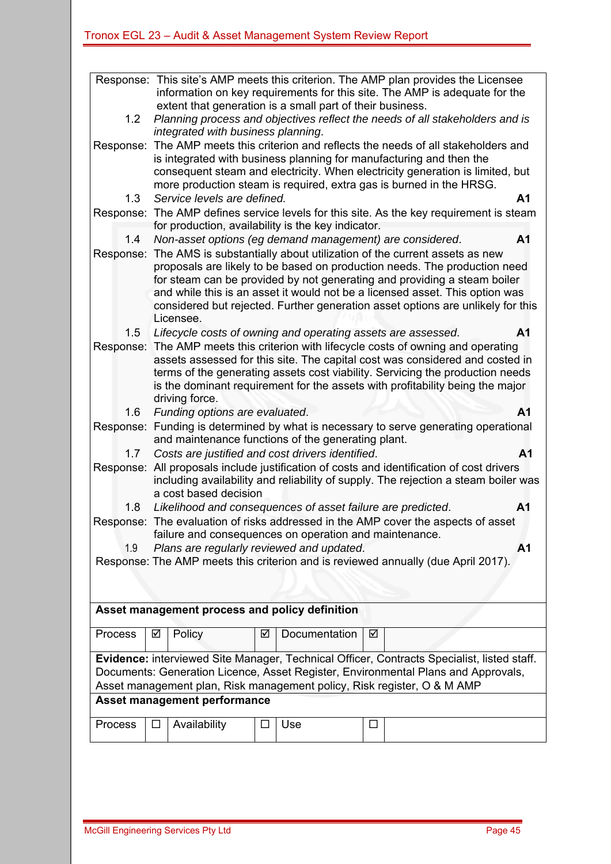|           | Response: This site's AMP meets this criterion. The AMP plan provides the Licensee<br>information on key requirements for this site. The AMP is adequate for the                                                                                                                                                     |  |  |  |  |  |  |
|-----------|----------------------------------------------------------------------------------------------------------------------------------------------------------------------------------------------------------------------------------------------------------------------------------------------------------------------|--|--|--|--|--|--|
|           | extent that generation is a small part of their business.                                                                                                                                                                                                                                                            |  |  |  |  |  |  |
| 1.2       | Planning process and objectives reflect the needs of all stakeholders and is                                                                                                                                                                                                                                         |  |  |  |  |  |  |
|           | integrated with business planning.                                                                                                                                                                                                                                                                                   |  |  |  |  |  |  |
|           | Response: The AMP meets this criterion and reflects the needs of all stakeholders and<br>is integrated with business planning for manufacturing and then the<br>consequent steam and electricity. When electricity generation is limited, but<br>more production steam is required, extra gas is burned in the HRSG. |  |  |  |  |  |  |
| 1.3       | Service levels are defined.<br>A <sub>1</sub>                                                                                                                                                                                                                                                                        |  |  |  |  |  |  |
| Response: | The AMP defines service levels for this site. As the key requirement is steam<br>for production, availability is the key indicator.                                                                                                                                                                                  |  |  |  |  |  |  |
| 1.4       | Non-asset options (eg demand management) are considered.<br>A <sub>1</sub>                                                                                                                                                                                                                                           |  |  |  |  |  |  |
| Response: | The AMS is substantially about utilization of the current assets as new                                                                                                                                                                                                                                              |  |  |  |  |  |  |
|           | proposals are likely to be based on production needs. The production need                                                                                                                                                                                                                                            |  |  |  |  |  |  |
|           | for steam can be provided by not generating and providing a steam boiler                                                                                                                                                                                                                                             |  |  |  |  |  |  |
|           | and while this is an asset it would not be a licensed asset. This option was                                                                                                                                                                                                                                         |  |  |  |  |  |  |
|           | considered but rejected. Further generation asset options are unlikely for this<br>Licensee.                                                                                                                                                                                                                         |  |  |  |  |  |  |
| 1.5       | A <sub>1</sub><br>Lifecycle costs of owning and operating assets are assessed.                                                                                                                                                                                                                                       |  |  |  |  |  |  |
|           | Response: The AMP meets this criterion with lifecycle costs of owning and operating                                                                                                                                                                                                                                  |  |  |  |  |  |  |
|           | assets assessed for this site. The capital cost was considered and costed in                                                                                                                                                                                                                                         |  |  |  |  |  |  |
|           | terms of the generating assets cost viability. Servicing the production needs                                                                                                                                                                                                                                        |  |  |  |  |  |  |
|           | is the dominant requirement for the assets with profitability being the major                                                                                                                                                                                                                                        |  |  |  |  |  |  |
|           | driving force.                                                                                                                                                                                                                                                                                                       |  |  |  |  |  |  |
| 1.6       | Funding options are evaluated.<br>A <sub>1</sub>                                                                                                                                                                                                                                                                     |  |  |  |  |  |  |
|           | Response: Funding is determined by what is necessary to serve generating operational<br>and maintenance functions of the generating plant.                                                                                                                                                                           |  |  |  |  |  |  |
| 1.7       | Costs are justified and cost drivers identified.<br>A <sub>1</sub>                                                                                                                                                                                                                                                   |  |  |  |  |  |  |
| Response: | All proposals include justification of costs and identification of cost drivers<br>including availability and reliability of supply. The rejection a steam boiler was                                                                                                                                                |  |  |  |  |  |  |
|           | a cost based decision                                                                                                                                                                                                                                                                                                |  |  |  |  |  |  |
| 1.8       | Likelihood and consequences of asset failure are predicted.<br>A <sub>1</sub>                                                                                                                                                                                                                                        |  |  |  |  |  |  |
|           | Response: The evaluation of risks addressed in the AMP cover the aspects of asset                                                                                                                                                                                                                                    |  |  |  |  |  |  |
|           | failure and consequences on operation and maintenance.                                                                                                                                                                                                                                                               |  |  |  |  |  |  |
| 1.9       | Plans are regularly reviewed and updated.<br>A1                                                                                                                                                                                                                                                                      |  |  |  |  |  |  |
|           | Response: The AMP meets this criterion and is reviewed annually (due April 2017).                                                                                                                                                                                                                                    |  |  |  |  |  |  |
|           |                                                                                                                                                                                                                                                                                                                      |  |  |  |  |  |  |
|           |                                                                                                                                                                                                                                                                                                                      |  |  |  |  |  |  |
|           |                                                                                                                                                                                                                                                                                                                      |  |  |  |  |  |  |
|           | Asset management process and policy definition                                                                                                                                                                                                                                                                       |  |  |  |  |  |  |
| Process   | Documentation<br>Policy<br>☑<br>☑<br>☑                                                                                                                                                                                                                                                                               |  |  |  |  |  |  |
|           | Evidence: interviewed Site Manager, Technical Officer, Contracts Specialist, listed staff.                                                                                                                                                                                                                           |  |  |  |  |  |  |
|           | Documents: Generation Licence, Asset Register, Environmental Plans and Approvals,                                                                                                                                                                                                                                    |  |  |  |  |  |  |
|           | Asset management plan, Risk management policy, Risk register, O & M AMP                                                                                                                                                                                                                                              |  |  |  |  |  |  |
|           | <b>Asset management performance</b>                                                                                                                                                                                                                                                                                  |  |  |  |  |  |  |
| Process   | Availability<br>Use<br>□                                                                                                                                                                                                                                                                                             |  |  |  |  |  |  |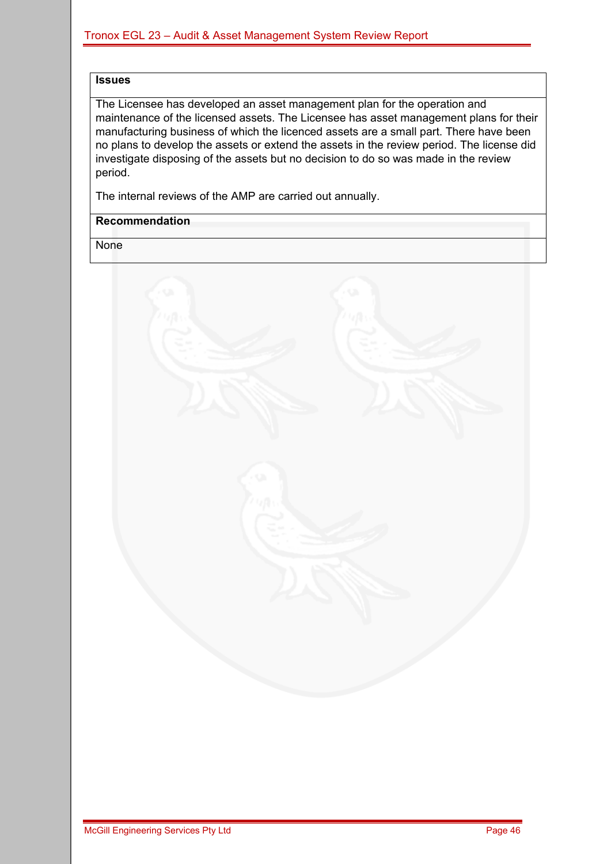#### **Issues**

The Licensee has developed an asset management plan for the operation and maintenance of the licensed assets. The Licensee has asset management plans for their manufacturing business of which the licenced assets are a small part. There have been no plans to develop the assets or extend the assets in the review period. The license did investigate disposing of the assets but no decision to do so was made in the review period.

The internal reviews of the AMP are carried out annually.

#### **Recommendation**

None

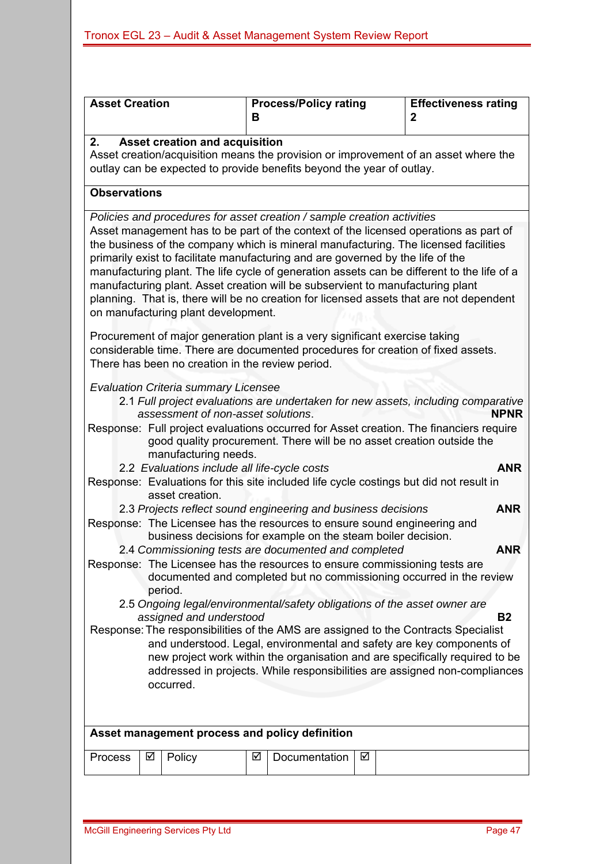| <b>Asset Creation</b>                                                                                                                                                                                                                                                               |                                                                                                                                                                                                                                                                                                                                                                                                                                                                                                                                                                                  |                                                                                                           | В | <b>Process/Policy rating</b>                                                                                                             |   |  | <b>Effectiveness rating</b><br>2                                                                                                                                                           |  |
|-------------------------------------------------------------------------------------------------------------------------------------------------------------------------------------------------------------------------------------------------------------------------------------|----------------------------------------------------------------------------------------------------------------------------------------------------------------------------------------------------------------------------------------------------------------------------------------------------------------------------------------------------------------------------------------------------------------------------------------------------------------------------------------------------------------------------------------------------------------------------------|-----------------------------------------------------------------------------------------------------------|---|------------------------------------------------------------------------------------------------------------------------------------------|---|--|--------------------------------------------------------------------------------------------------------------------------------------------------------------------------------------------|--|
| 2.                                                                                                                                                                                                                                                                                  | Asset creation and acquisition<br>Asset creation/acquisition means the provision or improvement of an asset where the<br>outlay can be expected to provide benefits beyond the year of outlay.                                                                                                                                                                                                                                                                                                                                                                                   |                                                                                                           |   |                                                                                                                                          |   |  |                                                                                                                                                                                            |  |
| <b>Observations</b>                                                                                                                                                                                                                                                                 |                                                                                                                                                                                                                                                                                                                                                                                                                                                                                                                                                                                  |                                                                                                           |   |                                                                                                                                          |   |  |                                                                                                                                                                                            |  |
|                                                                                                                                                                                                                                                                                     |                                                                                                                                                                                                                                                                                                                                                                                                                                                                                                                                                                                  |                                                                                                           |   | Policies and procedures for asset creation / sample creation activities                                                                  |   |  |                                                                                                                                                                                            |  |
|                                                                                                                                                                                                                                                                                     | Asset management has to be part of the context of the licensed operations as part of<br>the business of the company which is mineral manufacturing. The licensed facilities<br>primarily exist to facilitate manufacturing and are governed by the life of the<br>manufacturing plant. The life cycle of generation assets can be different to the life of a<br>manufacturing plant. Asset creation will be subservient to manufacturing plant<br>planning. That is, there will be no creation for licensed assets that are not dependent<br>on manufacturing plant development. |                                                                                                           |   |                                                                                                                                          |   |  |                                                                                                                                                                                            |  |
|                                                                                                                                                                                                                                                                                     |                                                                                                                                                                                                                                                                                                                                                                                                                                                                                                                                                                                  | There has been no creation in the review period.                                                          |   | Procurement of major generation plant is a very significant exercise taking                                                              |   |  | considerable time. There are documented procedures for creation of fixed assets.                                                                                                           |  |
|                                                                                                                                                                                                                                                                                     |                                                                                                                                                                                                                                                                                                                                                                                                                                                                                                                                                                                  | <b>Evaluation Criteria summary Licensee</b><br>assessment of non-asset solutions.<br>manufacturing needs. |   | good quality procurement. There will be no asset creation outside the                                                                    |   |  | 2.1 Full project evaluations are undertaken for new assets, including comparative<br><b>NPNR</b><br>Response: Full project evaluations occurred for Asset creation. The financiers require |  |
|                                                                                                                                                                                                                                                                                     |                                                                                                                                                                                                                                                                                                                                                                                                                                                                                                                                                                                  | 2.2 Evaluations include all life-cycle costs                                                              |   |                                                                                                                                          |   |  | <b>ANR</b>                                                                                                                                                                                 |  |
|                                                                                                                                                                                                                                                                                     |                                                                                                                                                                                                                                                                                                                                                                                                                                                                                                                                                                                  | asset creation.                                                                                           |   |                                                                                                                                          |   |  | Response: Evaluations for this site included life cycle costings but did not result in                                                                                                     |  |
|                                                                                                                                                                                                                                                                                     |                                                                                                                                                                                                                                                                                                                                                                                                                                                                                                                                                                                  |                                                                                                           |   | 2.3 Projects reflect sound engineering and business decisions                                                                            |   |  | <b>ANR</b>                                                                                                                                                                                 |  |
|                                                                                                                                                                                                                                                                                     |                                                                                                                                                                                                                                                                                                                                                                                                                                                                                                                                                                                  |                                                                                                           |   | Response: The Licensee has the resources to ensure sound engineering and<br>business decisions for example on the steam boiler decision. |   |  |                                                                                                                                                                                            |  |
|                                                                                                                                                                                                                                                                                     |                                                                                                                                                                                                                                                                                                                                                                                                                                                                                                                                                                                  |                                                                                                           |   | 2.4 Commissioning tests are documented and completed                                                                                     |   |  | <b>ANR</b>                                                                                                                                                                                 |  |
|                                                                                                                                                                                                                                                                                     |                                                                                                                                                                                                                                                                                                                                                                                                                                                                                                                                                                                  | period.                                                                                                   |   | Response: The Licensee has the resources to ensure commissioning tests are                                                               |   |  | documented and completed but no commissioning occurred in the review                                                                                                                       |  |
|                                                                                                                                                                                                                                                                                     | 2.5 Ongoing legal/environmental/safety obligations of the asset owner are                                                                                                                                                                                                                                                                                                                                                                                                                                                                                                        |                                                                                                           |   |                                                                                                                                          |   |  |                                                                                                                                                                                            |  |
| assigned and understood<br><b>B2</b><br>Response: The responsibilities of the AMS are assigned to the Contracts Specialist<br>and understood. Legal, environmental and safety are key components of<br>new project work within the organisation and are specifically required to be |                                                                                                                                                                                                                                                                                                                                                                                                                                                                                                                                                                                  |                                                                                                           |   |                                                                                                                                          |   |  |                                                                                                                                                                                            |  |
| addressed in projects. While responsibilities are assigned non-compliances<br>occurred.                                                                                                                                                                                             |                                                                                                                                                                                                                                                                                                                                                                                                                                                                                                                                                                                  |                                                                                                           |   |                                                                                                                                          |   |  |                                                                                                                                                                                            |  |
|                                                                                                                                                                                                                                                                                     |                                                                                                                                                                                                                                                                                                                                                                                                                                                                                                                                                                                  |                                                                                                           |   |                                                                                                                                          |   |  |                                                                                                                                                                                            |  |
|                                                                                                                                                                                                                                                                                     |                                                                                                                                                                                                                                                                                                                                                                                                                                                                                                                                                                                  |                                                                                                           |   |                                                                                                                                          |   |  |                                                                                                                                                                                            |  |
|                                                                                                                                                                                                                                                                                     |                                                                                                                                                                                                                                                                                                                                                                                                                                                                                                                                                                                  |                                                                                                           |   | Asset management process and policy definition                                                                                           |   |  |                                                                                                                                                                                            |  |
| <b>Process</b>                                                                                                                                                                                                                                                                      | ☑                                                                                                                                                                                                                                                                                                                                                                                                                                                                                                                                                                                | Policy                                                                                                    | ☑ | Documentation                                                                                                                            | ☑ |  |                                                                                                                                                                                            |  |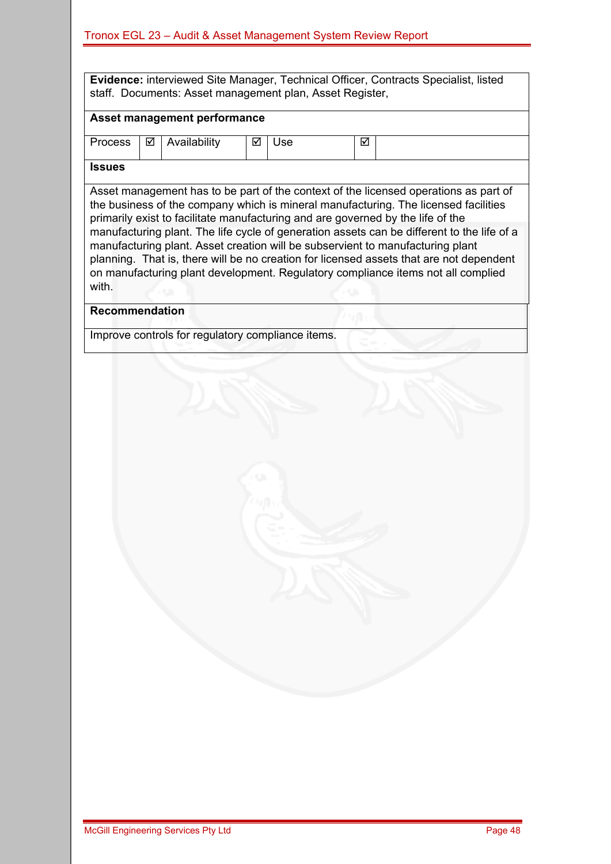**Evidence:** interviewed Site Manager, Technical Officer, Contracts Specialist, listed staff. Documents: Asset management plan, Asset Register,

#### **Asset management performance**

| Process | __<br>⊽ | .<br>ulabılıtv | ☑ | ہ ہ<br>- Ju | ⊽ |  |
|---------|---------|----------------|---|-------------|---|--|
| $\sim$  |         |                |   |             |   |  |

#### **Issues**

Asset management has to be part of the context of the licensed operations as part of the business of the company which is mineral manufacturing. The licensed facilities primarily exist to facilitate manufacturing and are governed by the life of the manufacturing plant. The life cycle of generation assets can be different to the life of a manufacturing plant. Asset creation will be subservient to manufacturing plant planning. That is, there will be no creation for licensed assets that are not dependent on manufacturing plant development. Regulatory compliance items not all complied with.

#### **Recommendation**

Improve controls for regulatory compliance items.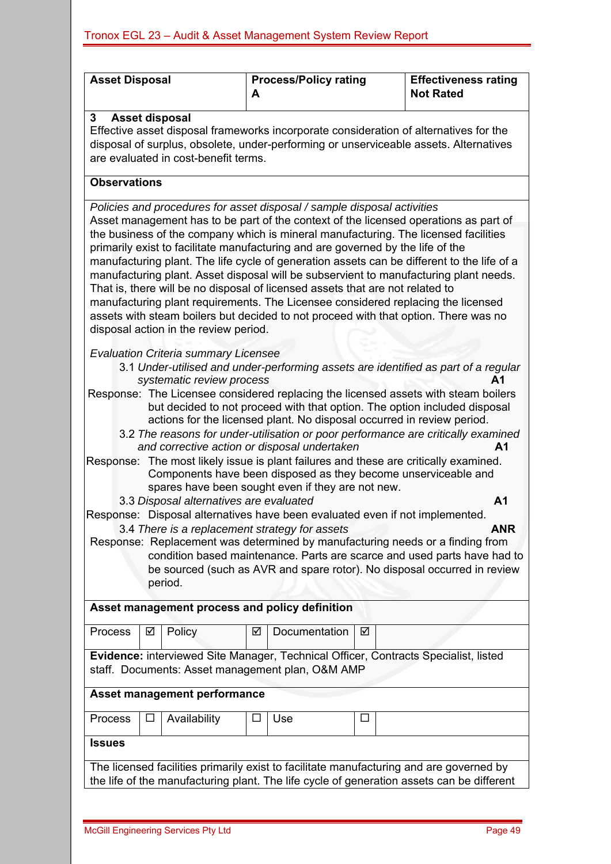| <b>Asset Disposal</b>                                                                                                                                                                                                                                                                                                                                                                                                                                                                                                                                                                                                                                                                                                                                      | A                                                                                                                                                                                                                                                                                                                                                                                                                                   | <b>Process/Policy rating</b> |   | <b>Effectiveness rating</b><br><b>Not Rated</b>                                                                                                                                      |  |  |  |  |
|------------------------------------------------------------------------------------------------------------------------------------------------------------------------------------------------------------------------------------------------------------------------------------------------------------------------------------------------------------------------------------------------------------------------------------------------------------------------------------------------------------------------------------------------------------------------------------------------------------------------------------------------------------------------------------------------------------------------------------------------------------|-------------------------------------------------------------------------------------------------------------------------------------------------------------------------------------------------------------------------------------------------------------------------------------------------------------------------------------------------------------------------------------------------------------------------------------|------------------------------|---|--------------------------------------------------------------------------------------------------------------------------------------------------------------------------------------|--|--|--|--|
| 3                                                                                                                                                                                                                                                                                                                                                                                                                                                                                                                                                                                                                                                                                                                                                          | <b>Asset disposal</b><br>Effective asset disposal frameworks incorporate consideration of alternatives for the<br>disposal of surplus, obsolete, under-performing or unserviceable assets. Alternatives<br>are evaluated in cost-benefit terms.                                                                                                                                                                                     |                              |   |                                                                                                                                                                                      |  |  |  |  |
| <b>Observations</b>                                                                                                                                                                                                                                                                                                                                                                                                                                                                                                                                                                                                                                                                                                                                        |                                                                                                                                                                                                                                                                                                                                                                                                                                     |                              |   |                                                                                                                                                                                      |  |  |  |  |
| Policies and procedures for asset disposal / sample disposal activities                                                                                                                                                                                                                                                                                                                                                                                                                                                                                                                                                                                                                                                                                    |                                                                                                                                                                                                                                                                                                                                                                                                                                     |                              |   |                                                                                                                                                                                      |  |  |  |  |
| Asset management has to be part of the context of the licensed operations as part of<br>the business of the company which is mineral manufacturing. The licensed facilities<br>primarily exist to facilitate manufacturing and are governed by the life of the<br>manufacturing plant. The life cycle of generation assets can be different to the life of a<br>manufacturing plant. Asset disposal will be subservient to manufacturing plant needs.<br>That is, there will be no disposal of licensed assets that are not related to<br>manufacturing plant requirements. The Licensee considered replacing the licensed<br>assets with steam boilers but decided to not proceed with that option. There was no<br>disposal action in the review period. |                                                                                                                                                                                                                                                                                                                                                                                                                                     |                              |   |                                                                                                                                                                                      |  |  |  |  |
| <b>Evaluation Criteria summary Licensee</b>                                                                                                                                                                                                                                                                                                                                                                                                                                                                                                                                                                                                                                                                                                                |                                                                                                                                                                                                                                                                                                                                                                                                                                     |                              |   | 3.1 Under-utilised and under-performing assets are identified as part of a regular                                                                                                   |  |  |  |  |
|                                                                                                                                                                                                                                                                                                                                                                                                                                                                                                                                                                                                                                                                                                                                                            | systematic review process<br>А1<br>Response: The Licensee considered replacing the licensed assets with steam boilers<br>but decided to not proceed with that option. The option included disposal<br>actions for the licensed plant. No disposal occurred in review period.<br>3.2 The reasons for under-utilisation or poor performance are critically examined<br>and corrective action or disposal undertaken<br>A <sub>1</sub> |                              |   |                                                                                                                                                                                      |  |  |  |  |
|                                                                                                                                                                                                                                                                                                                                                                                                                                                                                                                                                                                                                                                                                                                                                            | spares have been sought even if they are not new.                                                                                                                                                                                                                                                                                                                                                                                   |                              |   | Response: The most likely issue is plant failures and these are critically examined.<br>Components have been disposed as they become unserviceable and                               |  |  |  |  |
|                                                                                                                                                                                                                                                                                                                                                                                                                                                                                                                                                                                                                                                                                                                                                            | 3.3 Disposal alternatives are evaluated                                                                                                                                                                                                                                                                                                                                                                                             |                              |   | A <sub>1</sub>                                                                                                                                                                       |  |  |  |  |
| Response: Disposal alternatives have been evaluated even if not implemented.                                                                                                                                                                                                                                                                                                                                                                                                                                                                                                                                                                                                                                                                               |                                                                                                                                                                                                                                                                                                                                                                                                                                     |                              |   |                                                                                                                                                                                      |  |  |  |  |
|                                                                                                                                                                                                                                                                                                                                                                                                                                                                                                                                                                                                                                                                                                                                                            | 3.4 There is a replacement strategy for assets<br>ANK<br>Response: Replacement was determined by manufacturing needs or a finding from<br>condition based maintenance. Parts are scarce and used parts have had to<br>be sourced (such as AVR and spare rotor). No disposal occurred in review<br>period.                                                                                                                           |                              |   |                                                                                                                                                                                      |  |  |  |  |
| Asset management process and policy definition                                                                                                                                                                                                                                                                                                                                                                                                                                                                                                                                                                                                                                                                                                             |                                                                                                                                                                                                                                                                                                                                                                                                                                     |                              |   |                                                                                                                                                                                      |  |  |  |  |
| Process<br>☑                                                                                                                                                                                                                                                                                                                                                                                                                                                                                                                                                                                                                                                                                                                                               | Policy<br>☑                                                                                                                                                                                                                                                                                                                                                                                                                         | Documentation                | ☑ |                                                                                                                                                                                      |  |  |  |  |
| Evidence: interviewed Site Manager, Technical Officer, Contracts Specialist, listed<br>staff. Documents: Asset management plan, O&M AMP                                                                                                                                                                                                                                                                                                                                                                                                                                                                                                                                                                                                                    |                                                                                                                                                                                                                                                                                                                                                                                                                                     |                              |   |                                                                                                                                                                                      |  |  |  |  |
| <b>Asset management performance</b>                                                                                                                                                                                                                                                                                                                                                                                                                                                                                                                                                                                                                                                                                                                        |                                                                                                                                                                                                                                                                                                                                                                                                                                     |                              |   |                                                                                                                                                                                      |  |  |  |  |
| Process                                                                                                                                                                                                                                                                                                                                                                                                                                                                                                                                                                                                                                                                                                                                                    | Availability                                                                                                                                                                                                                                                                                                                                                                                                                        | Use                          | ⊔ |                                                                                                                                                                                      |  |  |  |  |
| <b>Issues</b>                                                                                                                                                                                                                                                                                                                                                                                                                                                                                                                                                                                                                                                                                                                                              |                                                                                                                                                                                                                                                                                                                                                                                                                                     |                              |   |                                                                                                                                                                                      |  |  |  |  |
|                                                                                                                                                                                                                                                                                                                                                                                                                                                                                                                                                                                                                                                                                                                                                            |                                                                                                                                                                                                                                                                                                                                                                                                                                     |                              |   | The licensed facilities primarily exist to facilitate manufacturing and are governed by<br>the life of the manufacturing plant. The life cycle of generation assets can be different |  |  |  |  |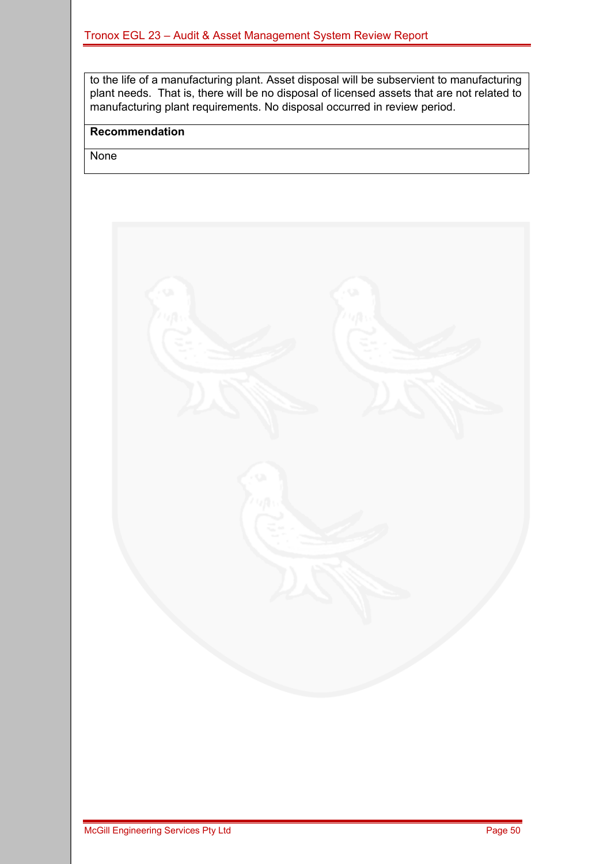to the life of a manufacturing plant. Asset disposal will be subservient to manufacturing plant needs. That is, there will be no disposal of licensed assets that are not related to manufacturing plant requirements. No disposal occurred in review period.

#### **Recommendation**

None

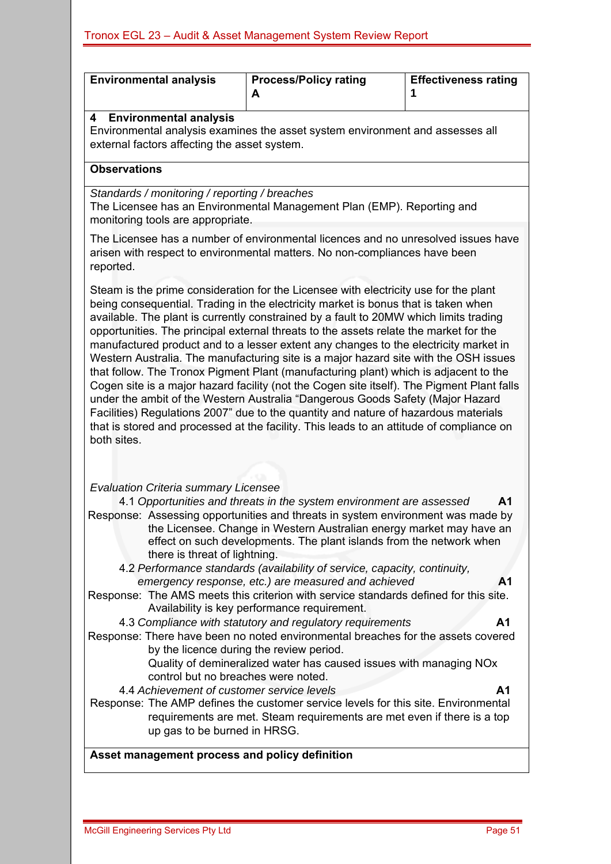| <b>Environmental analysis</b>                                                                                                                                                                                                                                                                                                                                                                                                                                                                                                                                                                                                                                                                                                                                                                                                                                                                                                                                                                                          | <b>Process/Policy rating</b><br>A                                                                                                                                                                                                                                                                                                                                                                                                                                                                                                                                                   | <b>Effectiveness rating</b><br>1 |  |  |  |  |  |  |
|------------------------------------------------------------------------------------------------------------------------------------------------------------------------------------------------------------------------------------------------------------------------------------------------------------------------------------------------------------------------------------------------------------------------------------------------------------------------------------------------------------------------------------------------------------------------------------------------------------------------------------------------------------------------------------------------------------------------------------------------------------------------------------------------------------------------------------------------------------------------------------------------------------------------------------------------------------------------------------------------------------------------|-------------------------------------------------------------------------------------------------------------------------------------------------------------------------------------------------------------------------------------------------------------------------------------------------------------------------------------------------------------------------------------------------------------------------------------------------------------------------------------------------------------------------------------------------------------------------------------|----------------------------------|--|--|--|--|--|--|
| <b>Environmental analysis</b><br>4                                                                                                                                                                                                                                                                                                                                                                                                                                                                                                                                                                                                                                                                                                                                                                                                                                                                                                                                                                                     | Environmental analysis examines the asset system environment and assesses all<br>external factors affecting the asset system.                                                                                                                                                                                                                                                                                                                                                                                                                                                       |                                  |  |  |  |  |  |  |
| <b>Observations</b>                                                                                                                                                                                                                                                                                                                                                                                                                                                                                                                                                                                                                                                                                                                                                                                                                                                                                                                                                                                                    |                                                                                                                                                                                                                                                                                                                                                                                                                                                                                                                                                                                     |                                  |  |  |  |  |  |  |
| Standards / monitoring / reporting / breaches<br>monitoring tools are appropriate.                                                                                                                                                                                                                                                                                                                                                                                                                                                                                                                                                                                                                                                                                                                                                                                                                                                                                                                                     | The Licensee has an Environmental Management Plan (EMP). Reporting and                                                                                                                                                                                                                                                                                                                                                                                                                                                                                                              |                                  |  |  |  |  |  |  |
| reported.                                                                                                                                                                                                                                                                                                                                                                                                                                                                                                                                                                                                                                                                                                                                                                                                                                                                                                                                                                                                              | The Licensee has a number of environmental licences and no unresolved issues have<br>arisen with respect to environmental matters. No non-compliances have been                                                                                                                                                                                                                                                                                                                                                                                                                     |                                  |  |  |  |  |  |  |
| Steam is the prime consideration for the Licensee with electricity use for the plant<br>being consequential. Trading in the electricity market is bonus that is taken when<br>available. The plant is currently constrained by a fault to 20MW which limits trading<br>opportunities. The principal external threats to the assets relate the market for the<br>manufactured product and to a lesser extent any changes to the electricity market in<br>Western Australia. The manufacturing site is a major hazard site with the OSH issues<br>that follow. The Tronox Pigment Plant (manufacturing plant) which is adjacent to the<br>Cogen site is a major hazard facility (not the Cogen site itself). The Pigment Plant falls<br>under the ambit of the Western Australia "Dangerous Goods Safety (Major Hazard<br>Facilities) Regulations 2007" due to the quantity and nature of hazardous materials<br>that is stored and processed at the facility. This leads to an attitude of compliance on<br>both sites. |                                                                                                                                                                                                                                                                                                                                                                                                                                                                                                                                                                                     |                                  |  |  |  |  |  |  |
|                                                                                                                                                                                                                                                                                                                                                                                                                                                                                                                                                                                                                                                                                                                                                                                                                                                                                                                                                                                                                        |                                                                                                                                                                                                                                                                                                                                                                                                                                                                                                                                                                                     |                                  |  |  |  |  |  |  |
| <b>Evaluation Criteria summary Licensee</b><br>there is threat of lightning.                                                                                                                                                                                                                                                                                                                                                                                                                                                                                                                                                                                                                                                                                                                                                                                                                                                                                                                                           | 4.1 Opportunities and threats in the system environment are assessed<br>Response: Assessing opportunities and threats in system environment was made by<br>the Licensee. Change in Western Australian energy market may have an<br>effect on such developments. The plant islands from the network when<br>4.2 Performance standards (availability of service, capacity, continuity,<br>emergency response, etc.) are measured and achieved<br>Response: The AMS meets this criterion with service standards defined for this site.<br>Availability is key performance requirement. | A1<br>A1                         |  |  |  |  |  |  |
|                                                                                                                                                                                                                                                                                                                                                                                                                                                                                                                                                                                                                                                                                                                                                                                                                                                                                                                                                                                                                        | 4.3 Compliance with statutory and regulatory requirements                                                                                                                                                                                                                                                                                                                                                                                                                                                                                                                           | A1                               |  |  |  |  |  |  |
| Response: There have been no noted environmental breaches for the assets covered<br>by the licence during the review period.<br>Quality of demineralized water has caused issues with managing NOx<br>control but no breaches were noted.                                                                                                                                                                                                                                                                                                                                                                                                                                                                                                                                                                                                                                                                                                                                                                              |                                                                                                                                                                                                                                                                                                                                                                                                                                                                                                                                                                                     |                                  |  |  |  |  |  |  |
| 4.4 Achievement of customer service levels<br>up gas to be burned in HRSG.                                                                                                                                                                                                                                                                                                                                                                                                                                                                                                                                                                                                                                                                                                                                                                                                                                                                                                                                             | Response: The AMP defines the customer service levels for this site. Environmental<br>requirements are met. Steam requirements are met even if there is a top                                                                                                                                                                                                                                                                                                                                                                                                                       | A1                               |  |  |  |  |  |  |
| Asset management process and policy definition                                                                                                                                                                                                                                                                                                                                                                                                                                                                                                                                                                                                                                                                                                                                                                                                                                                                                                                                                                         |                                                                                                                                                                                                                                                                                                                                                                                                                                                                                                                                                                                     |                                  |  |  |  |  |  |  |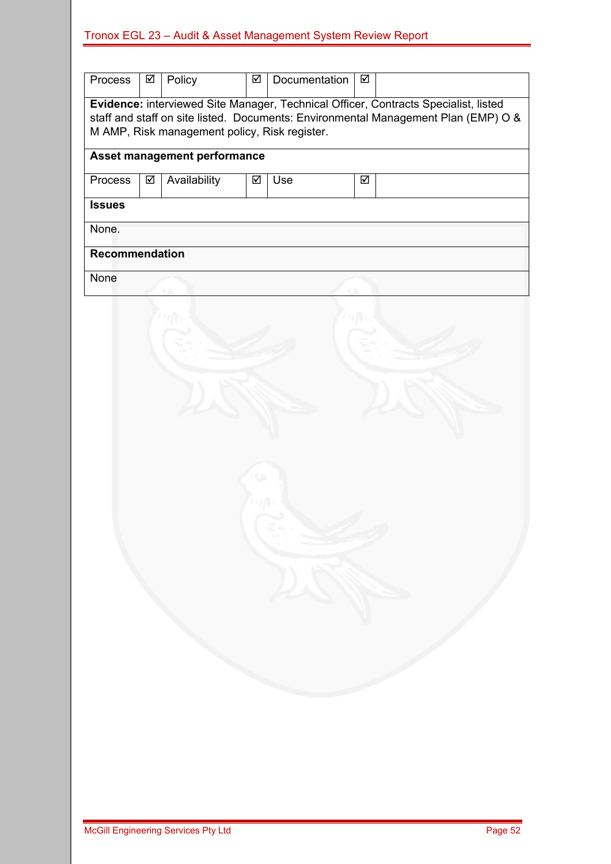| Process                                                                                                                                                                                                                    | ☑ | Policy       | ☑ | Documentation | ☑ |  |  |  |
|----------------------------------------------------------------------------------------------------------------------------------------------------------------------------------------------------------------------------|---|--------------|---|---------------|---|--|--|--|
| Evidence: interviewed Site Manager, Technical Officer, Contracts Specialist, listed<br>staff and staff on site listed. Documents: Environmental Management Plan (EMP) O &<br>M AMP, Risk management policy, Risk register. |   |              |   |               |   |  |  |  |
| Asset management performance                                                                                                                                                                                               |   |              |   |               |   |  |  |  |
| Process                                                                                                                                                                                                                    | ☑ | Availability | ☑ | Use           | ☑ |  |  |  |
| <b>Issues</b>                                                                                                                                                                                                              |   |              |   |               |   |  |  |  |
| None.                                                                                                                                                                                                                      |   |              |   |               |   |  |  |  |
| Recommendation                                                                                                                                                                                                             |   |              |   |               |   |  |  |  |
| None                                                                                                                                                                                                                       |   |              |   |               |   |  |  |  |
|                                                                                                                                                                                                                            |   |              |   |               |   |  |  |  |
|                                                                                                                                                                                                                            |   |              |   |               |   |  |  |  |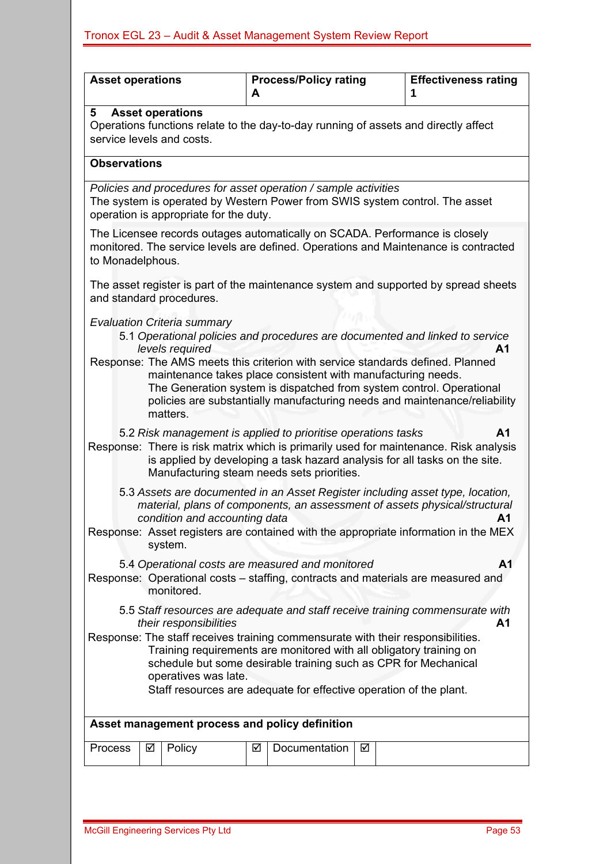| <b>Asset operations</b>                                                                                                                                                                                                                                                                                                 | <b>Process/Policy rating</b><br>A                                                                                                                                                                                                                                                                                                                                                          | <b>Effectiveness rating</b><br>1 |  |  |  |  |  |  |  |
|-------------------------------------------------------------------------------------------------------------------------------------------------------------------------------------------------------------------------------------------------------------------------------------------------------------------------|--------------------------------------------------------------------------------------------------------------------------------------------------------------------------------------------------------------------------------------------------------------------------------------------------------------------------------------------------------------------------------------------|----------------------------------|--|--|--|--|--|--|--|
| <b>Asset operations</b><br>5<br>Operations functions relate to the day-to-day running of assets and directly affect<br>service levels and costs.                                                                                                                                                                        |                                                                                                                                                                                                                                                                                                                                                                                            |                                  |  |  |  |  |  |  |  |
| <b>Observations</b>                                                                                                                                                                                                                                                                                                     |                                                                                                                                                                                                                                                                                                                                                                                            |                                  |  |  |  |  |  |  |  |
| Policies and procedures for asset operation / sample activities<br>The system is operated by Western Power from SWIS system control. The asset<br>operation is appropriate for the duty.                                                                                                                                |                                                                                                                                                                                                                                                                                                                                                                                            |                                  |  |  |  |  |  |  |  |
| The Licensee records outages automatically on SCADA. Performance is closely<br>monitored. The service levels are defined. Operations and Maintenance is contracted<br>to Monadelphous.                                                                                                                                  |                                                                                                                                                                                                                                                                                                                                                                                            |                                  |  |  |  |  |  |  |  |
| The asset register is part of the maintenance system and supported by spread sheets<br>and standard procedures.                                                                                                                                                                                                         |                                                                                                                                                                                                                                                                                                                                                                                            |                                  |  |  |  |  |  |  |  |
| <b>Evaluation Criteria summary</b><br>levels required<br>matters.                                                                                                                                                                                                                                                       | 5.1 Operational policies and procedures are documented and linked to service<br>A1<br>Response: The AMS meets this criterion with service standards defined. Planned<br>maintenance takes place consistent with manufacturing needs.<br>The Generation system is dispatched from system control. Operational<br>policies are substantially manufacturing needs and maintenance/reliability |                                  |  |  |  |  |  |  |  |
| Response: There is risk matrix which is primarily used for maintenance. Risk analysis                                                                                                                                                                                                                                   | 5.2 Risk management is applied to prioritise operations tasks<br>is applied by developing a task hazard analysis for all tasks on the site.<br>Manufacturing steam needs sets priorities.                                                                                                                                                                                                  | A1                               |  |  |  |  |  |  |  |
| condition and accounting data<br>Response: Asset registers are contained with the appropriate information in the MEX<br>system.                                                                                                                                                                                         | 5.3 Assets are documented in an Asset Register including asset type, location,<br>material, plans of components, an assessment of assets physical/structural                                                                                                                                                                                                                               | A1                               |  |  |  |  |  |  |  |
| Response: Operational costs – staffing, contracts and materials are measured and<br>monitored.                                                                                                                                                                                                                          | 5.4 Operational costs are measured and monitored                                                                                                                                                                                                                                                                                                                                           | A <sub>1</sub>                   |  |  |  |  |  |  |  |
| 5.5 Staff resources are adequate and staff receive training commensurate with<br>their responsibilities<br>A1                                                                                                                                                                                                           |                                                                                                                                                                                                                                                                                                                                                                                            |                                  |  |  |  |  |  |  |  |
| Response: The staff receives training commensurate with their responsibilities.<br>Training requirements are monitored with all obligatory training on<br>schedule but some desirable training such as CPR for Mechanical<br>operatives was late.<br>Staff resources are adequate for effective operation of the plant. |                                                                                                                                                                                                                                                                                                                                                                                            |                                  |  |  |  |  |  |  |  |
| Asset management process and policy definition                                                                                                                                                                                                                                                                          |                                                                                                                                                                                                                                                                                                                                                                                            |                                  |  |  |  |  |  |  |  |
| Policy<br><b>Process</b><br>☑                                                                                                                                                                                                                                                                                           | Documentation<br>☑<br>⊻                                                                                                                                                                                                                                                                                                                                                                    |                                  |  |  |  |  |  |  |  |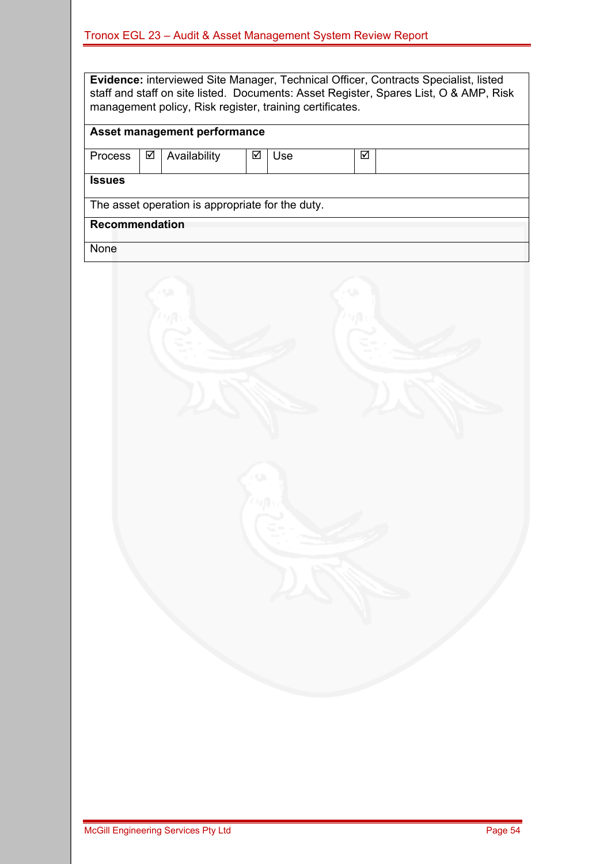**Evidence:** interviewed Site Manager, Technical Officer, Contracts Specialist, listed staff and staff on site listed. Documents: Asset Register, Spares List, O & AMP, Risk management policy, Risk register, training certificates.

### **Asset management performance**

| Process        | ☑                                                | Availability | ⊽ | Jse | ✓ |  |  |  |
|----------------|--------------------------------------------------|--------------|---|-----|---|--|--|--|
|                |                                                  |              |   |     |   |  |  |  |
| <b>Issues</b>  |                                                  |              |   |     |   |  |  |  |
|                | The asset operation is appropriate for the duty. |              |   |     |   |  |  |  |
| Recommendation |                                                  |              |   |     |   |  |  |  |
| None           |                                                  |              |   |     |   |  |  |  |

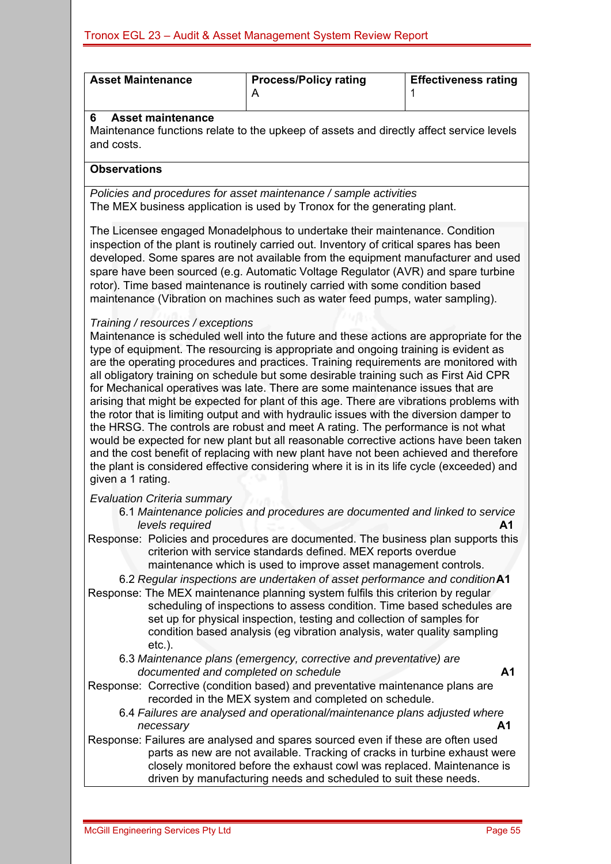| <b>Asset Maintenance</b>                                                                                                                                                                                                                                                                                                                                                            | <b>Process/Policy rating</b><br>A                                                                                                                                                                                                                                                                                                                                                                                                                                                                                                                                                                                                                                                                                                                                                                                                                                                                                                                                                                             | <b>Effectiveness rating</b><br>1 |  |  |  |  |  |  |  |
|-------------------------------------------------------------------------------------------------------------------------------------------------------------------------------------------------------------------------------------------------------------------------------------------------------------------------------------------------------------------------------------|---------------------------------------------------------------------------------------------------------------------------------------------------------------------------------------------------------------------------------------------------------------------------------------------------------------------------------------------------------------------------------------------------------------------------------------------------------------------------------------------------------------------------------------------------------------------------------------------------------------------------------------------------------------------------------------------------------------------------------------------------------------------------------------------------------------------------------------------------------------------------------------------------------------------------------------------------------------------------------------------------------------|----------------------------------|--|--|--|--|--|--|--|
| <b>Asset maintenance</b><br>6<br>and costs.                                                                                                                                                                                                                                                                                                                                         | Maintenance functions relate to the upkeep of assets and directly affect service levels                                                                                                                                                                                                                                                                                                                                                                                                                                                                                                                                                                                                                                                                                                                                                                                                                                                                                                                       |                                  |  |  |  |  |  |  |  |
| <b>Observations</b>                                                                                                                                                                                                                                                                                                                                                                 |                                                                                                                                                                                                                                                                                                                                                                                                                                                                                                                                                                                                                                                                                                                                                                                                                                                                                                                                                                                                               |                                  |  |  |  |  |  |  |  |
|                                                                                                                                                                                                                                                                                                                                                                                     | Policies and procedures for asset maintenance / sample activities<br>The MEX business application is used by Tronox for the generating plant.                                                                                                                                                                                                                                                                                                                                                                                                                                                                                                                                                                                                                                                                                                                                                                                                                                                                 |                                  |  |  |  |  |  |  |  |
|                                                                                                                                                                                                                                                                                                                                                                                     | The Licensee engaged Monadelphous to undertake their maintenance. Condition<br>inspection of the plant is routinely carried out. Inventory of critical spares has been<br>developed. Some spares are not available from the equipment manufacturer and used<br>spare have been sourced (e.g. Automatic Voltage Regulator (AVR) and spare turbine<br>rotor). Time based maintenance is routinely carried with some condition based<br>maintenance (Vibration on machines such as water feed pumps, water sampling).                                                                                                                                                                                                                                                                                                                                                                                                                                                                                            |                                  |  |  |  |  |  |  |  |
| Training / resources / exceptions<br>given a 1 rating.                                                                                                                                                                                                                                                                                                                              | Maintenance is scheduled well into the future and these actions are appropriate for the<br>type of equipment. The resourcing is appropriate and ongoing training is evident as<br>are the operating procedures and practices. Training requirements are monitored with<br>all obligatory training on schedule but some desirable training such as First Aid CPR<br>for Mechanical operatives was late. There are some maintenance issues that are<br>arising that might be expected for plant of this age. There are vibrations problems with<br>the rotor that is limiting output and with hydraulic issues with the diversion damper to<br>the HRSG. The controls are robust and meet A rating. The performance is not what<br>would be expected for new plant but all reasonable corrective actions have been taken<br>and the cost benefit of replacing with new plant have not been achieved and therefore<br>the plant is considered effective considering where it is in its life cycle (exceeded) and |                                  |  |  |  |  |  |  |  |
| <b>Evaluation Criteria summary</b><br>levels required                                                                                                                                                                                                                                                                                                                               | 6.1 Maintenance policies and procedures are documented and linked to service<br>Response: Policies and procedures are documented. The business plan supports this<br>criterion with service standards defined. MEX reports overdue<br>maintenance which is used to improve asset management controls.<br>6.2 Regular inspections are undertaken of asset performance and conditionA1<br>Response: The MEX maintenance planning system fulfils this criterion by regular                                                                                                                                                                                                                                                                                                                                                                                                                                                                                                                                       | A <sub>1</sub>                   |  |  |  |  |  |  |  |
| $etc.$ ).                                                                                                                                                                                                                                                                                                                                                                           | scheduling of inspections to assess condition. Time based schedules are<br>set up for physical inspection, testing and collection of samples for<br>condition based analysis (eg vibration analysis, water quality sampling                                                                                                                                                                                                                                                                                                                                                                                                                                                                                                                                                                                                                                                                                                                                                                                   |                                  |  |  |  |  |  |  |  |
| 6.3 Maintenance plans (emergency, corrective and preventative) are<br>documented and completed on schedule<br>A <sub>1</sub><br>Response: Corrective (condition based) and preventative maintenance plans are<br>recorded in the MEX system and completed on schedule.<br>6.4 Failures are analysed and operational/maintenance plans adjusted where<br>A <sub>1</sub><br>necessary |                                                                                                                                                                                                                                                                                                                                                                                                                                                                                                                                                                                                                                                                                                                                                                                                                                                                                                                                                                                                               |                                  |  |  |  |  |  |  |  |
|                                                                                                                                                                                                                                                                                                                                                                                     | Response: Failures are analysed and spares sourced even if these are often used<br>parts as new are not available. Tracking of cracks in turbine exhaust were<br>closely monitored before the exhaust cowl was replaced. Maintenance is<br>driven by manufacturing needs and scheduled to suit these needs.                                                                                                                                                                                                                                                                                                                                                                                                                                                                                                                                                                                                                                                                                                   |                                  |  |  |  |  |  |  |  |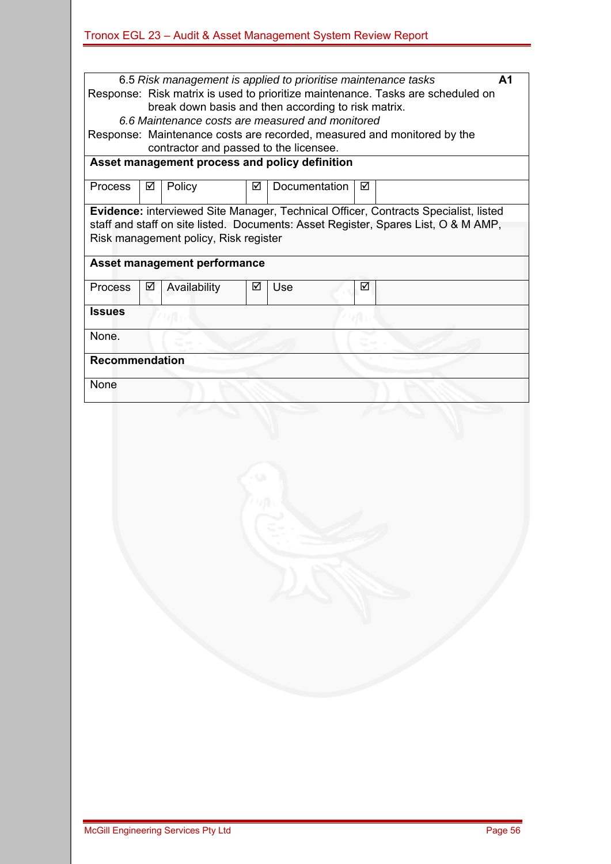| 6.5 Risk management is applied to prioritise maintenance tasks<br>A1<br>Response: Risk matrix is used to prioritize maintenance. Tasks are scheduled on<br>break down basis and then according to risk matrix. |                                                                                                                   |                                       |   |               |   |                                                                                                                                                                           |  |  |  |
|----------------------------------------------------------------------------------------------------------------------------------------------------------------------------------------------------------------|-------------------------------------------------------------------------------------------------------------------|---------------------------------------|---|---------------|---|---------------------------------------------------------------------------------------------------------------------------------------------------------------------------|--|--|--|
| 6.6 Maintenance costs are measured and monitored                                                                                                                                                               |                                                                                                                   |                                       |   |               |   |                                                                                                                                                                           |  |  |  |
|                                                                                                                                                                                                                | Response: Maintenance costs are recorded, measured and monitored by the<br>contractor and passed to the licensee. |                                       |   |               |   |                                                                                                                                                                           |  |  |  |
| Asset management process and policy definition                                                                                                                                                                 |                                                                                                                   |                                       |   |               |   |                                                                                                                                                                           |  |  |  |
| <b>Process</b>                                                                                                                                                                                                 | ☑                                                                                                                 | Policy                                | ☑ | Documentation | ☑ |                                                                                                                                                                           |  |  |  |
|                                                                                                                                                                                                                |                                                                                                                   | Risk management policy, Risk register |   |               |   | Evidence: interviewed Site Manager, Technical Officer, Contracts Specialist, listed<br>staff and staff on site listed. Documents: Asset Register, Spares List, O & M AMP, |  |  |  |
|                                                                                                                                                                                                                |                                                                                                                   | <b>Asset management performance</b>   |   |               |   |                                                                                                                                                                           |  |  |  |
| <b>Process</b>                                                                                                                                                                                                 | ☑                                                                                                                 | Availability                          | ☑ | Use           | ☑ |                                                                                                                                                                           |  |  |  |
| <b>Issues</b>                                                                                                                                                                                                  |                                                                                                                   |                                       |   |               |   |                                                                                                                                                                           |  |  |  |
| None.                                                                                                                                                                                                          |                                                                                                                   |                                       |   |               |   |                                                                                                                                                                           |  |  |  |
| <b>Recommendation</b>                                                                                                                                                                                          |                                                                                                                   |                                       |   |               |   |                                                                                                                                                                           |  |  |  |
| None                                                                                                                                                                                                           |                                                                                                                   |                                       |   |               |   |                                                                                                                                                                           |  |  |  |
|                                                                                                                                                                                                                |                                                                                                                   |                                       |   |               |   |                                                                                                                                                                           |  |  |  |
|                                                                                                                                                                                                                |                                                                                                                   |                                       |   |               |   |                                                                                                                                                                           |  |  |  |
|                                                                                                                                                                                                                |                                                                                                                   |                                       |   |               |   |                                                                                                                                                                           |  |  |  |
|                                                                                                                                                                                                                |                                                                                                                   |                                       |   |               |   |                                                                                                                                                                           |  |  |  |
|                                                                                                                                                                                                                |                                                                                                                   |                                       |   |               |   |                                                                                                                                                                           |  |  |  |
|                                                                                                                                                                                                                |                                                                                                                   |                                       |   |               |   |                                                                                                                                                                           |  |  |  |
|                                                                                                                                                                                                                |                                                                                                                   |                                       |   |               |   |                                                                                                                                                                           |  |  |  |
|                                                                                                                                                                                                                |                                                                                                                   |                                       |   |               |   |                                                                                                                                                                           |  |  |  |
|                                                                                                                                                                                                                |                                                                                                                   |                                       |   |               |   |                                                                                                                                                                           |  |  |  |
|                                                                                                                                                                                                                |                                                                                                                   |                                       |   |               |   |                                                                                                                                                                           |  |  |  |
|                                                                                                                                                                                                                |                                                                                                                   |                                       |   |               |   |                                                                                                                                                                           |  |  |  |
|                                                                                                                                                                                                                |                                                                                                                   |                                       |   |               |   |                                                                                                                                                                           |  |  |  |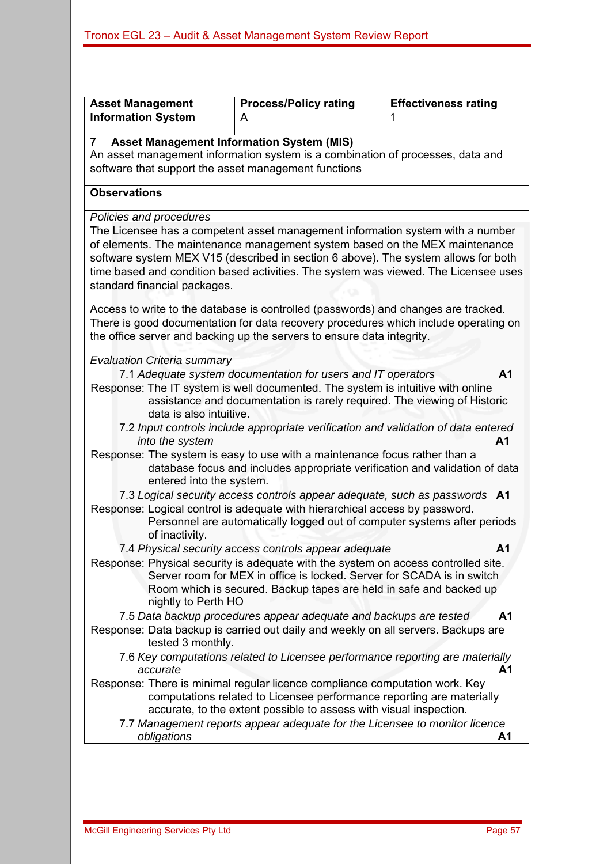| <b>Asset Management</b><br><b>Information System</b>  | <b>Process/Policy rating</b><br>A                                                                                                                                                                                                                                                                                                                                                                                                                                                                                       | <b>Effectiveness rating</b><br>1 |
|-------------------------------------------------------|-------------------------------------------------------------------------------------------------------------------------------------------------------------------------------------------------------------------------------------------------------------------------------------------------------------------------------------------------------------------------------------------------------------------------------------------------------------------------------------------------------------------------|----------------------------------|
| <b>Asset Management Information System (MIS)</b><br>7 | An asset management information system is a combination of processes, data and                                                                                                                                                                                                                                                                                                                                                                                                                                          |                                  |
| software that support the asset management functions  |                                                                                                                                                                                                                                                                                                                                                                                                                                                                                                                         |                                  |
| <b>Observations</b>                                   |                                                                                                                                                                                                                                                                                                                                                                                                                                                                                                                         |                                  |
| Policies and procedures                               |                                                                                                                                                                                                                                                                                                                                                                                                                                                                                                                         |                                  |
| standard financial packages.                          | The Licensee has a competent asset management information system with a number<br>of elements. The maintenance management system based on the MEX maintenance<br>software system MEX V15 (described in section 6 above). The system allows for both<br>time based and condition based activities. The system was viewed. The Licensee uses<br>Access to write to the database is controlled (passwords) and changes are tracked.<br>There is good documentation for data recovery procedures which include operating on |                                  |
|                                                       | the office server and backing up the servers to ensure data integrity.                                                                                                                                                                                                                                                                                                                                                                                                                                                  |                                  |
| <b>Evaluation Criteria summary</b>                    |                                                                                                                                                                                                                                                                                                                                                                                                                                                                                                                         |                                  |
| data is also intuitive.                               | 7.1 Adequate system documentation for users and IT operators<br>Response: The IT system is well documented. The system is intuitive with online<br>assistance and documentation is rarely required. The viewing of Historic                                                                                                                                                                                                                                                                                             | A <sub>1</sub>                   |
| into the system                                       | 7.2 Input controls include appropriate verification and validation of data entered                                                                                                                                                                                                                                                                                                                                                                                                                                      | A1                               |
| entered into the system.                              | Response: The system is easy to use with a maintenance focus rather than a<br>database focus and includes appropriate verification and validation of data                                                                                                                                                                                                                                                                                                                                                               |                                  |
| of inactivity.                                        | 7.3 Logical security access controls appear adequate, such as passwords A1<br>Response: Logical control is adequate with hierarchical access by password.<br>Personnel are automatically logged out of computer systems after periods                                                                                                                                                                                                                                                                                   |                                  |
|                                                       | 7.4 Physical security access controls appear adequate                                                                                                                                                                                                                                                                                                                                                                                                                                                                   | А1                               |
| nightly to Perth HO                                   | Response: Physical security is adequate with the system on access controlled site.<br>Server room for MEX in office is locked. Server for SCADA is in switch<br>Room which is secured. Backup tapes are held in safe and backed up                                                                                                                                                                                                                                                                                      |                                  |
|                                                       | 7.5 Data backup procedures appear adequate and backups are tested                                                                                                                                                                                                                                                                                                                                                                                                                                                       | Α1                               |
| tested 3 monthly.                                     | Response: Data backup is carried out daily and weekly on all servers. Backups are                                                                                                                                                                                                                                                                                                                                                                                                                                       |                                  |
| accurate                                              | 7.6 Key computations related to Licensee performance reporting are materially                                                                                                                                                                                                                                                                                                                                                                                                                                           | A1                               |
|                                                       | Response: There is minimal regular licence compliance computation work. Key<br>computations related to Licensee performance reporting are materially<br>accurate, to the extent possible to assess with visual inspection.                                                                                                                                                                                                                                                                                              |                                  |
|                                                       | 7.7 Management reports appear adequate for the Licensee to monitor licence                                                                                                                                                                                                                                                                                                                                                                                                                                              |                                  |
| obligations                                           |                                                                                                                                                                                                                                                                                                                                                                                                                                                                                                                         | A1                               |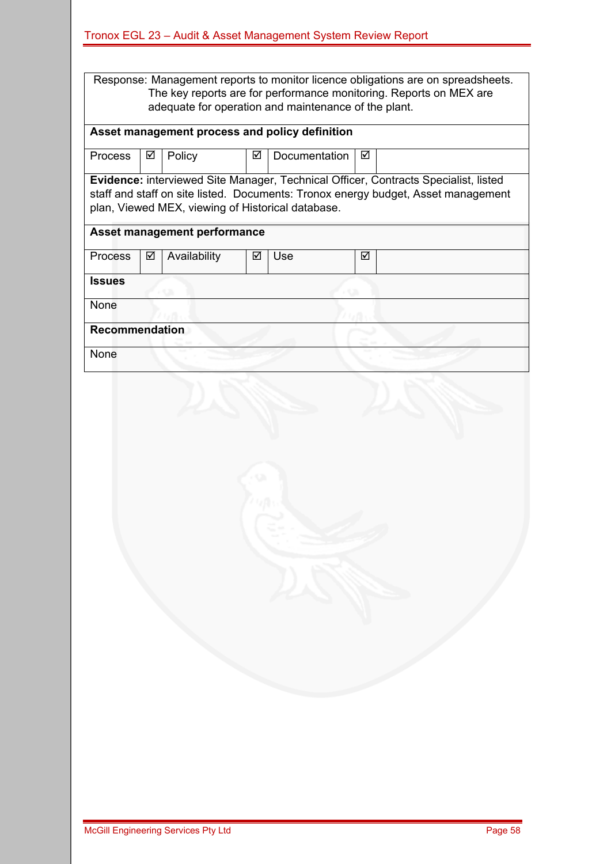| Tronox EGL 23 - Audit & Asset Management System Review Report |  |  |  |  |  |  |
|---------------------------------------------------------------|--|--|--|--|--|--|
|                                                               |  |  |  |  |  |  |

Response: Management reports to monitor licence obligations are on spreadsheets. The key reports are for performance monitoring. Reports on MEX are adequate for operation and maintenance of the plant.

### **Asset management process and policy definition**

| <b>Process</b>        | ☑    | Policy                                            | ☑ | <b>Documentation</b> | ☑ |                                                                                     |  |  |  |
|-----------------------|------|---------------------------------------------------|---|----------------------|---|-------------------------------------------------------------------------------------|--|--|--|
|                       |      |                                                   |   |                      |   |                                                                                     |  |  |  |
|                       |      |                                                   |   |                      |   | Evidence: interviewed Site Manager, Technical Officer, Contracts Specialist, listed |  |  |  |
|                       |      |                                                   |   |                      |   | staff and staff on site listed. Documents: Tronox energy budget, Asset management   |  |  |  |
|                       |      | plan, Viewed MEX, viewing of Historical database. |   |                      |   |                                                                                     |  |  |  |
|                       |      |                                                   |   |                      |   |                                                                                     |  |  |  |
|                       |      | Asset management performance                      |   |                      |   |                                                                                     |  |  |  |
|                       |      |                                                   |   |                      |   |                                                                                     |  |  |  |
|                       |      |                                                   |   |                      | ⊠ |                                                                                     |  |  |  |
| Process               | ☑    | Availability                                      | ∇ | Use                  |   |                                                                                     |  |  |  |
|                       |      |                                                   |   |                      |   |                                                                                     |  |  |  |
| <b>Issues</b>         |      |                                                   |   |                      |   |                                                                                     |  |  |  |
|                       |      |                                                   |   |                      |   |                                                                                     |  |  |  |
|                       | None |                                                   |   |                      |   |                                                                                     |  |  |  |
|                       |      |                                                   |   |                      |   |                                                                                     |  |  |  |
| <b>Recommendation</b> |      |                                                   |   |                      |   |                                                                                     |  |  |  |
|                       |      |                                                   |   |                      |   |                                                                                     |  |  |  |
| None                  |      |                                                   |   |                      |   |                                                                                     |  |  |  |
|                       |      |                                                   |   |                      |   |                                                                                     |  |  |  |

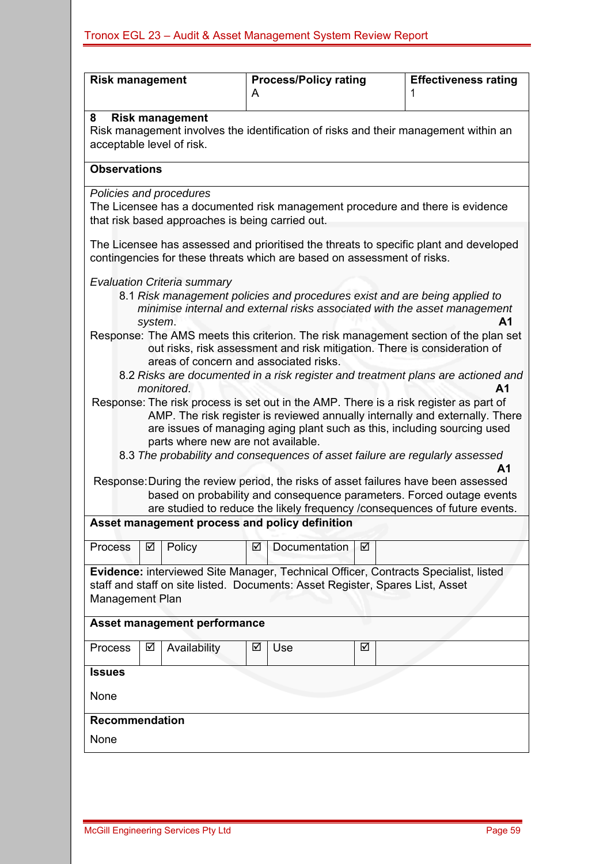| <b>Risk management</b>              |                                                                                                                                                                                         |                                        | A | <b>Process/Policy rating</b>                                            |   | <b>Effectiveness rating</b>                                                                                                                                                                                                                                                                                                             |  |  |  |  |
|-------------------------------------|-----------------------------------------------------------------------------------------------------------------------------------------------------------------------------------------|----------------------------------------|---|-------------------------------------------------------------------------|---|-----------------------------------------------------------------------------------------------------------------------------------------------------------------------------------------------------------------------------------------------------------------------------------------------------------------------------------------|--|--|--|--|
| 8                                   | <b>Risk management</b><br>Risk management involves the identification of risks and their management within an<br>acceptable level of risk.                                              |                                        |   |                                                                         |   |                                                                                                                                                                                                                                                                                                                                         |  |  |  |  |
|                                     | <b>Observations</b>                                                                                                                                                                     |                                        |   |                                                                         |   |                                                                                                                                                                                                                                                                                                                                         |  |  |  |  |
|                                     | Policies and procedures<br>The Licensee has a documented risk management procedure and there is evidence<br>that risk based approaches is being carried out.                            |                                        |   |                                                                         |   |                                                                                                                                                                                                                                                                                                                                         |  |  |  |  |
|                                     |                                                                                                                                                                                         |                                        |   | contingencies for these threats which are based on assessment of risks. |   | The Licensee has assessed and prioritised the threats to specific plant and developed                                                                                                                                                                                                                                                   |  |  |  |  |
|                                     | system.                                                                                                                                                                                 | <b>Evaluation Criteria summary</b>     |   |                                                                         |   | 8.1 Risk management policies and procedures exist and are being applied to<br>minimise internal and external risks associated with the asset management<br>Α1                                                                                                                                                                           |  |  |  |  |
|                                     |                                                                                                                                                                                         | areas of concern and associated risks. |   |                                                                         |   | Response: The AMS meets this criterion. The risk management section of the plan set<br>out risks, risk assessment and risk mitigation. There is consideration of                                                                                                                                                                        |  |  |  |  |
|                                     |                                                                                                                                                                                         | monitored.                             |   |                                                                         |   | 8.2 Risks are documented in a risk register and treatment plans are actioned and<br>A <sub>1</sub>                                                                                                                                                                                                                                      |  |  |  |  |
|                                     |                                                                                                                                                                                         | parts where new are not available.     |   |                                                                         |   | Response: The risk process is set out in the AMP. There is a risk register as part of<br>AMP. The risk register is reviewed annually internally and externally. There<br>are issues of managing aging plant such as this, including sourcing used<br>8.3 The probability and consequences of asset failure are regularly assessed<br>А1 |  |  |  |  |
|                                     |                                                                                                                                                                                         |                                        |   |                                                                         |   | Response: During the review period, the risks of asset failures have been assessed<br>based on probability and consequence parameters. Forced outage events<br>are studied to reduce the likely frequency / consequences of future events.                                                                                              |  |  |  |  |
|                                     |                                                                                                                                                                                         |                                        |   | Asset management process and policy definition                          |   |                                                                                                                                                                                                                                                                                                                                         |  |  |  |  |
| <b>Process</b>                      | ☑                                                                                                                                                                                       | Policy                                 | ⊻ | Documentation                                                           | ⊻ |                                                                                                                                                                                                                                                                                                                                         |  |  |  |  |
|                                     | Evidence: interviewed Site Manager, Technical Officer, Contracts Specialist, listed<br>staff and staff on site listed. Documents: Asset Register, Spares List, Asset<br>Management Plan |                                        |   |                                                                         |   |                                                                                                                                                                                                                                                                                                                                         |  |  |  |  |
| <b>Asset management performance</b> |                                                                                                                                                                                         |                                        |   |                                                                         |   |                                                                                                                                                                                                                                                                                                                                         |  |  |  |  |
| <b>Process</b>                      | Availability<br>☑<br>☑<br>Use<br>☑                                                                                                                                                      |                                        |   |                                                                         |   |                                                                                                                                                                                                                                                                                                                                         |  |  |  |  |
| <b>Issues</b><br>None               |                                                                                                                                                                                         |                                        |   |                                                                         |   |                                                                                                                                                                                                                                                                                                                                         |  |  |  |  |
| <b>Recommendation</b>               |                                                                                                                                                                                         |                                        |   |                                                                         |   |                                                                                                                                                                                                                                                                                                                                         |  |  |  |  |
| None                                |                                                                                                                                                                                         |                                        |   |                                                                         |   |                                                                                                                                                                                                                                                                                                                                         |  |  |  |  |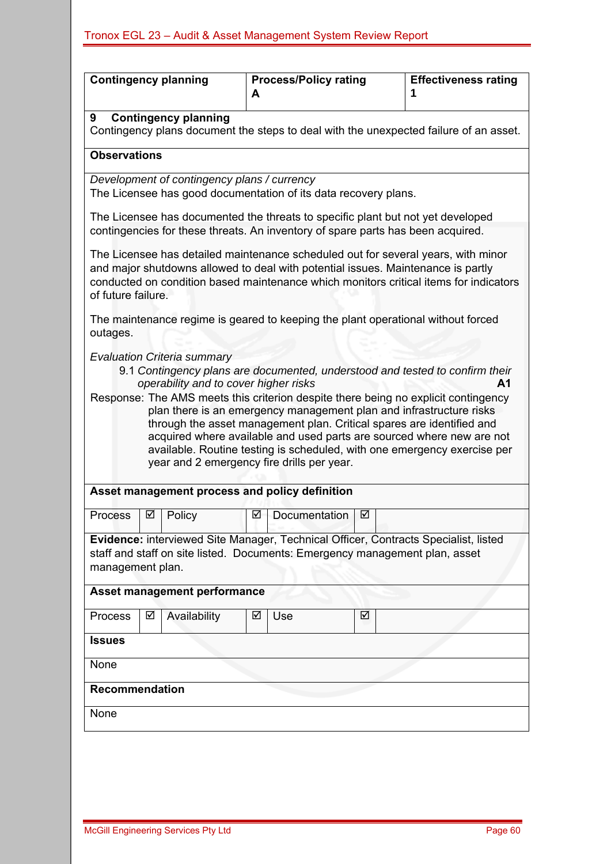|                     | <b>Contingency planning</b>                                                                                                                                                                                                         | A | <b>Process/Policy rating</b> |   | <b>Effectiveness rating</b>                                                                                                                                                                                                                                                                                                   |  |  |  |  |  |
|---------------------|-------------------------------------------------------------------------------------------------------------------------------------------------------------------------------------------------------------------------------------|---|------------------------------|---|-------------------------------------------------------------------------------------------------------------------------------------------------------------------------------------------------------------------------------------------------------------------------------------------------------------------------------|--|--|--|--|--|
| 9                   | <b>Contingency planning</b><br>Contingency plans document the steps to deal with the unexpected failure of an asset.                                                                                                                |   |                              |   |                                                                                                                                                                                                                                                                                                                               |  |  |  |  |  |
| <b>Observations</b> |                                                                                                                                                                                                                                     |   |                              |   |                                                                                                                                                                                                                                                                                                                               |  |  |  |  |  |
|                     | Development of contingency plans / currency<br>The Licensee has good documentation of its data recovery plans.                                                                                                                      |   |                              |   |                                                                                                                                                                                                                                                                                                                               |  |  |  |  |  |
|                     | The Licensee has documented the threats to specific plant but not yet developed<br>contingencies for these threats. An inventory of spare parts has been acquired.                                                                  |   |                              |   |                                                                                                                                                                                                                                                                                                                               |  |  |  |  |  |
| of future failure.  | and major shutdowns allowed to deal with potential issues. Maintenance is partly                                                                                                                                                    |   |                              |   | The Licensee has detailed maintenance scheduled out for several years, with minor<br>conducted on condition based maintenance which monitors critical items for indicators                                                                                                                                                    |  |  |  |  |  |
| outages.            | The maintenance regime is geared to keeping the plant operational without forced                                                                                                                                                    |   |                              |   |                                                                                                                                                                                                                                                                                                                               |  |  |  |  |  |
|                     | operability and to cover higher risks<br>plan there is an emergency management plan and infrastructure risks<br>through the asset management plan. Critical spares are identified and<br>year and 2 emergency fire drills per year. |   |                              |   | 9.1 Contingency plans are documented, understood and tested to confirm their<br>A1<br>Response: The AMS meets this criterion despite there being no explicit contingency<br>acquired where available and used parts are sourced where new are not<br>available. Routine testing is scheduled, with one emergency exercise per |  |  |  |  |  |
|                     | Asset management process and policy definition                                                                                                                                                                                      |   |                              |   |                                                                                                                                                                                                                                                                                                                               |  |  |  |  |  |
| <b>Process</b>      | Policy<br>☑                                                                                                                                                                                                                         | ☑ | Documentation                | ☑ |                                                                                                                                                                                                                                                                                                                               |  |  |  |  |  |
|                     | Evidence: interviewed Site Manager, Technical Officer, Contracts Specialist, listed<br>staff and staff on site listed. Documents: Emergency management plan, asset<br>management plan.                                              |   |                              |   |                                                                                                                                                                                                                                                                                                                               |  |  |  |  |  |
|                     | Asset management performance                                                                                                                                                                                                        |   |                              |   |                                                                                                                                                                                                                                                                                                                               |  |  |  |  |  |
| Process             | Availability<br>☑                                                                                                                                                                                                                   | ☑ | Use                          | ☑ |                                                                                                                                                                                                                                                                                                                               |  |  |  |  |  |
| <b>Issues</b>       |                                                                                                                                                                                                                                     |   |                              |   |                                                                                                                                                                                                                                                                                                                               |  |  |  |  |  |
| None                |                                                                                                                                                                                                                                     |   |                              |   |                                                                                                                                                                                                                                                                                                                               |  |  |  |  |  |
| Recommendation      |                                                                                                                                                                                                                                     |   |                              |   |                                                                                                                                                                                                                                                                                                                               |  |  |  |  |  |
| None                |                                                                                                                                                                                                                                     |   |                              |   |                                                                                                                                                                                                                                                                                                                               |  |  |  |  |  |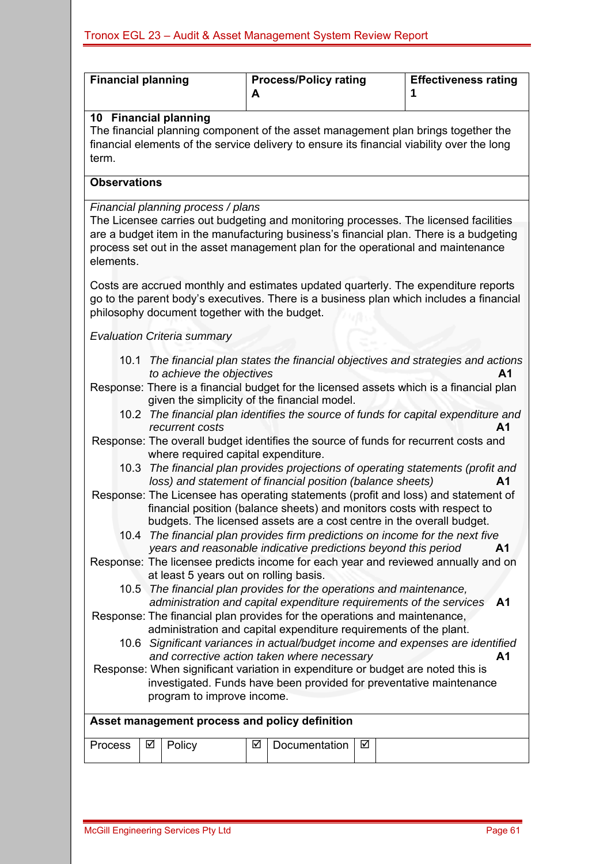| <b>Financial planning</b>                                                                                                                              |                                                                                                                                                                                                          |                                               | A | <b>Process/Policy rating</b>                                                                                                                                                                                  |   | <b>Effectiveness rating</b><br>1                                                                                                                                                                                                                                   |  |  |  |  |
|--------------------------------------------------------------------------------------------------------------------------------------------------------|----------------------------------------------------------------------------------------------------------------------------------------------------------------------------------------------------------|-----------------------------------------------|---|---------------------------------------------------------------------------------------------------------------------------------------------------------------------------------------------------------------|---|--------------------------------------------------------------------------------------------------------------------------------------------------------------------------------------------------------------------------------------------------------------------|--|--|--|--|
| term.                                                                                                                                                  | 10 Financial planning<br>The financial planning component of the asset management plan brings together the<br>financial elements of the service delivery to ensure its financial viability over the long |                                               |   |                                                                                                                                                                                                               |   |                                                                                                                                                                                                                                                                    |  |  |  |  |
|                                                                                                                                                        | <b>Observations</b>                                                                                                                                                                                      |                                               |   |                                                                                                                                                                                                               |   |                                                                                                                                                                                                                                                                    |  |  |  |  |
|                                                                                                                                                        |                                                                                                                                                                                                          | Financial planning process / plans            |   |                                                                                                                                                                                                               |   |                                                                                                                                                                                                                                                                    |  |  |  |  |
| elements.                                                                                                                                              |                                                                                                                                                                                                          |                                               |   |                                                                                                                                                                                                               |   | The Licensee carries out budgeting and monitoring processes. The licensed facilities<br>are a budget item in the manufacturing business's financial plan. There is a budgeting<br>process set out in the asset management plan for the operational and maintenance |  |  |  |  |
|                                                                                                                                                        |                                                                                                                                                                                                          | philosophy document together with the budget. |   |                                                                                                                                                                                                               |   | Costs are accrued monthly and estimates updated quarterly. The expenditure reports<br>go to the parent body's executives. There is a business plan which includes a financial                                                                                      |  |  |  |  |
|                                                                                                                                                        |                                                                                                                                                                                                          | <b>Evaluation Criteria summary</b>            |   |                                                                                                                                                                                                               |   |                                                                                                                                                                                                                                                                    |  |  |  |  |
| 10.1                                                                                                                                                   |                                                                                                                                                                                                          |                                               |   |                                                                                                                                                                                                               |   | The financial plan states the financial objectives and strategies and actions                                                                                                                                                                                      |  |  |  |  |
|                                                                                                                                                        |                                                                                                                                                                                                          | to achieve the objectives                     |   | given the simplicity of the financial model.                                                                                                                                                                  |   | A1<br>Response: There is a financial budget for the licensed assets which is a financial plan<br>10.2 The financial plan identifies the source of funds for capital expenditure and                                                                                |  |  |  |  |
|                                                                                                                                                        |                                                                                                                                                                                                          | recurrent costs                               |   |                                                                                                                                                                                                               |   | А1<br>Response: The overall budget identifies the source of funds for recurrent costs and                                                                                                                                                                          |  |  |  |  |
| 10.3                                                                                                                                                   |                                                                                                                                                                                                          | where required capital expenditure.           |   |                                                                                                                                                                                                               |   | The financial plan provides projections of operating statements (profit and                                                                                                                                                                                        |  |  |  |  |
|                                                                                                                                                        |                                                                                                                                                                                                          |                                               |   | loss) and statement of financial position (balance sheets)<br>financial position (balance sheets) and monitors costs with respect to<br>budgets. The licensed assets are a cost centre in the overall budget. |   | A1<br>Response: The Licensee has operating statements (profit and loss) and statement of                                                                                                                                                                           |  |  |  |  |
|                                                                                                                                                        |                                                                                                                                                                                                          |                                               |   | years and reasonable indicative predictions beyond this period                                                                                                                                                |   | 10.4 The financial plan provides firm predictions on income for the next five<br>A <sub>1</sub>                                                                                                                                                                    |  |  |  |  |
|                                                                                                                                                        |                                                                                                                                                                                                          | at least 5 years out on rolling basis.        |   |                                                                                                                                                                                                               |   | Response: The licensee predicts income for each year and reviewed annually and on                                                                                                                                                                                  |  |  |  |  |
|                                                                                                                                                        |                                                                                                                                                                                                          |                                               |   | 10.5 The financial plan provides for the operations and maintenance,                                                                                                                                          |   |                                                                                                                                                                                                                                                                    |  |  |  |  |
|                                                                                                                                                        |                                                                                                                                                                                                          |                                               |   | administration and capital expenditure requirements of the services                                                                                                                                           |   | A <sub>1</sub>                                                                                                                                                                                                                                                     |  |  |  |  |
| Response: The financial plan provides for the operations and maintenance,<br>administration and capital expenditure requirements of the plant.         |                                                                                                                                                                                                          |                                               |   |                                                                                                                                                                                                               |   |                                                                                                                                                                                                                                                                    |  |  |  |  |
| 10.6 Significant variances in actual/budget income and expenses are identified<br>and corrective action taken where necessary<br>A <sub>1</sub>        |                                                                                                                                                                                                          |                                               |   |                                                                                                                                                                                                               |   |                                                                                                                                                                                                                                                                    |  |  |  |  |
| Response: When significant variation in expenditure or budget are noted this is<br>investigated. Funds have been provided for preventative maintenance |                                                                                                                                                                                                          |                                               |   |                                                                                                                                                                                                               |   |                                                                                                                                                                                                                                                                    |  |  |  |  |
|                                                                                                                                                        | program to improve income.                                                                                                                                                                               |                                               |   |                                                                                                                                                                                                               |   |                                                                                                                                                                                                                                                                    |  |  |  |  |
|                                                                                                                                                        |                                                                                                                                                                                                          |                                               |   | Asset management process and policy definition                                                                                                                                                                |   |                                                                                                                                                                                                                                                                    |  |  |  |  |
| Process                                                                                                                                                | ☑                                                                                                                                                                                                        | Policy                                        | ☑ | Documentation                                                                                                                                                                                                 | ☑ |                                                                                                                                                                                                                                                                    |  |  |  |  |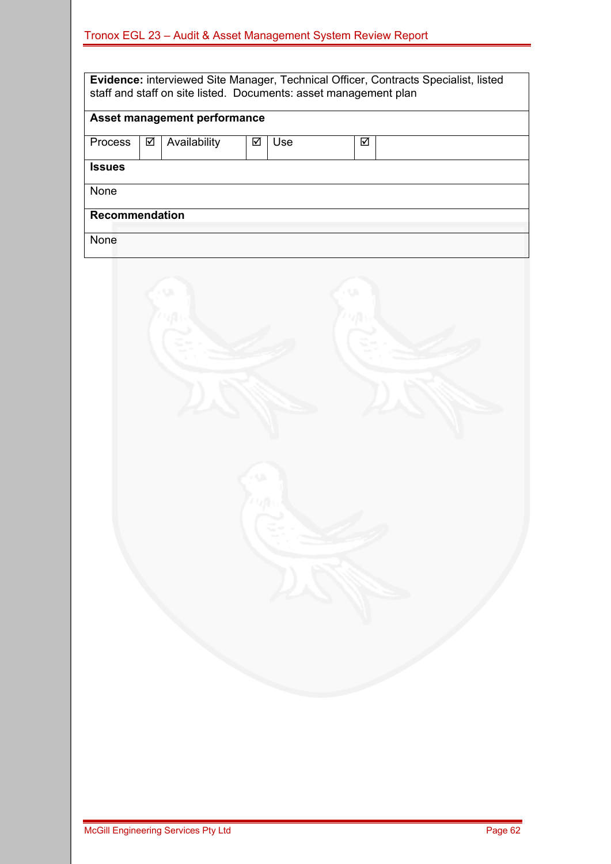| <b>Evidence:</b> interviewed Site Manager, Technical Officer, Contracts Specialist, listed<br>staff and staff on site listed. Documents: asset management plan |   |                              |   |     |  |   |  |
|----------------------------------------------------------------------------------------------------------------------------------------------------------------|---|------------------------------|---|-----|--|---|--|
|                                                                                                                                                                |   | Asset management performance |   |     |  |   |  |
| <b>Process</b>                                                                                                                                                 | ☑ | Availability                 | ☑ | Use |  | ⊠ |  |
|                                                                                                                                                                |   |                              |   |     |  |   |  |
| <b>Issues</b>                                                                                                                                                  |   |                              |   |     |  |   |  |
| None                                                                                                                                                           |   |                              |   |     |  |   |  |
| <b>Recommendation</b>                                                                                                                                          |   |                              |   |     |  |   |  |
| None                                                                                                                                                           |   |                              |   |     |  |   |  |

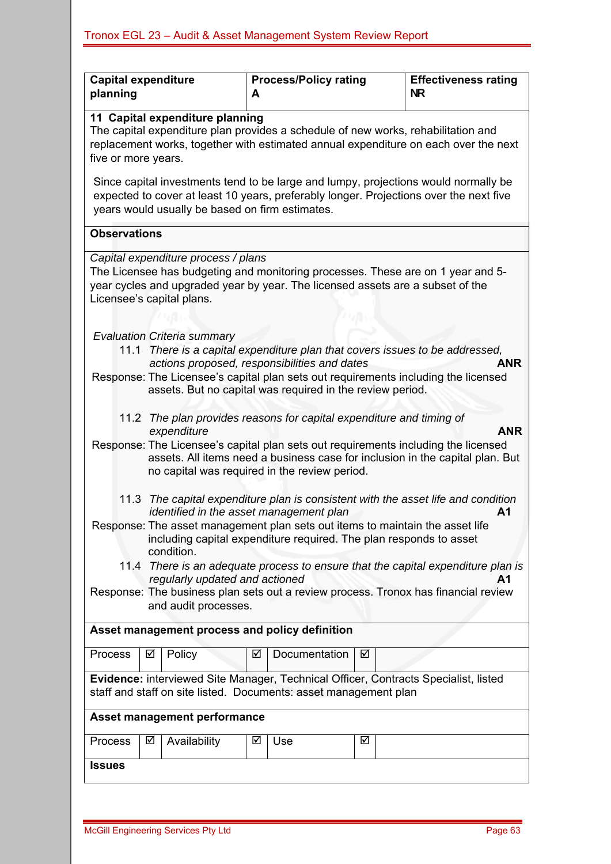| <b>Capital expenditure</b><br>planning                                                                                                                                                                                                                                                                                                                                                                                                                                                                                                                        |                                                                                                                                                                                                                                       |              | А | <b>Process/Policy rating</b>                                                                                     | <b>Effectiveness rating</b><br><b>NR</b> |                                                                                                                                                                                   |  |  |
|---------------------------------------------------------------------------------------------------------------------------------------------------------------------------------------------------------------------------------------------------------------------------------------------------------------------------------------------------------------------------------------------------------------------------------------------------------------------------------------------------------------------------------------------------------------|---------------------------------------------------------------------------------------------------------------------------------------------------------------------------------------------------------------------------------------|--------------|---|------------------------------------------------------------------------------------------------------------------|------------------------------------------|-----------------------------------------------------------------------------------------------------------------------------------------------------------------------------------|--|--|
| 11 Capital expenditure planning<br>The capital expenditure plan provides a schedule of new works, rehabilitation and<br>replacement works, together with estimated annual expenditure on each over the next<br>five or more years.                                                                                                                                                                                                                                                                                                                            |                                                                                                                                                                                                                                       |              |   |                                                                                                                  |                                          |                                                                                                                                                                                   |  |  |
| Since capital investments tend to be large and lumpy, projections would normally be<br>expected to cover at least 10 years, preferably longer. Projections over the next five<br>years would usually be based on firm estimates.                                                                                                                                                                                                                                                                                                                              |                                                                                                                                                                                                                                       |              |   |                                                                                                                  |                                          |                                                                                                                                                                                   |  |  |
| <b>Observations</b>                                                                                                                                                                                                                                                                                                                                                                                                                                                                                                                                           |                                                                                                                                                                                                                                       |              |   |                                                                                                                  |                                          |                                                                                                                                                                                   |  |  |
|                                                                                                                                                                                                                                                                                                                                                                                                                                                                                                                                                               | Capital expenditure process / plans<br>The Licensee has budgeting and monitoring processes. These are on 1 year and 5-<br>year cycles and upgraded year by year. The licensed assets are a subset of the<br>Licensee's capital plans. |              |   |                                                                                                                  |                                          |                                                                                                                                                                                   |  |  |
| <b>Evaluation Criteria summary</b><br>11.1 There is a capital expenditure plan that covers issues to be addressed,                                                                                                                                                                                                                                                                                                                                                                                                                                            |                                                                                                                                                                                                                                       |              |   |                                                                                                                  |                                          |                                                                                                                                                                                   |  |  |
| actions proposed, responsibilities and dates<br><b>ANR</b><br>Response: The Licensee's capital plan sets out requirements including the licensed<br>assets. But no capital was required in the review period.                                                                                                                                                                                                                                                                                                                                                 |                                                                                                                                                                                                                                       |              |   |                                                                                                                  |                                          |                                                                                                                                                                                   |  |  |
| 11.2                                                                                                                                                                                                                                                                                                                                                                                                                                                                                                                                                          |                                                                                                                                                                                                                                       | expenditure  |   | The plan provides reasons for capital expenditure and timing of<br>no capital was required in the review period. |                                          | <b>ANR</b><br>Response: The Licensee's capital plan sets out requirements including the licensed<br>assets. All items need a business case for inclusion in the capital plan. But |  |  |
| 11.3 The capital expenditure plan is consistent with the asset life and condition<br>identified in the asset management plan<br>A <sub>1</sub><br>Response: The asset management plan sets out items to maintain the asset life<br>including capital expenditure required. The plan responds to asset<br>condition.<br>11.4 There is an adequate process to ensure that the capital expenditure plan is<br>regularly updated and actioned<br>A1<br>Response: The business plan sets out a review process. Tronox has financial review<br>and audit processes. |                                                                                                                                                                                                                                       |              |   |                                                                                                                  |                                          |                                                                                                                                                                                   |  |  |
| Asset management process and policy definition                                                                                                                                                                                                                                                                                                                                                                                                                                                                                                                |                                                                                                                                                                                                                                       |              |   |                                                                                                                  |                                          |                                                                                                                                                                                   |  |  |
| <b>Process</b>                                                                                                                                                                                                                                                                                                                                                                                                                                                                                                                                                | ☑                                                                                                                                                                                                                                     | Policy       | ☑ | Documentation                                                                                                    | ☑                                        |                                                                                                                                                                                   |  |  |
| Evidence: interviewed Site Manager, Technical Officer, Contracts Specialist, listed<br>staff and staff on site listed. Documents: asset management plan                                                                                                                                                                                                                                                                                                                                                                                                       |                                                                                                                                                                                                                                       |              |   |                                                                                                                  |                                          |                                                                                                                                                                                   |  |  |
|                                                                                                                                                                                                                                                                                                                                                                                                                                                                                                                                                               | Asset management performance                                                                                                                                                                                                          |              |   |                                                                                                                  |                                          |                                                                                                                                                                                   |  |  |
| Process                                                                                                                                                                                                                                                                                                                                                                                                                                                                                                                                                       | ☑                                                                                                                                                                                                                                     | Availability | ☑ | Use                                                                                                              | ☑                                        |                                                                                                                                                                                   |  |  |
| <b>Issues</b>                                                                                                                                                                                                                                                                                                                                                                                                                                                                                                                                                 |                                                                                                                                                                                                                                       |              |   |                                                                                                                  |                                          |                                                                                                                                                                                   |  |  |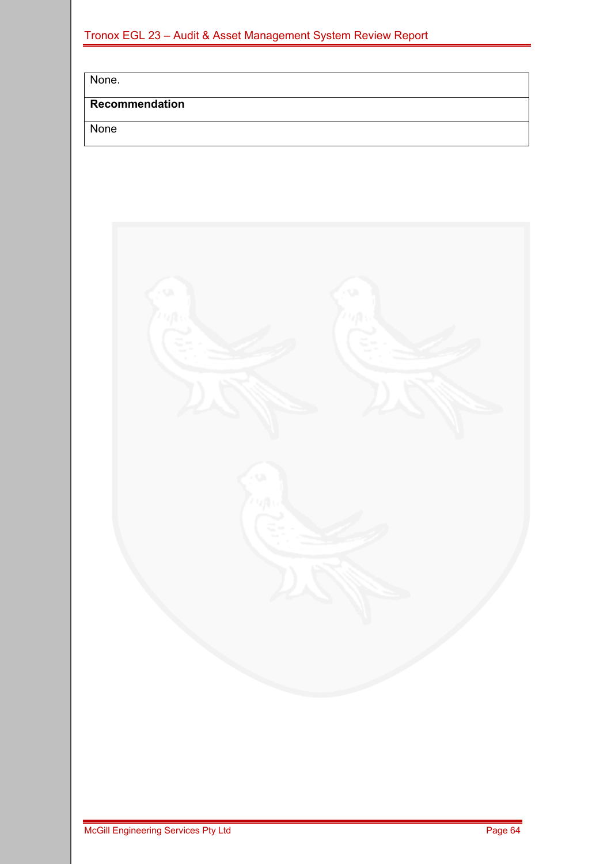|  |  |  |  |  | Tronox EGL 23 - Audit & Asset Management System Review Report |  |
|--|--|--|--|--|---------------------------------------------------------------|--|
|  |  |  |  |  |                                                               |  |

None.

### **Recommendation**

None